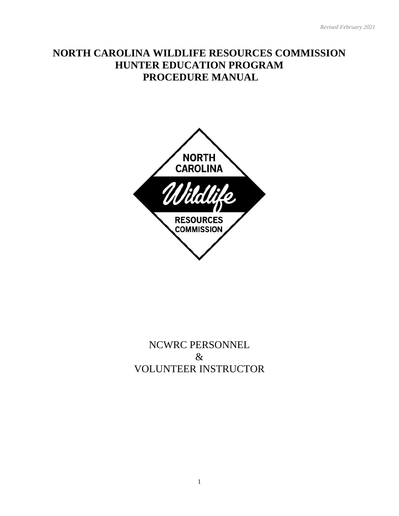# **NORTH CAROLINA WILDLIFE RESOURCES COMMISSION HUNTER EDUCATION PROGRAM PROCEDURE MANUAL**



# NCWRC PERSONNEL & VOLUNTEER INSTRUCTOR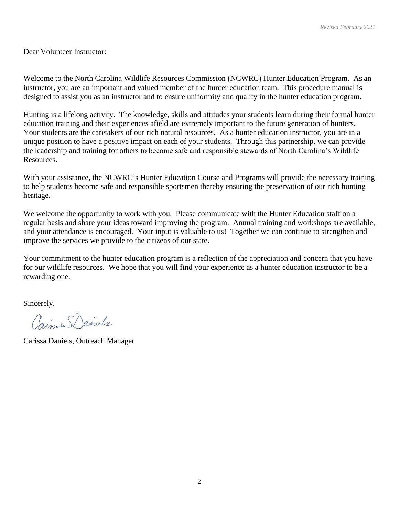Dear Volunteer Instructor:

Welcome to the North Carolina Wildlife Resources Commission (NCWRC) Hunter Education Program. As an instructor, you are an important and valued member of the hunter education team. This procedure manual is designed to assist you as an instructor and to ensure uniformity and quality in the hunter education program.

Hunting is a lifelong activity. The knowledge, skills and attitudes your students learn during their formal hunter education training and their experiences afield are extremely important to the future generation of hunters. Your students are the caretakers of our rich natural resources. As a hunter education instructor, you are in a unique position to have a positive impact on each of your students. Through this partnership, we can provide the leadership and training for others to become safe and responsible stewards of North Carolina's Wildlife Resources.

With your assistance, the NCWRC's Hunter Education Course and Programs will provide the necessary training to help students become safe and responsible sportsmen thereby ensuring the preservation of our rich hunting heritage.

We welcome the opportunity to work with you. Please communicate with the Hunter Education staff on a regular basis and share your ideas toward improving the program. Annual training and workshops are available, and your attendance is encouraged. Your input is valuable to us! Together we can continue to strengthen and improve the services we provide to the citizens of our state.

Your commitment to the hunter education program is a reflection of the appreciation and concern that you have for our wildlife resources. We hope that you will find your experience as a hunter education instructor to be a rewarding one.

Sincerely,

Caime Daniels

Carissa Daniels, Outreach Manager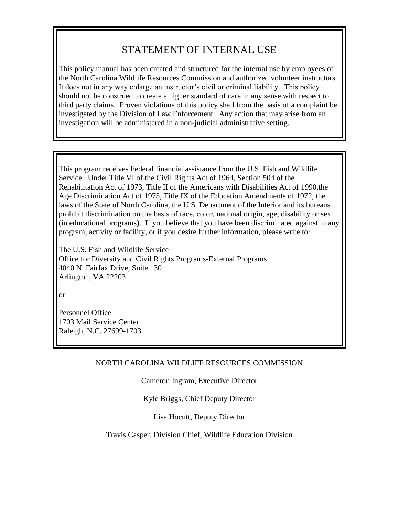# STATEMENT OF INTERNAL USE

This policy manual has been created and structured for the internal use by employees of the North Carolina Wildlife Resources Commission and authorized volunteer instructors. It does not in any way enlarge an instructor's civil or criminal liability. This policy should not be construed to create a higher standard of care in any sense with respect to third party claims. Proven violations of this policy shall from the basis of a complaint be investigated by the Division of Law Enforcement. Any action that may arise from an investigation will be administered in a non-judicial administrative setting.

This program receives Federal financial assistance from the U.S. Fish and Wildlife Service. Under Title VI of the Civil Rights Act of 1964, Section 504 of the Rehabilitation Act of 1973, Title II of the Americans with Disabilities Act of 1990,the Age Discrimination Act of 1975, Title IX of the Education Amendments of 1972, the laws of the State of North Carolina, the U.S. Department of the Interior and its bureaus prohibit discrimination on the basis of race, color, national origin, age, disability or sex (in educational programs). If you believe that you have been discriminated against in any program, activity or facility, or if you desire further information, please write to:

The U.S. Fish and Wildlife Service Office for Diversity and Civil Rights Programs-External Programs 4040 N. Fairfax Drive, Suite 130 Arlington, VA 22203

or

Personnel Office 1703 Mail Service Center Raleigh, N.C. 27699-1703

# NORTH CAROLINA WILDLIFE RESOURCES COMMISSION

Cameron Ingram, Executive Director

# Kyle Briggs, Chief Deputy Director

Lisa Hocutt, Deputy Director

Travis Casper, Division Chief, Wildlife Education Division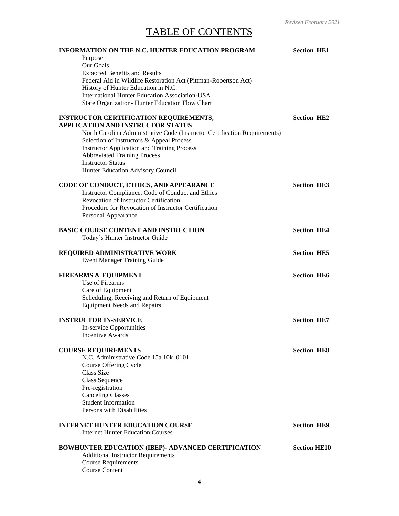# TABLE OF CONTENTS

| <b>INFORMATION ON THE N.C. HUNTER EDUCATION PROGRAM</b>                                                | <b>Section HE1</b>  |
|--------------------------------------------------------------------------------------------------------|---------------------|
| Purpose                                                                                                |                     |
| Our Goals                                                                                              |                     |
| <b>Expected Benefits and Results</b>                                                                   |                     |
| Federal Aid in Wildlife Restoration Act (Pittman-Robertson Act)<br>History of Hunter Education in N.C. |                     |
| <b>International Hunter Education Association-USA</b>                                                  |                     |
| State Organization- Hunter Education Flow Chart                                                        |                     |
|                                                                                                        |                     |
| <b>INSTRUCTOR CERTIFICATION REQUIREMENTS,</b>                                                          | <b>Section HE2</b>  |
| <b>APPLICATION AND INSTRUCTOR STATUS</b>                                                               |                     |
| North Carolina Administrative Code (Instructor Certification Requirements)                             |                     |
| Selection of Instructors & Appeal Process<br><b>Instructor Application and Training Process</b>        |                     |
| <b>Abbreviated Training Process</b>                                                                    |                     |
| <b>Instructor Status</b>                                                                               |                     |
| Hunter Education Advisory Council                                                                      |                     |
|                                                                                                        |                     |
| CODE OF CONDUCT, ETHICS, AND APPEARANCE                                                                | <b>Section HE3</b>  |
| Instructor Compliance, Code of Conduct and Ethics<br>Revocation of Instructor Certification            |                     |
| Procedure for Revocation of Instructor Certification                                                   |                     |
| Personal Appearance                                                                                    |                     |
|                                                                                                        |                     |
| BASIC COURSE CONTENT AND INSTRUCTION                                                                   | <b>Section HE4</b>  |
| Today's Hunter Instructor Guide                                                                        |                     |
| REQUIRED ADMINISTRATIVE WORK                                                                           | <b>Section HE5</b>  |
| <b>Event Manager Training Guide</b>                                                                    |                     |
|                                                                                                        |                     |
| <b>FIREARMS &amp; EQUIPMENT</b>                                                                        | <b>Section HE6</b>  |
| Use of Firearms                                                                                        |                     |
| Care of Equipment                                                                                      |                     |
| Scheduling, Receiving and Return of Equipment                                                          |                     |
| <b>Equipment Needs and Repairs</b>                                                                     |                     |
| <b>INSTRUCTOR IN-SERVICE</b>                                                                           | <b>Section HE7</b>  |
| In-service Opportunities                                                                               |                     |
| Incentive Awards                                                                                       |                     |
|                                                                                                        |                     |
| <b>COURSE REQUIREMENTS</b>                                                                             | <b>Section HE8</b>  |
| N.C. Administrative Code 15a 10k .0101.<br>Course Offering Cycle                                       |                     |
| Class Size                                                                                             |                     |
| Class Sequence                                                                                         |                     |
| Pre-registration                                                                                       |                     |
| <b>Canceling Classes</b>                                                                               |                     |
| <b>Student Information</b>                                                                             |                     |
| Persons with Disabilities                                                                              |                     |
| <b>INTERNET HUNTER EDUCATION COURSE</b>                                                                | <b>Section HE9</b>  |
| <b>Internet Hunter Education Courses</b>                                                               |                     |
|                                                                                                        |                     |
| BOWHUNTER EDUCATION (IBEP)- ADVANCED CERTIFICATION                                                     | <b>Section HE10</b> |
| <b>Additional Instructor Requirements</b>                                                              |                     |
| <b>Course Requirements</b>                                                                             |                     |
| <b>Course Content</b>                                                                                  |                     |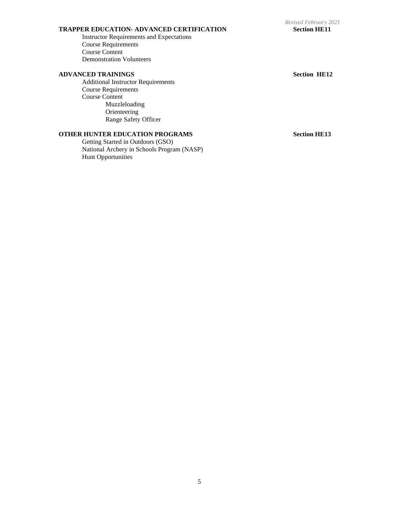### **TRAPPER EDUCATION- ADVANCED CERTIFICATION Section HE11**

Instructor Requirements and Expectations Course Requirements Course Content Demonstration Volunteers

#### **ADVANCED TRAININGS Section HE12**

Additional Instructor Requirements Course Requirements Course Content Muzzleloading Orienteering Range Safety Officer

# **OTHER HUNTER EDUCATION PROGRAMS Section HE13**

Getting Started in Outdoors (GSO) National Archery in Schools Program (NASP) Hunt Opportunities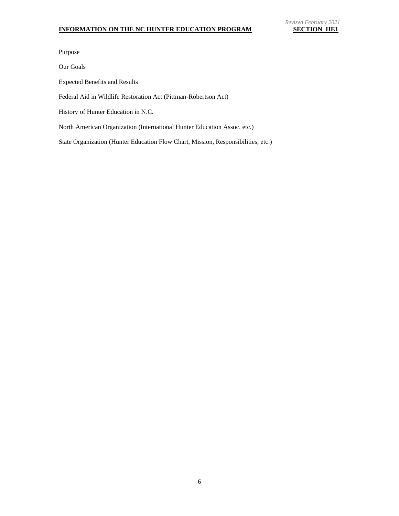Purpose

Our Goals

Expected Benefits and Results

Federal Aid in Wildlife Restoration Act (Pittman-Robertson Act)

History of Hunter Education in N.C.

North American Organization (International Hunter Education Assoc. etc.)

State Organization (Hunter Education Flow Chart, Mission, Responsibilities, etc.)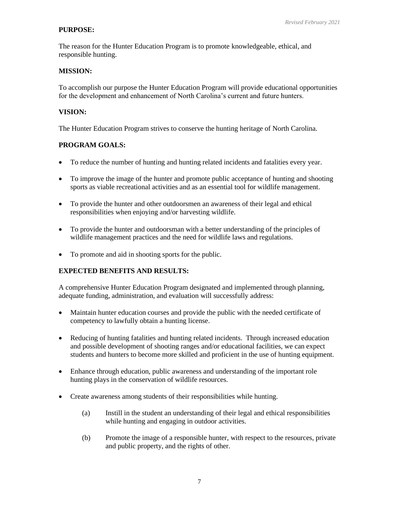# **PURPOSE:**

The reason for the Hunter Education Program is to promote knowledgeable, ethical, and responsible hunting.

## **MISSION:**

To accomplish our purpose the Hunter Education Program will provide educational opportunities for the development and enhancement of North Carolina's current and future hunters.

## **VISION:**

The Hunter Education Program strives to conserve the hunting heritage of North Carolina.

# **PROGRAM GOALS:**

- To reduce the number of hunting and hunting related incidents and fatalities every year.
- To improve the image of the hunter and promote public acceptance of hunting and shooting sports as viable recreational activities and as an essential tool for wildlife management.
- To provide the hunter and other outdoorsmen an awareness of their legal and ethical responsibilities when enjoying and/or harvesting wildlife.
- To provide the hunter and outdoorsman with a better understanding of the principles of wildlife management practices and the need for wildlife laws and regulations.
- To promote and aid in shooting sports for the public.

# **EXPECTED BENEFITS AND RESULTS:**

A comprehensive Hunter Education Program designated and implemented through planning, adequate funding, administration, and evaluation will successfully address:

- Maintain hunter education courses and provide the public with the needed certificate of competency to lawfully obtain a hunting license.
- Reducing of hunting fatalities and hunting related incidents. Through increased education and possible development of shooting ranges and/or educational facilities, we can expect students and hunters to become more skilled and proficient in the use of hunting equipment.
- Enhance through education, public awareness and understanding of the important role hunting plays in the conservation of wildlife resources.
- Create awareness among students of their responsibilities while hunting.
	- (a) Instill in the student an understanding of their legal and ethical responsibilities while hunting and engaging in outdoor activities.
	- (b) Promote the image of a responsible hunter, with respect to the resources, private and public property, and the rights of other.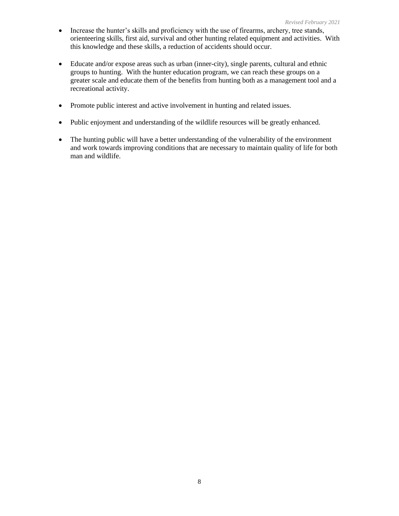- Increase the hunter's skills and proficiency with the use of firearms, archery, tree stands, orienteering skills, first aid, survival and other hunting related equipment and activities. With this knowledge and these skills, a reduction of accidents should occur.
- Educate and/or expose areas such as urban (inner-city), single parents, cultural and ethnic groups to hunting. With the hunter education program, we can reach these groups on a greater scale and educate them of the benefits from hunting both as a management tool and a recreational activity.
- Promote public interest and active involvement in hunting and related issues.
- Public enjoyment and understanding of the wildlife resources will be greatly enhanced.
- The hunting public will have a better understanding of the vulnerability of the environment and work towards improving conditions that are necessary to maintain quality of life for both man and wildlife.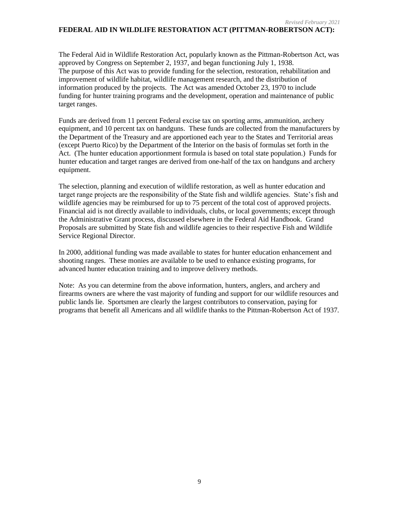#### *Revised February 2021* **FEDERAL AID IN WILDLIFE RESTORATION ACT (PITTMAN-ROBERTSON ACT):**

The Federal Aid in Wildlife Restoration Act, popularly known as the Pittman-Robertson Act, was approved by Congress on September 2, 1937, and began functioning July 1, 1938. The purpose of this Act was to provide funding for the selection, restoration, rehabilitation and improvement of wildlife habitat, wildlife management research, and the distribution of information produced by the projects. The Act was amended October 23, 1970 to include funding for hunter training programs and the development, operation and maintenance of public target ranges.

Funds are derived from 11 percent Federal excise tax on sporting arms, ammunition, archery equipment, and 10 percent tax on handguns. These funds are collected from the manufacturers by the Department of the Treasury and are apportioned each year to the States and Territorial areas (except Puerto Rico) by the Department of the Interior on the basis of formulas set forth in the Act. (The hunter education apportionment formula is based on total state population.) Funds for hunter education and target ranges are derived from one-half of the tax on handguns and archery equipment.

The selection, planning and execution of wildlife restoration, as well as hunter education and target range projects are the responsibility of the State fish and wildlife agencies. State's fish and wildlife agencies may be reimbursed for up to 75 percent of the total cost of approved projects. Financial aid is not directly available to individuals, clubs, or local governments; except through the Administrative Grant process, discussed elsewhere in the Federal Aid Handbook. Grand Proposals are submitted by State fish and wildlife agencies to their respective Fish and Wildlife Service Regional Director.

In 2000, additional funding was made available to states for hunter education enhancement and shooting ranges. These monies are available to be used to enhance existing programs, for advanced hunter education training and to improve delivery methods.

Note: As you can determine from the above information, hunters, anglers, and archery and firearms owners are where the vast majority of funding and support for our wildlife resources and public lands lie. Sportsmen are clearly the largest contributors to conservation, paying for programs that benefit all Americans and all wildlife thanks to the Pittman-Robertson Act of 1937.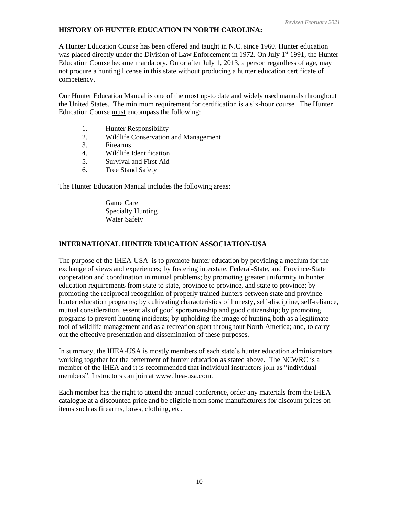# **HISTORY OF HUNTER EDUCATION IN NORTH CAROLINA:**

A Hunter Education Course has been offered and taught in N.C. since 1960. Hunter education was placed directly under the Division of Law Enforcement in 1972. On July  $1<sup>st</sup>$  1991, the Hunter Education Course became mandatory. On or after July 1, 2013, a person regardless of age, may not procure a hunting license in this state without producing a hunter education certificate of competency.

Our Hunter Education Manual is one of the most up-to date and widely used manuals throughout the United States. The minimum requirement for certification is a six-hour course. The Hunter Education Course must encompass the following:

- 1. Hunter Responsibility
- 2. Wildlife Conservation and Management
- 3. Firearms
- 4. Wildlife Identification
- 5. Survival and First Aid
- 6. Tree Stand Safety

The Hunter Education Manual includes the following areas:

Game Care Specialty Hunting Water Safety

# **INTERNATIONAL HUNTER EDUCATION ASSOCIATION-USA**

The purpose of the IHEA-USA is to promote hunter education by providing a medium for the exchange of views and experiences; by fostering interstate, Federal-State, and Province-State cooperation and coordination in mutual problems; by promoting greater uniformity in hunter education requirements from state to state, province to province, and state to province; by promoting the reciprocal recognition of properly trained hunters between state and province hunter education programs; by cultivating characteristics of honesty, self-discipline, self-reliance, mutual consideration, essentials of good sportsmanship and good citizenship; by promoting programs to prevent hunting incidents; by upholding the image of hunting both as a legitimate tool of wildlife management and as a recreation sport throughout North America; and, to carry out the effective presentation and dissemination of these purposes.

In summary, the IHEA-USA is mostly members of each state's hunter education administrators working together for the betterment of hunter education as stated above. The NCWRC is a member of the IHEA and it is recommended that individual instructors join as "individual members". Instructors can join at www.ihea-usa.com.

Each member has the right to attend the annual conference, order any materials from the IHEA catalogue at a discounted price and be eligible from some manufacturers for discount prices on items such as firearms, bows, clothing, etc.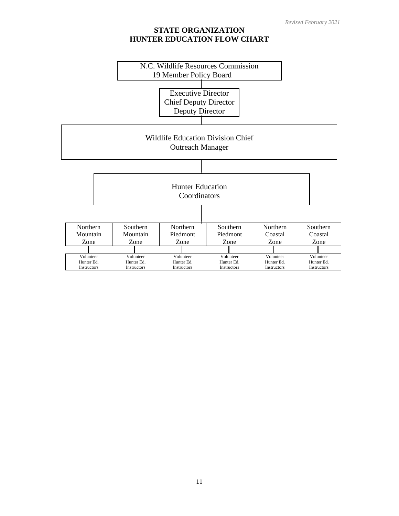# **STATE ORGANIZATION HUNTER EDUCATION FLOW CHART**

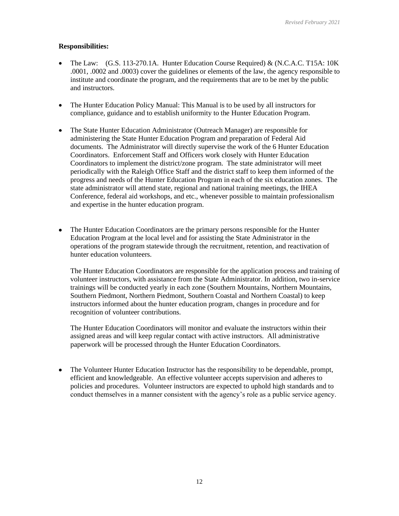# **Responsibilities:**

- The Law:  $(G.S. 113-270.1A$ . Hunter Education Course Required) &  $(N.C.A.C. T15A: 10K)$ .0001, .0002 and .0003) cover the guidelines or elements of the law, the agency responsible to institute and coordinate the program, and the requirements that are to be met by the public and instructors.
- The Hunter Education Policy Manual: This Manual is to be used by all instructors for compliance, guidance and to establish uniformity to the Hunter Education Program.
- The State Hunter Education Administrator (Outreach Manager) are responsible for administering the State Hunter Education Program and preparation of Federal Aid documents. The Administrator will directly supervise the work of the 6 Hunter Education Coordinators. Enforcement Staff and Officers work closely with Hunter Education Coordinators to implement the district/zone program. The state administrator will meet periodically with the Raleigh Office Staff and the district staff to keep them informed of the progress and needs of the Hunter Education Program in each of the six education zones. The state administrator will attend state, regional and national training meetings, the IHEA Conference, federal aid workshops, and etc., whenever possible to maintain professionalism and expertise in the hunter education program.
- The Hunter Education Coordinators are the primary persons responsible for the Hunter Education Program at the local level and for assisting the State Administrator in the operations of the program statewide through the recruitment, retention, and reactivation of hunter education volunteers.

The Hunter Education Coordinators are responsible for the application process and training of volunteer instructors, with assistance from the State Administrator. In addition, two in-service trainings will be conducted yearly in each zone (Southern Mountains, Northern Mountains, Southern Piedmont, Northern Piedmont, Southern Coastal and Northern Coastal) to keep instructors informed about the hunter education program, changes in procedure and for recognition of volunteer contributions.

The Hunter Education Coordinators will monitor and evaluate the instructors within their assigned areas and will keep regular contact with active instructors. All administrative paperwork will be processed through the Hunter Education Coordinators.

• The Volunteer Hunter Education Instructor has the responsibility to be dependable, prompt, efficient and knowledgeable. An effective volunteer accepts supervision and adheres to policies and procedures. Volunteer instructors are expected to uphold high standards and to conduct themselves in a manner consistent with the agency's role as a public service agency.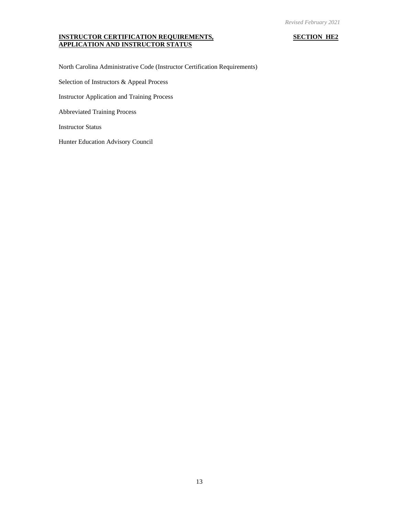#### **INSTRUCTOR CERTIFICATION REQUIREMENTS, SECTION HE2 APPLICATION AND INSTRUCTOR STATUS**

North Carolina Administrative Code (Instructor Certification Requirements)

Selection of Instructors & Appeal Process

Instructor Application and Training Process

Abbreviated Training Process

Instructor Status

Hunter Education Advisory Council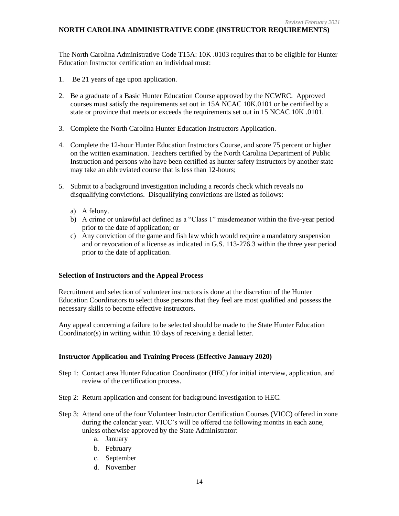# **NORTH CAROLINA ADMINISTRATIVE CODE (INSTRUCTOR REQUIREMENTS)**

The North Carolina Administrative Code T15A: 10K .0103 requires that to be eligible for Hunter Education Instructor certification an individual must:

- 1. Be 21 years of age upon application.
- 2. Be a graduate of a Basic Hunter Education Course approved by the NCWRC. Approved courses must satisfy the requirements set out in 15A NCAC 10K.0101 or be certified by a state or province that meets or exceeds the requirements set out in 15 NCAC 10K .0101.
- 3. Complete the North Carolina Hunter Education Instructors Application.
- 4. Complete the 12-hour Hunter Education Instructors Course, and score 75 percent or higher on the written examination. Teachers certified by the North Carolina Department of Public Instruction and persons who have been certified as hunter safety instructors by another state may take an abbreviated course that is less than 12-hours;
- 5. Submit to a background investigation including a records check which reveals no disqualifying convictions. Disqualifying convictions are listed as follows:
	- a) A felony.
	- b) A crime or unlawful act defined as a "Class 1" misdemeanor within the five-year period prior to the date of application; or
	- c) Any conviction of the game and fish law which would require a mandatory suspension and or revocation of a license as indicated in G.S. 113-276.3 within the three year period prior to the date of application.

# **Selection of Instructors and the Appeal Process**

Recruitment and selection of volunteer instructors is done at the discretion of the Hunter Education Coordinators to select those persons that they feel are most qualified and possess the necessary skills to become effective instructors.

Any appeal concerning a failure to be selected should be made to the State Hunter Education Coordinator(s) in writing within 10 days of receiving a denial letter.

# **Instructor Application and Training Process (Effective January 2020)**

- Step 1: Contact area Hunter Education Coordinator (HEC) for initial interview, application, and review of the certification process.
- Step 2: Return application and consent for background investigation to HEC.
- Step 3: Attend one of the four Volunteer Instructor Certification Courses (VICC) offered in zone during the calendar year. VICC's will be offered the following months in each zone, unless otherwise approved by the State Administrator:
	- a. January
	- b. February
	- c. September
	- d. November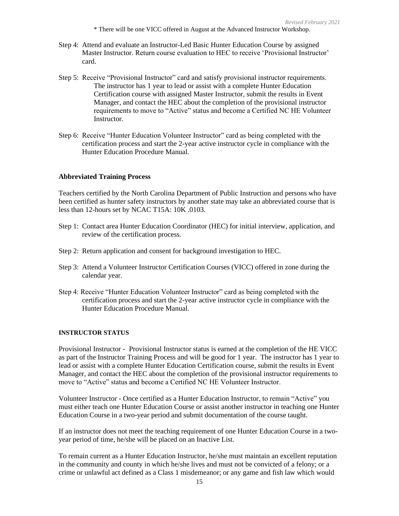\* There will be one VICC offered in August at the Advanced Instructor Workshop.

- Step 4: Attend and evaluate an Instructor-Led Basic Hunter Education Course by assigned Master Instructor. Return course evaluation to HEC to receive 'Provisional Instructor' card.
- Step 5: Receive "Provisional Instructor" card and satisfy provisional instructor requirements. The instructor has 1 year to lead or assist with a complete Hunter Education Certification course with assigned Master Instructor, submit the results in Event Manager, and contact the HEC about the completion of the provisional instructor requirements to move to "Active" status and become a Certified NC HE Volunteer Instructor.
- Step 6: Receive "Hunter Education Volunteer Instructor" card as being completed with the certification process and start the 2-year active instructor cycle in compliance with the Hunter Education Procedure Manual.

### **Abbreviated Training Process**

Teachers certified by the North Carolina Department of Public Instruction and persons who have been certified as hunter safety instructors by another state may take an abbreviated course that is less than 12-hours set by NCAC T15A: 10K .0103.

- Step 1: Contact area Hunter Education Coordinator (HEC) for initial interview, application, and review of the certification process.
- Step 2: Return application and consent for background investigation to HEC.
- Step 3: Attend a Volunteer Instructor Certification Courses (VICC) offered in zone during the calendar year.
- Step 4: Receive "Hunter Education Volunteer Instructor" card as being completed with the certification process and start the 2-year active instructor cycle in compliance with the Hunter Education Procedure Manual.

### **INSTRUCTOR STATUS**

Provisional Instructor - Provisional Instructor status is earned at the completion of the HE VICC as part of the Instructor Training Process and will be good for 1 year. The instructor has 1 year to lead or assist with a complete Hunter Education Certification course, submit the results in Event Manager, and contact the HEC about the completion of the provisional instructor requirements to move to "Active" status and become a Certified NC HE Volunteer Instructor.

Volunteer Instructor - Once certified as a Hunter Education Instructor, to remain "Active" you must either teach one Hunter Education Course or assist another instructor in teaching one Hunter Education Course in a two-year period and submit documentation of the course taught.

If an instructor does not meet the teaching requirement of one Hunter Education Course in a twoyear period of time, he/she will be placed on an Inactive List.

To remain current as a Hunter Education Instructor, he/she must maintain an excellent reputation in the community and county in which he/she lives and must not be convicted of a felony; or a crime or unlawful act defined as a Class 1 misdemeanor; or any game and fish law which would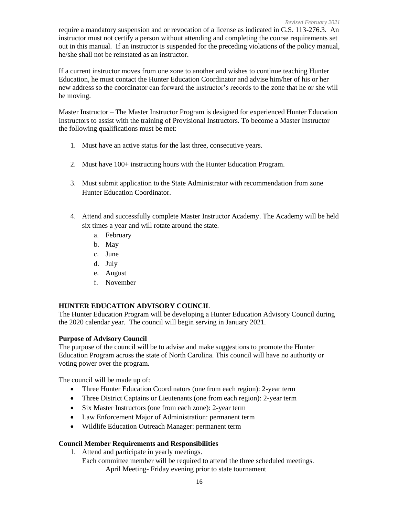require a mandatory suspension and or revocation of a license as indicated in G.S. 113-276.3. An instructor must not certify a person without attending and completing the course requirements set out in this manual. If an instructor is suspended for the preceding violations of the policy manual, he/she shall not be reinstated as an instructor.

If a current instructor moves from one zone to another and wishes to continue teaching Hunter Education, he must contact the Hunter Education Coordinator and advise him/her of his or her new address so the coordinator can forward the instructor's records to the zone that he or she will be moving.

Master Instructor – The Master Instructor Program is designed for experienced Hunter Education Instructors to assist with the training of Provisional Instructors. To become a Master Instructor the following qualifications must be met:

- 1. Must have an active status for the last three, consecutive years.
- 2. Must have 100+ instructing hours with the Hunter Education Program.
- 3. Must submit application to the State Administrator with recommendation from zone Hunter Education Coordinator.
- 4. Attend and successfully complete Master Instructor Academy. The Academy will be held six times a year and will rotate around the state.
	- a. February
	- b. May
	- c. June
	- d. July
	- e. August
	- f. November

# **HUNTER EDUCATION ADVISORY COUNCIL**

The Hunter Education Program will be developing a Hunter Education Advisory Council during the 2020 calendar year. The council will begin serving in January 2021.

# **Purpose of Advisory Council**

The purpose of the council will be to advise and make suggestions to promote the Hunter Education Program across the state of North Carolina. This council will have no authority or voting power over the program.

The council will be made up of:

- Three Hunter Education Coordinators (one from each region): 2-year term
- Three District Captains or Lieutenants (one from each region): 2-year term
- Six Master Instructors (one from each zone): 2-year term
- Law Enforcement Major of Administration: permanent term
- Wildlife Education Outreach Manager: permanent term

# **Council Member Requirements and Responsibilities**

- 1. Attend and participate in yearly meetings.
	- Each committee member will be required to attend the three scheduled meetings. April Meeting- Friday evening prior to state tournament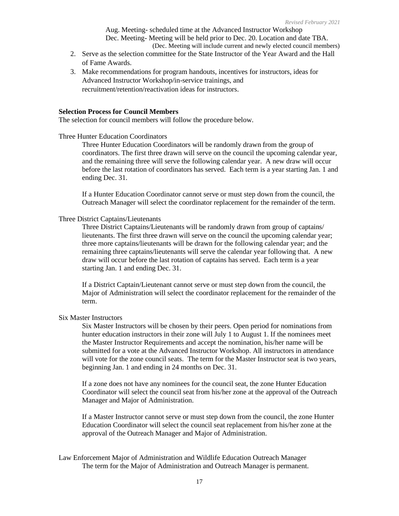Aug. Meeting- scheduled time at the Advanced Instructor Workshop Dec. Meeting- Meeting will be held prior to Dec. 20. Location and date TBA. (Dec. Meeting will include current and newly elected council members)

- 2. Serve as the selection committee for the State Instructor of the Year Award and the Hall of Fame Awards.
- 3. Make recommendations for program handouts, incentives for instructors, ideas for Advanced Instructor Workshop/in-service trainings, and recruitment/retention/reactivation ideas for instructors.

#### **Selection Process for Council Members**

The selection for council members will follow the procedure below.

Three Hunter Education Coordinators

Three Hunter Education Coordinators will be randomly drawn from the group of coordinators. The first three drawn will serve on the council the upcoming calendar year, and the remaining three will serve the following calendar year. A new draw will occur before the last rotation of coordinators has served. Each term is a year starting Jan. 1 and ending Dec. 31.

If a Hunter Education Coordinator cannot serve or must step down from the council, the Outreach Manager will select the coordinator replacement for the remainder of the term.

### Three District Captains/Lieutenants

Three District Captains/Lieutenants will be randomly drawn from group of captains/ lieutenants. The first three drawn will serve on the council the upcoming calendar year; three more captains/lieutenants will be drawn for the following calendar year; and the remaining three captains/lieutenants will serve the calendar year following that. A new draw will occur before the last rotation of captains has served. Each term is a year starting Jan. 1 and ending Dec. 31.

If a District Captain/Lieutenant cannot serve or must step down from the council, the Major of Administration will select the coordinator replacement for the remainder of the term.

#### Six Master Instructors

Six Master Instructors will be chosen by their peers. Open period for nominations from hunter education instructors in their zone will July 1 to August 1. If the nominees meet the Master Instructor Requirements and accept the nomination, his/her name will be submitted for a vote at the Advanced Instructor Workshop. All instructors in attendance will vote for the zone council seats. The term for the Master Instructor seat is two years, beginning Jan. 1 and ending in 24 months on Dec. 31.

If a zone does not have any nominees for the council seat, the zone Hunter Education Coordinator will select the council seat from his/her zone at the approval of the Outreach Manager and Major of Administration.

If a Master Instructor cannot serve or must step down from the council, the zone Hunter Education Coordinator will select the council seat replacement from his/her zone at the approval of the Outreach Manager and Major of Administration.

Law Enforcement Major of Administration and Wildlife Education Outreach Manager The term for the Major of Administration and Outreach Manager is permanent.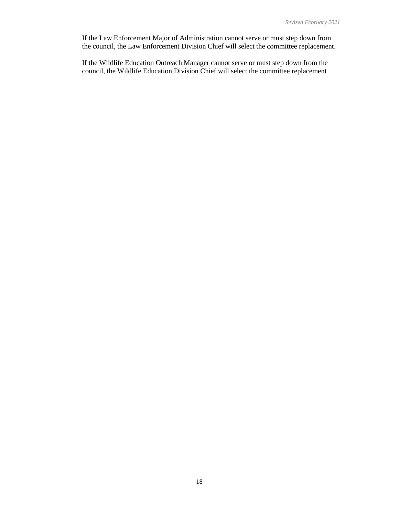If the Law Enforcement Major of Administration cannot serve or must step down from the council, the Law Enforcement Division Chief will select the committee replacement.

If the Wildlife Education Outreach Manager cannot serve or must step down from the council, the Wildlife Education Division Chief will select the committee replacement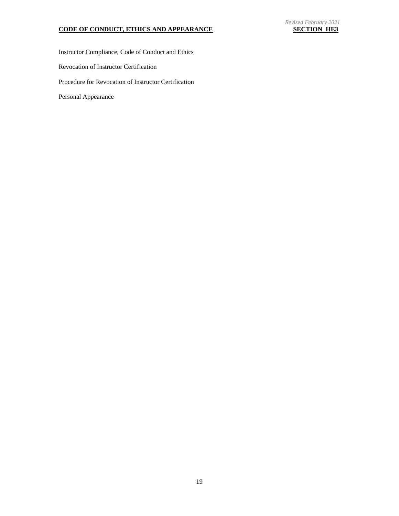# *Revised February 2021*

## **CODE OF CONDUCT, ETHICS AND APPEARANCE SECTION HE3**

Instructor Compliance, Code of Conduct and Ethics Revocation of Instructor Certification Procedure for Revocation of Instructor Certification Personal Appearance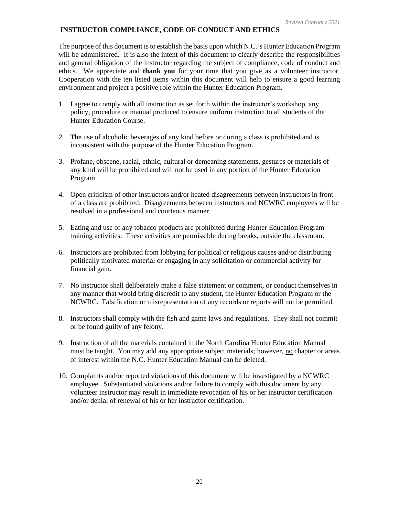# **INSTRUCTOR COMPLIANCE, CODE OF CONDUCT AND ETHICS**

The purpose of this document is to establish the basis upon which N.C.'s Hunter Education Program will be administered. It is also the intent of this document to clearly describe the responsibilities and general obligation of the instructor regarding the subject of compliance, code of conduct and ethics. We appreciate and **thank you** for your time that you give as a volunteer instructor. Cooperation with the ten listed items within this document will help to ensure a good learning environment and project a positive role within the Hunter Education Program.

- 1. I agree to comply with all instruction as set forth within the instructor's workshop, any policy, procedure or manual produced to ensure uniform instruction to all students of the Hunter Education Course.
- 2. The use of alcoholic beverages of any kind before or during a class is prohibited and is inconsistent with the purpose of the Hunter Education Program.
- 3. Profane, obscene, racial, ethnic, cultural or demeaning statements, gestures or materials of any kind will be prohibited and will not be used in any portion of the Hunter Education Program.
- 4. Open criticism of other instructors and/or heated disagreements between instructors in front of a class are prohibited. Disagreements between instructors and NCWRC employees will be resolved in a professional and courteous manner.
- 5. Eating and use of any tobacco products are prohibited during Hunter Education Program training activities. These activities are permissible during breaks, outside the classroom.
- 6. Instructors are prohibited from lobbying for political or religious causes and/or distributing politically motivated material or engaging in any solicitation or commercial activity for financial gain.
- 7. No instructor shall deliberately make a false statement or comment, or conduct themselves in any manner that would bring discredit to any student, the Hunter Education Program or the NCWRC. Falsification or misrepresentation of any records or reports will not be permitted.
- 8. Instructors shall comply with the fish and game laws and regulations. They shall not commit or be found guilty of any felony.
- 9. Instruction of all the materials contained in the North Carolina Hunter Education Manual must be taught. You may add any appropriate subject materials; however, no chapter or areas of interest within the N.C. Hunter Education Manual can be deleted.
- 10. Complaints and/or reported violations of this document will be investigated by a NCWRC employee. Substantiated violations and/or failure to comply with this document by any volunteer instructor may result in immediate revocation of his or her instructor certification and/or denial of renewal of his or her instructor certification.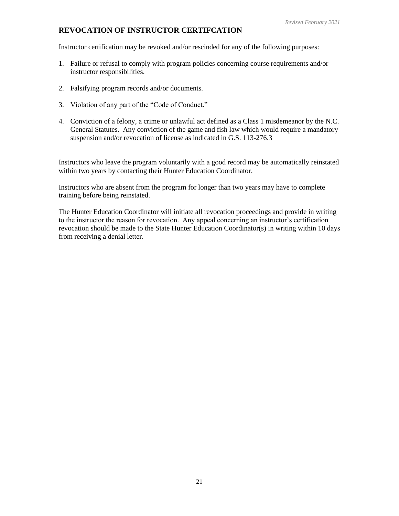# **REVOCATION OF INSTRUCTOR CERTIFCATION**

Instructor certification may be revoked and/or rescinded for any of the following purposes:

- 1. Failure or refusal to comply with program policies concerning course requirements and/or instructor responsibilities.
- 2. Falsifying program records and/or documents.
- 3. Violation of any part of the "Code of Conduct."
- 4. Conviction of a felony, a crime or unlawful act defined as a Class 1 misdemeanor by the N.C. General Statutes. Any conviction of the game and fish law which would require a mandatory suspension and/or revocation of license as indicated in G.S. 113-276.3

Instructors who leave the program voluntarily with a good record may be automatically reinstated within two years by contacting their Hunter Education Coordinator.

Instructors who are absent from the program for longer than two years may have to complete training before being reinstated.

The Hunter Education Coordinator will initiate all revocation proceedings and provide in writing to the instructor the reason for revocation. Any appeal concerning an instructor's certification revocation should be made to the State Hunter Education Coordinator(s) in writing within 10 days from receiving a denial letter.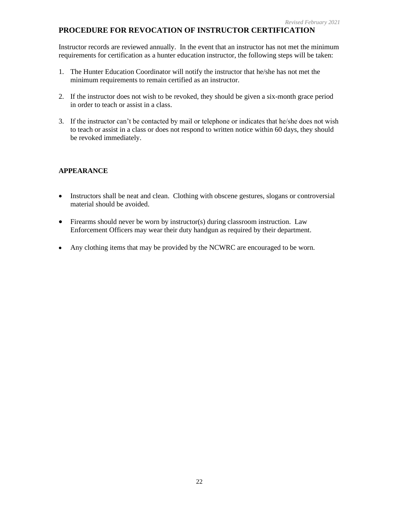# **PROCEDURE FOR REVOCATION OF INSTRUCTOR CERTIFICATION**

Instructor records are reviewed annually. In the event that an instructor has not met the minimum requirements for certification as a hunter education instructor, the following steps will be taken:

- 1. The Hunter Education Coordinator will notify the instructor that he/she has not met the minimum requirements to remain certified as an instructor.
- 2. If the instructor does not wish to be revoked, they should be given a six-month grace period in order to teach or assist in a class.
- 3. If the instructor can't be contacted by mail or telephone or indicates that he/she does not wish to teach or assist in a class or does not respond to written notice within 60 days, they should be revoked immediately.

# **APPEARANCE**

- Instructors shall be neat and clean. Clothing with obscene gestures, slogans or controversial material should be avoided.
- Firearms should never be worn by instructor(s) during classroom instruction. Law Enforcement Officers may wear their duty handgun as required by their department.
- Any clothing items that may be provided by the NCWRC are encouraged to be worn.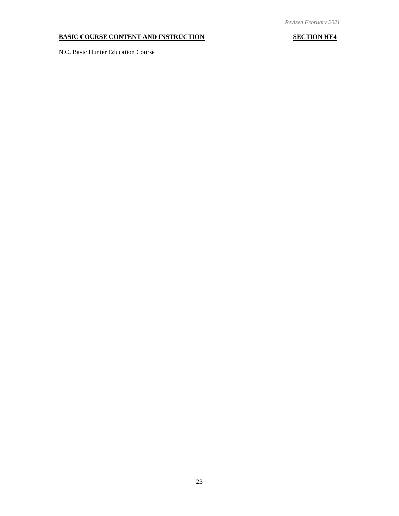# **BASIC COURSE CONTENT AND INSTRUCTION SECTION HE4**

N.C. Basic Hunter Education Course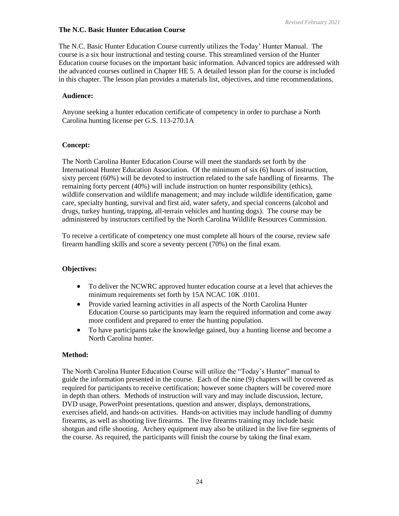# **The N.C. Basic Hunter Education Course**

The N.C. Basic Hunter Education Course currently utilizes the Today' Hunter Manual. The course is a six hour instructional and testing course. This streamlined version of the Hunter Education course focuses on the important basic information. Advanced topics are addressed with the advanced courses outlined in Chapter HE 5. A detailed lesson plan for the course is included in this chapter. The lesson plan provides a materials list, objectives, and time recommendations.

# **Audience:**

Anyone seeking a hunter education certificate of competency in order to purchase a North Carolina hunting license per G.S. 113-270.1A

# **Concept:**

The North Carolina Hunter Education Course will meet the standards set forth by the International Hunter Education Association. Of the minimum of six (6) hours of instruction, sixty percent (60%) will be devoted to instruction related to the safe handling of firearms. The remaining forty percent (40%) will include instruction on hunter responsibility (ethics), wildlife conservation and wildlife management; and may include wildlife identification, game care, specialty hunting, survival and first aid, water safety, and special concerns (alcohol and drugs, turkey hunting, trapping, all-terrain vehicles and hunting dogs). The course may be administered by instructors certified by the North Carolina Wildlife Resources Commission.

To receive a certificate of competency one must complete all hours of the course, review safe firearm handling skills and score a seventy percent (70%) on the final exam.

# **Objectives:**

- To deliver the NCWRC approved hunter education course at a level that achieves the minimum requirements set forth by 15A NCAC 10K .0101.
- Provide varied learning activities in all aspects of the North Carolina Hunter Education Course so participants may learn the required information and come away more confident and prepared to enter the hunting population.
- To have participants take the knowledge gained, buy a hunting license and become a North Carolina hunter.

# **Method:**

The North Carolina Hunter Education Course will utilize the "Today's Hunter" manual to guide the information presented in the course. Each of the nine (9) chapters will be covered as required for participants to receive certification; however some chapters will be covered more in depth than others. Methods of instruction will vary and may include discussion, lecture, DVD usage, PowerPoint presentations, question and answer, displays, demonstrations, exercises afield, and hands-on activities. Hands-on activities may include handling of dummy firearms, as well as shooting live firearms. The live firearms training may include basic shotgun and rifle shooting. Archery equipment may also be utilized in the live fire segments of the course. As required, the participants will finish the course by taking the final exam.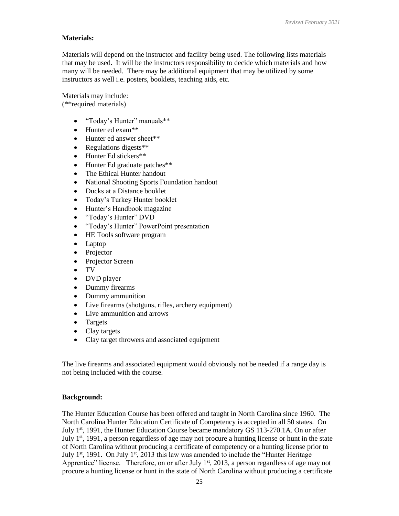# **Materials:**

Materials will depend on the instructor and facility being used. The following lists materials that may be used. It will be the instructors responsibility to decide which materials and how many will be needed. There may be additional equipment that may be utilized by some instructors as well i.e. posters, booklets, teaching aids, etc.

Materials may include:

(\*\*required materials)

- "Today's Hunter" manuals\*\*
- Hunter ed exam\*\*
- Hunter ed answer sheet\*\*
- Regulations digests\*\*
- Hunter Ed stickers\*\*
- Hunter Ed graduate patches\*\*
- The Ethical Hunter handout
- National Shooting Sports Foundation handout
- Ducks at a Distance booklet
- Today's Turkey Hunter booklet
- Hunter's Handbook magazine
- "Today's Hunter" DVD
- "Today's Hunter" PowerPoint presentation
- HE Tools software program
- Laptop
- Projector
- Projector Screen
- TV
- DVD player
- Dummy firearms
- Dummy ammunition
- Live firearms (shotguns, rifles, archery equipment)
- Live ammunition and arrows
- Targets
- Clay targets
- Clay target throwers and associated equipment

The live firearms and associated equipment would obviously not be needed if a range day is not being included with the course.

# **Background:**

The Hunter Education Course has been offered and taught in North Carolina since 1960. The North Carolina Hunter Education Certificate of Competency is accepted in all 50 states. On July 1st, 1991, the Hunter Education Course became mandatory GS 113-270.1A. On or after July  $1<sup>st</sup>$ , 1991, a person regardless of age may not procure a hunting license or hunt in the state of North Carolina without producing a certificate of competency or a hunting license prior to July  $1<sup>st</sup>$ , 1991. On July  $1<sup>st</sup>$ , 2013 this law was amended to include the "Hunter Heritage" Apprentice" license. Therefore, on or after July  $1<sup>st</sup>$ , 2013, a person regardless of age may not procure a hunting license or hunt in the state of North Carolina without producing a certificate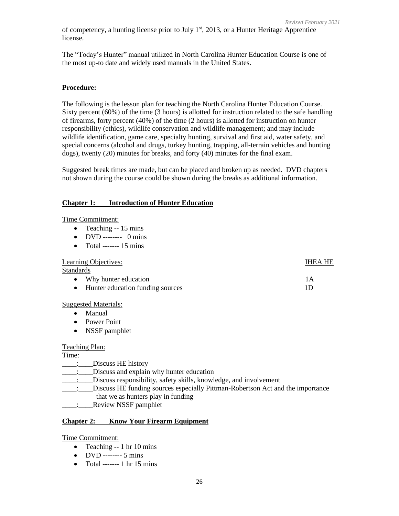of competency, a hunting license prior to July  $1<sup>st</sup>$ , 2013, or a Hunter Heritage Apprentice license.

The "Today's Hunter" manual utilized in North Carolina Hunter Education Course is one of the most up-to date and widely used manuals in the United States.

### **Procedure:**

The following is the lesson plan for teaching the North Carolina Hunter Education Course. Sixty percent (60%) of the time (3 hours) is allotted for instruction related to the safe handling of firearms, forty percent (40%) of the time (2 hours) is allotted for instruction on hunter responsibility (ethics), wildlife conservation and wildlife management; and may include wildlife identification, game care, specialty hunting, survival and first aid, water safety, and special concerns (alcohol and drugs, turkey hunting, trapping, all-terrain vehicles and hunting dogs), twenty (20) minutes for breaks, and forty (40) minutes for the final exam.

Suggested break times are made, but can be placed and broken up as needed. DVD chapters not shown during the course could be shown during the breaks as additional information.

### **Chapter 1: Introduction of Hunter Education**

#### Time Commitment:

- Teaching -- 15 mins
- DVD -------- 0 mins
- Total ------- 15 mins

#### Learning Objectives: IHEA HE

Standards

• Why hunter education 1A • Hunter education funding sources 1D

#### Suggested Materials:

- Manual
- Power Point
- NSSF pamphlet

#### Teaching Plan:

#### Time:

- \_\_\_\_:\_\_\_\_Discuss HE history
- \_\_\_\_:\_\_\_\_Discuss and explain why hunter education
- \_\_\_\_:\_\_\_\_Discuss responsibility, safety skills, knowledge, and involvement
- \_\_\_\_:\_\_\_\_Discuss HE funding sources especially Pittman-Robertson Act and the importance
	- that we as hunters play in funding
- \_\_\_\_:\_\_\_\_Review NSSF pamphlet

#### **Chapter 2: Know Your Firearm Equipment**

#### Time Commitment:

- Teaching -- 1 hr 10 mins
- DVD -------- 5 mins
- Total ------- 1 hr 15 mins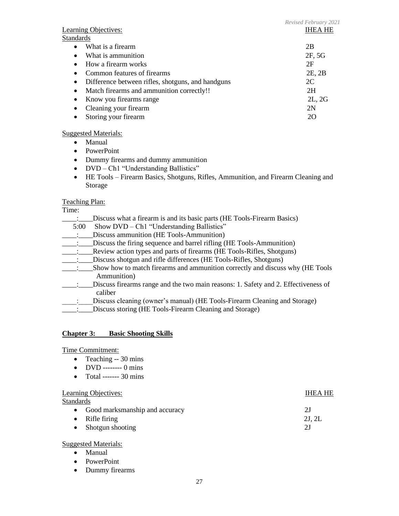|                                                                | Revised February 2021 |
|----------------------------------------------------------------|-----------------------|
| <b>Learning Objectives:</b>                                    | <b>IHEA HE</b>        |
| <b>Standards</b>                                               |                       |
| What is a firearm<br>$\bullet$                                 | 2B                    |
| What is ammunition<br>$\bullet$                                | 2F, 5G                |
| How a firearm works<br>$\bullet$                               | 2F                    |
| Common features of firearms                                    | 2E, 2B                |
| Difference between rifles, shotguns, and handguns<br>$\bullet$ | 2C                    |
| Match firearms and ammunition correctly!!<br>$\bullet$         | 2H                    |
| Know you firearms range<br>$\bullet$                           | 2L, 2G                |
| Cleaning your firearm<br>$\bullet$                             | 2N                    |
| Storing your firearm                                           | 20                    |

# Suggested Materials:

- Manual
- PowerPoint
- Dummy firearms and dummy ammunition
- DVD Ch1 "Understanding Ballistics"
- HE Tools Firearm Basics, Shotguns, Rifles, Ammunition, and Firearm Cleaning and Storage

### Teaching Plan:

Time:

- \_\_\_\_:\_\_\_\_Discuss what a firearm is and its basic parts (HE Tools-Firearm Basics)
- 5:00 Show DVD Ch1 "Understanding Ballistics"
- \_\_\_\_:\_\_\_\_Discuss ammunition (HE Tools-Ammunition)
- \_\_\_\_:\_\_\_\_Discuss the firing sequence and barrel rifling (HE Tools-Ammunition)
- \_\_\_\_:\_\_\_\_Review action types and parts of firearms (HE Tools-Rifles, Shotguns)
- \_\_\_\_:\_\_\_\_Discuss shotgun and rifle differences (HE Tools-Rifles, Shotguns)
- \_\_\_\_:\_\_\_\_Show how to match firearms and ammunition correctly and discuss why (HE Tools Ammunition)
- \_\_\_\_:\_\_\_\_Discuss firearms range and the two main reasons: 1. Safety and 2. Effectiveness of caliber
- Discuss cleaning (owner's manual) (HE Tools-Firearm Cleaning and Storage)
- Discuss storing (HE Tools-Firearm Cleaning and Storage)

# **Chapter 3: Basic Shooting Skills**

#### Time Commitment:

- Teaching -- 30 mins
- DVD -------- 0 mins
- Total ------- 30 mins

| Learning Objectives:                        | <b>IHEA HE</b> |
|---------------------------------------------|----------------|
| <b>Standards</b>                            |                |
| Good marksmanship and accuracy<br>$\bullet$ | 2J             |
| Rifle firing<br>$\bullet$                   | 2J, 2L         |
| • Shotgun shooting                          | 2J             |
|                                             |                |

#### Suggested Materials:

- Manual
- PowerPoint
- Dummy firearms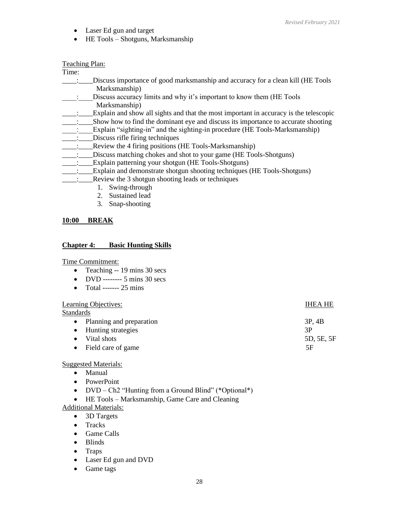- Laser Ed gun and target
- HE Tools Shotguns, Marksmanship

### Teaching Plan:

Time:

- \_\_\_\_:\_\_\_\_Discuss importance of good marksmanship and accuracy for a clean kill (HE Tools Marksmanship)
- \_\_\_\_:\_\_\_\_Discuss accuracy limits and why it's important to know them (HE Tools Marksmanship)
- Explain and show all sights and that the most important in accuracy is the telescopic
- \_\_\_\_:\_\_\_\_Show how to find the dominant eye and discuss its importance to accurate shooting
- \_\_\_\_:\_\_\_\_Explain "sighting-in" and the sighting-in procedure (HE Tools-Marksmanship)
- \_\_\_\_:\_\_\_\_Discuss rifle firing techniques
- \_:\_\_\_\_Review the 4 firing positions (HE Tools-Marksmanship)
- \_\_\_\_:\_\_\_\_Discuss matching chokes and shot to your game (HE Tools-Shotguns)
- \_\_\_\_:\_\_\_\_Explain patterning your shotgun (HE Tools-Shotguns)
- \_\_\_\_:\_\_\_\_Explain and demonstrate shotgun shooting techniques (HE Tools-Shotguns)
	- \_\_: \_\_\_\_Review the 3 shotgun shooting leads or techniques
		- 1. Swing-through
		- 2. Sustained lead
		- 3. Snap-shooting

# **10:00 BREAK**

### **Chapter 4: Basic Hunting Skills**

Time Commitment:

- Teaching -- 19 mins 30 secs
- DVD -------- 5 mins 30 secs
- Total ------- 25 mins

# Learning Objectives: IHEA HE

Standards

• Planning and preparation 3P, 4B • Hunting strategies 3P • Vital shots 5D, 5E, 5F • Field care of game 5F

# Suggested Materials:

- Manual
- PowerPoint
- DVD Ch2 "Hunting from a Ground Blind" (\*Optional\*)
- HE Tools Marksmanship, Game Care and Cleaning

Additional Materials:

- 3D Targets
- Tracks
- Game Calls
- Blinds
- Traps
- Laser Ed gun and DVD
- Game tags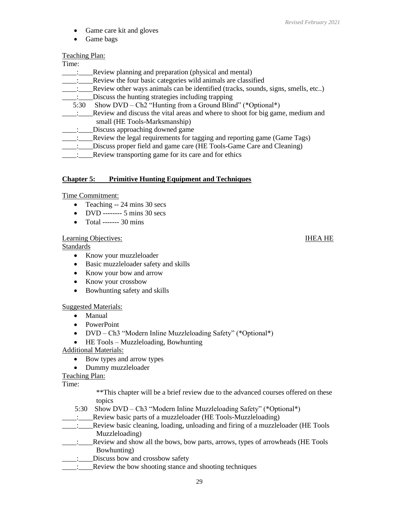- Game care kit and gloves
- Game bags

# Teaching Plan:

- Time:<br> $\vdots$ \_\_\_\_:\_\_\_\_Review planning and preparation (physical and mental)
- \_\_\_\_:\_\_\_\_Review the four basic categories wild animals are classified
- \_\_\_\_:\_\_\_\_Review other ways animals can be identified (tracks, sounds, signs, smells, etc..)
- \_\_\_\_:\_\_\_\_Discuss the hunting strategies including trapping
- 5:30 Show DVD Ch2 "Hunting from a Ground Blind" (\*Optional\*)
- \_\_\_\_:\_\_\_\_Review and discuss the vital areas and where to shoot for big game, medium and small (HE Tools-Marksmanship)
- \_\_\_\_:\_\_\_\_Discuss approaching downed game
- \_\_\_\_:\_\_\_\_Review the legal requirements for tagging and reporting game (Game Tags)
- \_\_\_\_:\_\_\_\_Discuss proper field and game care (HE Tools-Game Care and Cleaning)
- Review transporting game for its care and for ethics

# **Chapter 5: Primitive Hunting Equipment and Techniques**

# Time Commitment:

- Teaching -- 24 mins 30 secs
- DVD ------- 5 mins 30 secs
- Total ------- 30 mins

# Learning Objectives: IHEA HE

Standards

- Know your muzzleloader
- Basic muzzleloader safety and skills
- Know your bow and arrow
- Know your crossbow
- Bowhunting safety and skills

# Suggested Materials:

- Manual
- PowerPoint
- DVD Ch3 "Modern Inline Muzzleloading Safety" (\*Optional\*)
- HE Tools Muzzleloading, Bowhunting

Additional Materials:

- Bow types and arrow types
- Dummy muzzleloader

# Teaching Plan:

Time:

- \*\*This chapter will be a brief review due to the advanced courses offered on these topics
- 5:30 Show DVD Ch3 "Modern Inline Muzzleloading Safety" (\*Optional\*)
- \_\_\_\_:\_\_\_\_Review basic parts of a muzzleloader (HE Tools-Muzzleloading)
- \_\_\_\_:\_\_\_\_Review basic cleaning, loading, unloading and firing of a muzzleloader (HE Tools Muzzleloading)
- \_\_\_\_:\_\_\_\_Review and show all the bows, bow parts, arrows, types of arrowheads (HE Tools Bowhunting)
- \_\_\_\_:\_\_\_\_Discuss bow and crossbow safety
- \_\_\_\_:\_\_\_\_Review the bow shooting stance and shooting techniques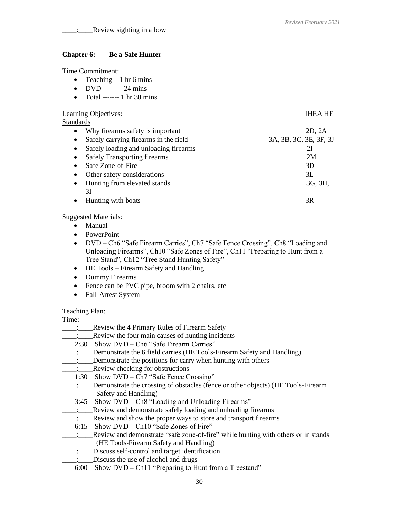### **Chapter 6: Be a Safe Hunter**

#### Time Commitment:

- Teaching  $-1$  hr 6 mins
- DVD -------- 24 mins
- Total ------- 1 hr 30 mins

#### Learning Objectives: IHEA HE

**Standards** 

• Why firearms safety is important 2D, 2A • Safely carrying firearms in the field 3A, 3B, 3C, 3E, 3F, 3J • Safely loading and unloading firearms 21 • Safely Transporting firearms 2M • Safe Zone-of-Fire 3D • Other safety considerations 3L • Hunting from elevated stands 3G, 3H, 3I • Hunting with boats 3R

### **Suggested Materials:**

- Manual
- PowerPoint
- DVD Ch6 "Safe Firearm Carries", Ch7 "Safe Fence Crossing", Ch8 "Loading and Unloading Firearms", Ch10 "Safe Zones of Fire", Ch11 "Preparing to Hunt from a Tree Stand", Ch12 "Tree Stand Hunting Safety"
- HE Tools Firearm Safety and Handling
- Dummy Firearms
- Fence can be PVC pipe, broom with 2 chairs, etc
- Fall-Arrest System

# Teaching Plan:

#### Time:

- \_\_\_\_:\_\_\_\_Review the 4 Primary Rules of Firearm Safety
- \_\_\_\_:\_\_\_\_Review the four main causes of hunting incidents
- 2:30 Show DVD Ch6 "Safe Firearm Carries"
- \_\_\_\_:\_\_\_\_Demonstrate the 6 field carries (HE Tools-Firearm Safety and Handling)
- \_\_\_\_:\_\_\_\_Demonstrate the positions for carry when hunting with others
- \_\_\_\_:\_\_\_\_Review checking for obstructions
- 1:30 Show DVD Ch7 "Safe Fence Crossing"
- \_\_\_\_:\_\_\_\_Demonstrate the crossing of obstacles (fence or other objects) (HE Tools-Firearm Safety and Handling)
- 3:45 Show DVD Ch8 "Loading and Unloading Firearms"
- Review and demonstrate safely loading and unloading firearms
	- \_\_\_\_:\_\_\_\_Review and show the proper ways to store and transport firearms
- 6:15 Show DVD Ch10 "Safe Zones of Fire"
- \_\_\_\_:\_\_\_\_Review and demonstrate "safe zone-of-fire" while hunting with others or in stands (HE Tools-Firearm Safety and Handling)
- \_\_\_\_:\_\_\_\_Discuss self-control and target identification
- Discuss the use of alcohol and drugs
- 6:00 Show DVD Ch11 "Preparing to Hunt from a Treestand"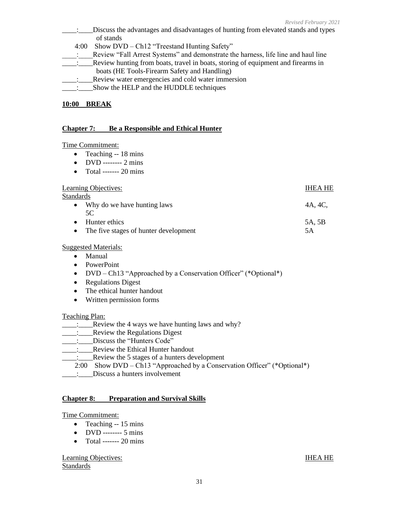- \_\_\_\_:\_\_\_\_Discuss the advantages and disadvantages of hunting from elevated stands and types of stands
	- 4:00 Show DVD Ch12 "Treestand Hunting Safety"

\_\_\_\_:\_\_\_\_Review "Fall Arrest Systems" and demonstrate the harness, life line and haul line

- \_\_\_\_:\_\_\_\_Review hunting from boats, travel in boats, storing of equipment and firearms in boats (HE Tools-Firearm Safety and Handling)
- Review water emergencies and cold water immersion
- \_\_\_\_:\_\_\_\_Show the HELP and the HUDDLE techniques

## **10:00 BREAK**

### **Chapter 7: Be a Responsible and Ethical Hunter**

#### Time Commitment:

- Teaching -- 18 mins
- DVD -------- 2 mins
- Total ------- 20 mins

### Learning Objectives: IHEA HE

**Standards** 

- Why do we have hunting laws  $4A$ ,  $4C$ , 5C • Hunter ethics 5A, 5B
- The five stages of hunter development 5A

# Suggested Materials:

- Manual
- PowerPoint
- DVD Ch13 "Approached by a Conservation Officer" (\*Optional\*)
- Regulations Digest
- The ethical hunter handout
- Written permission forms

#### Teaching Plan:

- $\therefore$  Review the 4 ways we have hunting laws and why?
- \_\_\_\_:\_\_\_\_Review the Regulations Digest
- Discuss the "Hunters Code"
- \_\_\_\_:\_\_\_\_Review the Ethical Hunter handout
- \_\_\_\_:\_\_\_\_Review the 5 stages of a hunters development
	- 2:00 Show DVD Ch13 "Approached by a Conservation Officer" (\*Optional\*)
- \_\_\_\_:\_\_\_\_Discuss a hunters involvement

#### **Chapter 8: Preparation and Survival Skills**

#### Time Commitment:

- Teaching -- 15 mins
- DVD -------- 5 mins
- Total ------- 20 mins

# Learning Objectives: IHEA HE Standards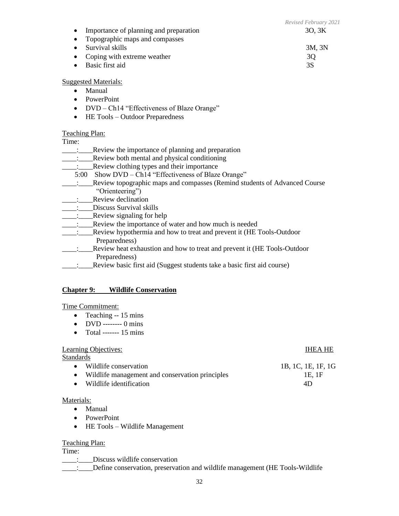|                                             | Revised February 2021 |
|---------------------------------------------|-----------------------|
| Importance of planning and preparation      | 30, 3K                |
| Topographic maps and compasses<br>$\bullet$ |                       |
| Survival skills                             | 3M, 3N                |
| • Coping with extreme weather               | 3Q                    |
| Basic first aid                             | 3S                    |
|                                             |                       |

# Suggested Materials:

- Manual
- PowerPoint
- DVD Ch14 "Effectiveness of Blaze Orange"
- HE Tools Outdoor Preparedness

### Teaching Plan:

Time:

- \_\_\_\_:\_\_\_\_Review the importance of planning and preparation
- \_\_\_\_:\_\_\_\_Review both mental and physical conditioning
- Review clothing types and their importance
- 5:00 Show DVD Ch14 "Effectiveness of Blaze Orange"
- \_\_\_\_:\_\_\_\_Review topographic maps and compasses (Remind students of Advanced Course "Orienteering")
- \_\_\_\_:\_\_\_\_Review declination
- \_\_\_\_:\_\_\_\_Discuss Survival skills
- \_\_\_\_:\_\_\_\_Review signaling for help
- \_\_\_\_:\_\_\_\_Review the importance of water and how much is needed
- \_\_\_\_:\_\_\_\_Review hypothermia and how to treat and prevent it (HE Tools-Outdoor Preparedness)
- \_\_\_\_:\_\_\_\_Review heat exhaustion and how to treat and prevent it (HE Tools-Outdoor Preparedness)
- \_\_\_\_:\_\_\_\_Review basic first aid (Suggest students take a basic first aid course)

#### **Chapter 9: Wildlife Conservation**

#### Time Commitment:

- Teaching -- 15 mins
- DVD -------- 0 mins
- Total ------- 15 mins

#### Learning Objectives: IHEA HE

#### **Standards**

- Wildlife conservation 1B, 1C, 1E, 1F, 1G
- Wildlife management and conservation principles 1E, 1F
- Wildlife identification **4D**

#### Materials:

- Manual
- PowerPoint
- HE Tools Wildlife Management

#### Teaching Plan:

# Time:

- \_\_\_\_:\_\_\_\_Discuss wildlife conservation
- \_\_\_\_:\_\_\_\_Define conservation, preservation and wildlife management (HE Tools-Wildlife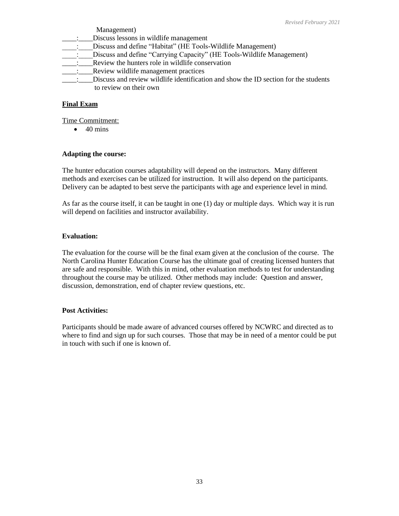Management)

- \_\_\_\_:\_\_\_\_Discuss lessons in wildlife management
- : Discuss and define "Habitat" (HE Tools-Wildlife Management)
- \_\_\_\_:\_\_\_\_Discuss and define "Carrying Capacity" (HE Tools-Wildlife Management)
- \_\_\_\_:\_\_\_\_Review the hunters role in wildlife conservation
- \_\_\_\_:\_\_\_\_Review wildlife management practices
- Discuss and review wildlife identification and show the ID section for the students to review on their own

# **Final Exam**

Time Commitment:

 $\bullet$  40 mins

# **Adapting the course:**

The hunter education courses adaptability will depend on the instructors. Many different methods and exercises can be utilized for instruction. It will also depend on the participants. Delivery can be adapted to best serve the participants with age and experience level in mind.

As far as the course itself, it can be taught in one (1) day or multiple days. Which way it is run will depend on facilities and instructor availability.

# **Evaluation:**

The evaluation for the course will be the final exam given at the conclusion of the course. The North Carolina Hunter Education Course has the ultimate goal of creating licensed hunters that are safe and responsible. With this in mind, other evaluation methods to test for understanding throughout the course may be utilized. Other methods may include: Question and answer, discussion, demonstration, end of chapter review questions, etc.

# **Post Activities:**

Participants should be made aware of advanced courses offered by NCWRC and directed as to where to find and sign up for such courses. Those that may be in need of a mentor could be put in touch with such if one is known of.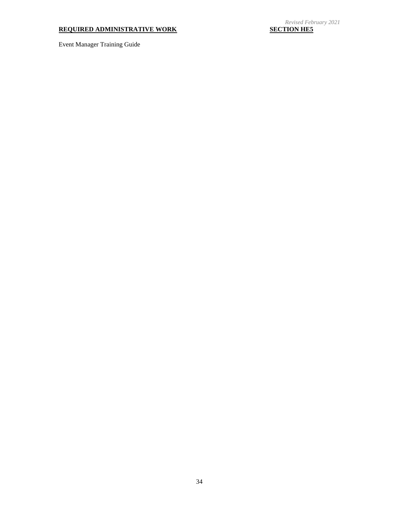# **REQUIRED ADMINISTRATIVE WORK**

Event Manager Training Guide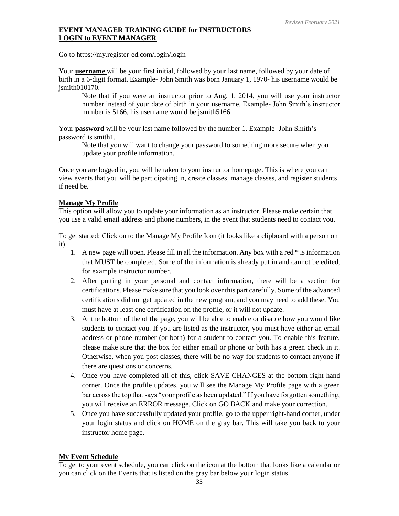# **EVENT MANAGER TRAINING GUIDE for INSTRUCTORS LOGIN to EVENT MANAGER**

Go to<https://my.register-ed.com/login/login>

Your **username** will be your first initial, followed by your last name, followed by your date of birth in a 6-digit format. Example- John Smith was born January 1, 1970- his username would be jsmith010170.

Note that if you were an instructor prior to Aug. 1, 2014, you will use your instructor number instead of your date of birth in your username. Example- John Smith's instructor number is 5166, his username would be jsmith 5166.

Your **password** will be your last name followed by the number 1. Example- John Smith's password is smith1.

Note that you will want to change your password to something more secure when you update your profile information.

Once you are logged in, you will be taken to your instructor homepage. This is where you can view events that you will be participating in, create classes, manage classes, and register students if need be.

# **Manage My Profile**

This option will allow you to update your information as an instructor. Please make certain that you use a valid email address and phone numbers, in the event that students need to contact you.

To get started: Click on to the Manage My Profile Icon (it looks like a clipboard with a person on it).

- 1. A new page will open. Please fill in all the information. Any box with a red \* is information that MUST be completed. Some of the information is already put in and cannot be edited, for example instructor number.
- 2. After putting in your personal and contact information, there will be a section for certifications. Please make sure that you look over this part carefully. Some of the advanced certifications did not get updated in the new program, and you may need to add these. You must have at least one certification on the profile, or it will not update.
- 3. At the bottom of the of the page, you will be able to enable or disable how you would like students to contact you. If you are listed as the instructor, you must have either an email address or phone number (or both) for a student to contact you. To enable this feature, please make sure that the box for either email or phone or both has a green check in it. Otherwise, when you post classes, there will be no way for students to contact anyone if there are questions or concerns.
- 4. Once you have completed all of this, click SAVE CHANGES at the bottom right-hand corner. Once the profile updates, you will see the Manage My Profile page with a green bar across the top that says "your profile as been updated." If you have forgotten something, you will receive an ERROR message. Click on GO BACK and make your correction.
- 5. Once you have successfully updated your profile, go to the upper right-hand corner, under your login status and click on HOME on the gray bar. This will take you back to your instructor home page.

# **My Event Schedule**

To get to your event schedule, you can click on the icon at the bottom that looks like a calendar or you can click on the Events that is listed on the gray bar below your login status.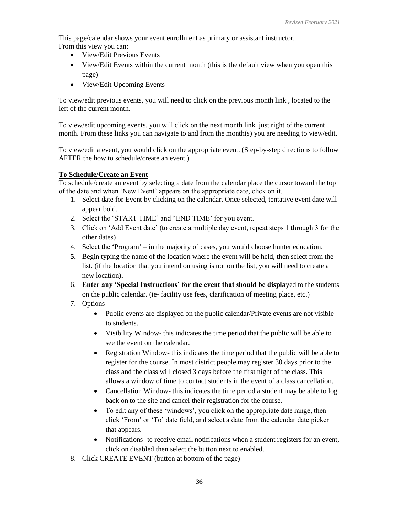This page/calendar shows your event enrollment as primary or assistant instructor. From this view you can:

- View/Edit Previous Events
- View/Edit Events within the current month (this is the default view when you open this page)
- View/Edit Upcoming Events

To view/edit previous events, you will need to click on the previous month link , located to the left of the current month.

To view/edit upcoming events, you will click on the next month link just right of the current month. From these links you can navigate to and from the month(s) you are needing to view/edit.

To view/edit a event, you would click on the appropriate event. (Step-by-step directions to follow AFTER the how to schedule/create an event.)

# **To Schedule/Create an Event**

To schedule/create an event by selecting a date from the calendar place the cursor toward the top of the date and when 'New Event' appears on the appropriate date, click on it.

- 1. Select date for Event by clicking on the calendar. Once selected, tentative event date will appear bold.
- 2. Select the 'START TIME' and "END TIME' for you event.
- 3. Click on 'Add Event date' (to create a multiple day event, repeat steps 1 through 3 for the other dates)
- 4. Select the 'Program' in the majority of cases, you would choose hunter education.
- **5.** Begin typing the name of the location where the event will be held, then select from the list. (if the location that you intend on using is not on the list, you will need to create a new location**).**
- 6. **Enter any 'Special Instructions' for the event that should be displa**yed to the students on the public calendar. (ie- facility use fees, clarification of meeting place, etc.)
- 7. Options
	- Public events are displayed on the public calendar/Private events are not visible to students.
	- Visibility Window- this indicates the time period that the public will be able to see the event on the calendar.
	- Registration Window- this indicates the time period that the public will be able to register for the course. In most district people may register 30 days prior to the class and the class will closed 3 days before the first night of the class. This allows a window of time to contact students in the event of a class cancellation.
	- Cancellation Window- this indicates the time period a student may be able to log back on to the site and cancel their registration for the course.
	- To edit any of these 'windows', you click on the appropriate date range, then click 'From' or 'To' date field, and select a date from the calendar date picker that appears.
	- Notifications- to receive email notifications when a student registers for an event, click on disabled then select the button next to enabled.
- 8. Click CREATE EVENT (button at bottom of the page)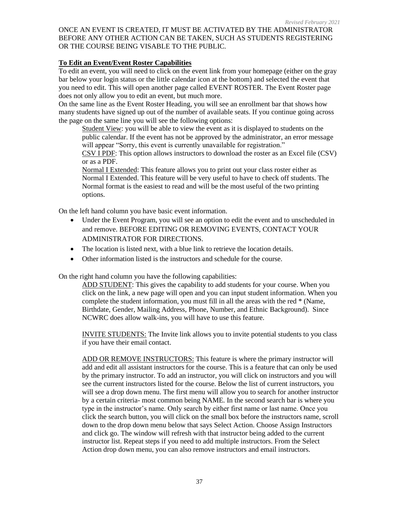# ONCE AN EVENT IS CREATED, IT MUST BE ACTIVATED BY THE ADMINISTRATOR BEFORE ANY OTHER ACTION CAN BE TAKEN, SUCH AS STUDENTS REGISTERING OR THE COURSE BEING VISABLE TO THE PUBLIC.

# **To Edit an Event/Event Roster Capabilities**

To edit an event, you will need to click on the event link from your homepage (either on the gray bar below your login status or the little calendar icon at the bottom) and selected the event that you need to edit. This will open another page called EVENT ROSTER. The Event Roster page does not only allow you to edit an event, but much more.

On the same line as the Event Roster Heading, you will see an enrollment bar that shows how many students have signed up out of the number of available seats. If you continue going across the page on the same line you will see the following options:

Student View: you will be able to view the event as it is displayed to students on the public calendar. If the event has not be approved by the administrator, an error message will appear "Sorry, this event is currently unavailable for registration."

CSV I PDF: This option allows instructors to download the roster as an Excel file (CSV) or as a PDF.

Normal I Extended: This feature allows you to print out your class roster either as Normal I Extended. This feature will be very useful to have to check off students. The Normal format is the easiest to read and will be the most useful of the two printing options.

On the left hand column you have basic event information.

- Under the Event Program, you will see an option to edit the event and to unscheduled in and remove. BEFORE EDITING OR REMOVING EVENTS, CONTACT YOUR ADMINISTRATOR FOR DIRECTIONS.
- The location is listed next, with a blue link to retrieve the location details.
- Other information listed is the instructors and schedule for the course.

On the right hand column you have the following capabilities:

ADD STUDENT: This gives the capability to add students for your course. When you click on the link, a new page will open and you can input student information. When you complete the student information, you must fill in all the areas with the red \* (Name, Birthdate, Gender, Mailing Address, Phone, Number, and Ethnic Background). Since NCWRC does allow walk-ins, you will have to use this feature.

INVITE STUDENTS: The Invite link allows you to invite potential students to you class if you have their email contact.

ADD OR REMOVE INSTRUCTORS: This feature is where the primary instructor will add and edit all assistant instructors for the course. This is a feature that can only be used by the primary instructor. To add an instructor, you will click on instructors and you will see the current instructors listed for the course. Below the list of current instructors, you will see a drop down menu. The first menu will allow you to search for another instructor by a certain criteria- most common being NAME. In the second search bar is where you type in the instructor's name. Only search by either first name or last name. Once you click the search button, you will click on the small box before the instructors name, scroll down to the drop down menu below that says Select Action. Choose Assign Instructors and click go. The window will refresh with that instructor being added to the current instructor list. Repeat steps if you need to add multiple instructors. From the Select Action drop down menu, you can also remove instructors and email instructors.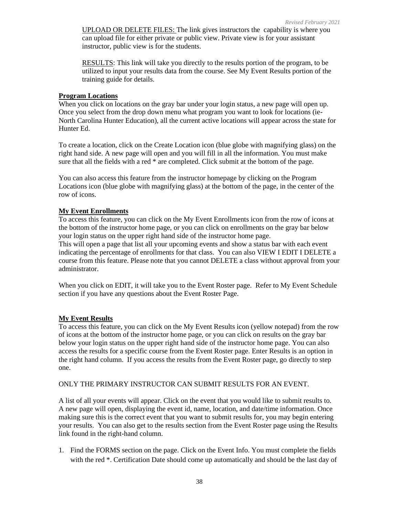UPLOAD OR DELETE FILES: The link gives instructors the capability is where you can upload file for either private or public view. Private view is for your assistant instructor, public view is for the students.

RESULTS: This link will take you directly to the results portion of the program, to be utilized to input your results data from the course. See My Event Results portion of the training guide for details.

#### **Program Locations**

When you click on locations on the gray bar under your login status, a new page will open up. Once you select from the drop down menu what program you want to look for locations (ie-North Carolina Hunter Education), all the current active locations will appear across the state for Hunter Ed.

To create a location, click on the Create Location icon (blue globe with magnifying glass) on the right hand side. A new page will open and you will fill in all the information. You must make sure that all the fields with a red \* are completed. Click submit at the bottom of the page.

You can also access this feature from the instructor homepage by clicking on the Program Locations icon (blue globe with magnifying glass) at the bottom of the page, in the center of the row of icons.

#### **My Event Enrollments**

To access this feature, you can click on the My Event Enrollments icon from the row of icons at the bottom of the instructor home page, or you can click on enrollments on the gray bar below your login status on the upper right hand side of the instructor home page.

This will open a page that list all your upcoming events and show a status bar with each event indicating the percentage of enrollments for that class. You can also VIEW I EDIT I DELETE a course from this feature. Please note that you cannot DELETE a class without approval from your administrator.

When you click on EDIT, it will take you to the Event Roster page. Refer to My Event Schedule section if you have any questions about the Event Roster Page.

#### **My Event Results**

To access this feature, you can click on the My Event Results icon (yellow notepad) from the row of icons at the bottom of the instructor home page, or you can click on results on the gray bar below your login status on the upper right hand side of the instructor home page. You can also access the results for a specific course from the Event Roster page. Enter Results is an option in the right hand column. If you access the results from the Event Roster page, go directly to step one.

#### ONLY THE PRIMARY INSTRUCTOR CAN SUBMIT RESULTS FOR AN EVENT.

A list of all your events will appear. Click on the event that you would like to submit results to. A new page will open, displaying the event id, name, location, and date/time information. Once making sure this is the correct event that you want to submit results for, you may begin entering your results. You can also get to the results section from the Event Roster page using the Results link found in the right-hand column.

1. Find the FORMS section on the page. Click on the Event Info. You must complete the fields with the red \*. Certification Date should come up automatically and should be the last day of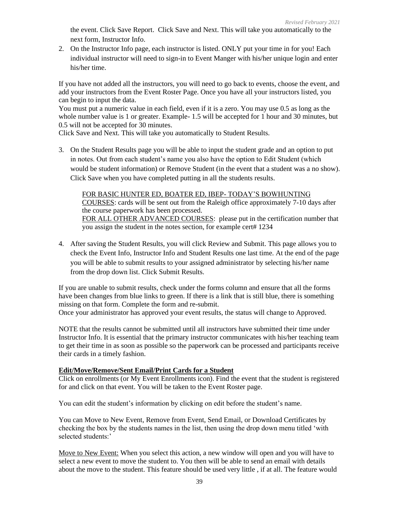the event. Click Save Report. Click Save and Next. This will take you automatically to the next form, Instructor Info.

2. On the Instructor Info page, each instructor is listed. ONLY put your time in for you! Each individual instructor will need to sign-in to Event Manger with his/her unique login and enter his/her time.

If you have not added all the instructors, you will need to go back to events, choose the event, and add your instructors from the Event Roster Page. Once you have all your instructors listed, you can begin to input the data.

You must put a numeric value in each field, even if it is a zero. You may use 0.5 as long as the whole number value is 1 or greater. Example- 1.5 will be accepted for 1 hour and 30 minutes, but 0.5 will not be accepted for 30 minutes.

Click Save and Next. This will take you automatically to Student Results.

3. On the Student Results page you will be able to input the student grade and an option to put in notes. Out from each student's name you also have the option to Edit Student (which would be student information) or Remove Student (in the event that a student was a no show). Click Save when you have completed putting in all the students results.

# FOR BASIC HUNTER ED, BOATER ED, IBEP- TODAY'S BOWHUNTING

COURSES: cards will be sent out from the Raleigh office approximately 7-10 days after the course paperwork has been processed. FOR ALL OTHER ADVANCED COURSES: please put in the certification number that you assign the student in the notes section, for example cert# 1234

4. After saving the Student Results, you will click Review and Submit. This page allows you to check the Event Info, Instructor Info and Student Results one last time. At the end of the page you will be able to submit results to your assigned administrator by selecting his/her name from the drop down list. Click Submit Results.

If you are unable to submit results, check under the forms column and ensure that all the forms have been changes from blue links to green. If there is a link that is still blue, there is something missing on that form. Complete the form and re-submit.

Once your administrator has approved your event results, the status will change to Approved.

NOTE that the results cannot be submitted until all instructors have submitted their time under Instructor Info. It is essential that the primary instructor communicates with his/her teaching team to get their time in as soon as possible so the paperwork can be processed and participants receive their cards in a timely fashion.

# **Edit/Move/Remove/Sent Email/Print Cards for a Student**

Click on enrollments (or My Event Enrollments icon). Find the event that the student is registered for and click on that event. You will be taken to the Event Roster page.

You can edit the student's information by clicking on edit before the student's name.

You can Move to New Event, Remove from Event, Send Email, or Download Certificates by checking the box by the students names in the list, then using the drop down menu titled 'with selected students:'

Move to New Event: When you select this action, a new window will open and you will have to select a new event to move the student to. You then will be able to send an email with details about the move to the student. This feature should be used very little , if at all. The feature would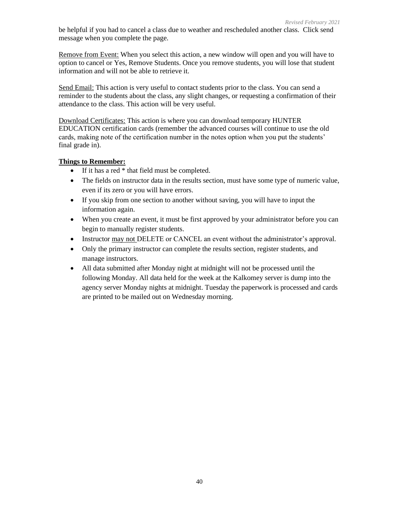be helpful if you had to cancel a class due to weather and rescheduled another class. Click send message when you complete the page.

Remove from Event: When you select this action, a new window will open and you will have to option to cancel or Yes, Remove Students. Once you remove students, you will lose that student information and will not be able to retrieve it.

Send Email: This action is very useful to contact students prior to the class. You can send a reminder to the students about the class, any slight changes, or requesting a confirmation of their attendance to the class. This action will be very useful.

Download Certificates: This action is where you can download temporary HUNTER EDUCATION certification cards (remember the advanced courses will continue to use the old cards, making note of the certification number in the notes option when you put the students' final grade in).

# **Things to Remember:**

- If it has a red  $*$  that field must be completed.
- The fields on instructor data in the results section, must have some type of numeric value, even if its zero or you will have errors.
- If you skip from one section to another without saving, you will have to input the information again.
- When you create an event, it must be first approved by your administrator before you can begin to manually register students.
- Instructor may not DELETE or CANCEL an event without the administrator's approval.
- Only the primary instructor can complete the results section, register students, and manage instructors.
- All data submitted after Monday night at midnight will not be processed until the following Monday. All data held for the week at the Kalkomey server is dump into the agency server Monday nights at midnight. Tuesday the paperwork is processed and cards are printed to be mailed out on Wednesday morning.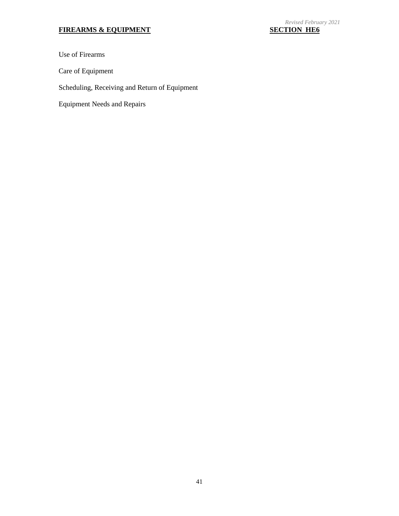# **FIREARMS & EQUIPMENT**

Use of Firearms

Care of Equipment

Scheduling, Receiving and Return of Equipment

Equipment Needs and Repairs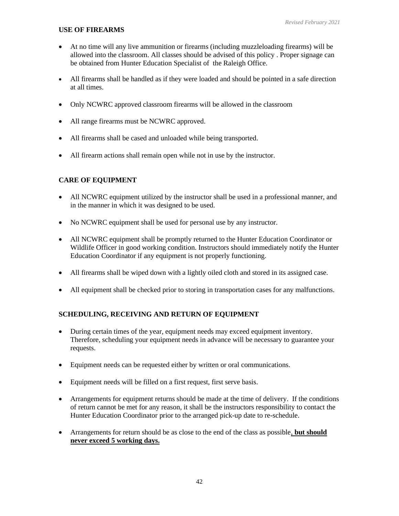# **USE OF FIREARMS**

- At no time will any live ammunition or firearms (including muzzleloading firearms) will be allowed into the classroom. All classes should be advised of this policy . Proper signage can be obtained from Hunter Education Specialist of the Raleigh Office.
- All firearms shall be handled as if they were loaded and should be pointed in a safe direction at all times.
- Only NCWRC approved classroom firearms will be allowed in the classroom
- All range firearms must be NCWRC approved.
- All firearms shall be cased and unloaded while being transported.
- All firearm actions shall remain open while not in use by the instructor.

# **CARE OF EQUIPMENT**

- All NCWRC equipment utilized by the instructor shall be used in a professional manner, and in the manner in which it was designed to be used.
- No NCWRC equipment shall be used for personal use by any instructor.
- All NCWRC equipment shall be promptly returned to the Hunter Education Coordinator or Wildlife Officer in good working condition. Instructors should immediately notify the Hunter Education Coordinator if any equipment is not properly functioning.
- All firearms shall be wiped down with a lightly oiled cloth and stored in its assigned case.
- All equipment shall be checked prior to storing in transportation cases for any malfunctions.

# **SCHEDULING, RECEIVING AND RETURN OF EQUIPMENT**

- During certain times of the year, equipment needs may exceed equipment inventory. Therefore, scheduling your equipment needs in advance will be necessary to guarantee your requests.
- Equipment needs can be requested either by written or oral communications.
- Equipment needs will be filled on a first request, first serve basis.
- Arrangements for equipment returns should be made at the time of delivery. If the conditions of return cannot be met for any reason, it shall be the instructors responsibility to contact the Hunter Education Coordinator prior to the arranged pick-up date to re-schedule.
- Arrangements for return should be as close to the end of the class as possible, **but should never exceed 5 working days.**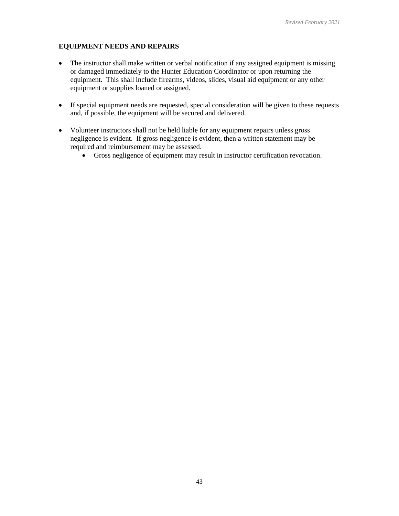# **EQUIPMENT NEEDS AND REPAIRS**

- The instructor shall make written or verbal notification if any assigned equipment is missing or damaged immediately to the Hunter Education Coordinator or upon returning the equipment. This shall include firearms, videos, slides, visual aid equipment or any other equipment or supplies loaned or assigned.
- If special equipment needs are requested, special consideration will be given to these requests and, if possible, the equipment will be secured and delivered.
- Volunteer instructors shall not be held liable for any equipment repairs unless gross negligence is evident. If gross negligence is evident, then a written statement may be required and reimbursement may be assessed.
	- Gross negligence of equipment may result in instructor certification revocation.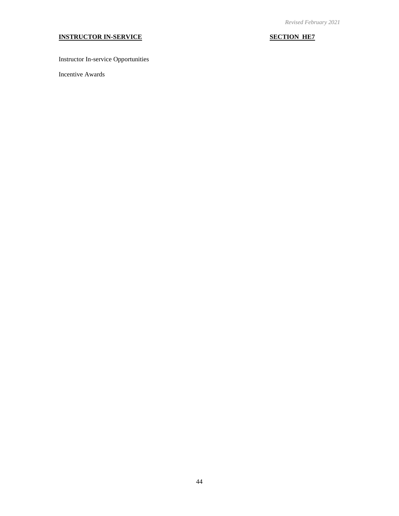# **INSTRUCTOR IN-SERVICE SECTION HE7**

Instructor In-service Opportunities

Incentive Awards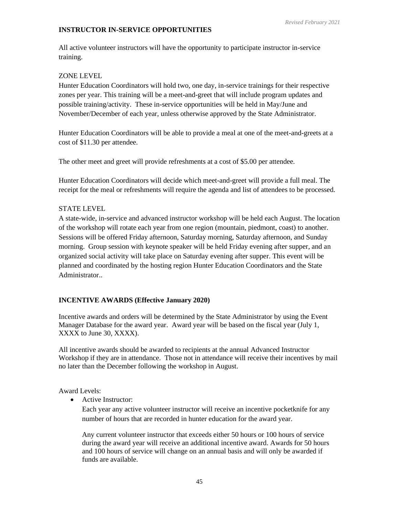# **INSTRUCTOR IN-SERVICE OPPORTUNITIES**

All active volunteer instructors will have the opportunity to participate instructor in-service training.

# ZONE LEVEL

Hunter Education Coordinators will hold two, one day, in-service trainings for their respective zones per year. This training will be a meet-and-greet that will include program updates and possible training/activity. These in-service opportunities will be held in May/June and November/December of each year, unless otherwise approved by the State Administrator.

Hunter Education Coordinators will be able to provide a meal at one of the meet-and-greets at a cost of \$11.30 per attendee.

The other meet and greet will provide refreshments at a cost of \$5.00 per attendee.

Hunter Education Coordinators will decide which meet-and-greet will provide a full meal. The receipt for the meal or refreshments will require the agenda and list of attendees to be processed.

# STATE LEVEL

A state-wide, in-service and advanced instructor workshop will be held each August. The location of the workshop will rotate each year from one region (mountain, piedmont, coast) to another. Sessions will be offered Friday afternoon, Saturday morning, Saturday afternoon, and Sunday morning. Group session with keynote speaker will be held Friday evening after supper, and an organized social activity will take place on Saturday evening after supper. This event will be planned and coordinated by the hosting region Hunter Education Coordinators and the State Administrator..

# **INCENTIVE AWARDS (Effective January 2020)**

Incentive awards and orders will be determined by the State Administrator by using the Event Manager Database for the award year. Award year will be based on the fiscal year (July 1, XXXX to June 30, XXXX).

All incentive awards should be awarded to recipients at the annual Advanced Instructor Workshop if they are in attendance. Those not in attendance will receive their incentives by mail no later than the December following the workshop in August.

Award Levels:

• Active Instructor:

Each year any active volunteer instructor will receive an incentive pocketknife for any number of hours that are recorded in hunter education for the award year.

Any current volunteer instructor that exceeds either 50 hours or 100 hours of service during the award year will receive an additional incentive award. Awards for 50 hours and 100 hours of service will change on an annual basis and will only be awarded if funds are available.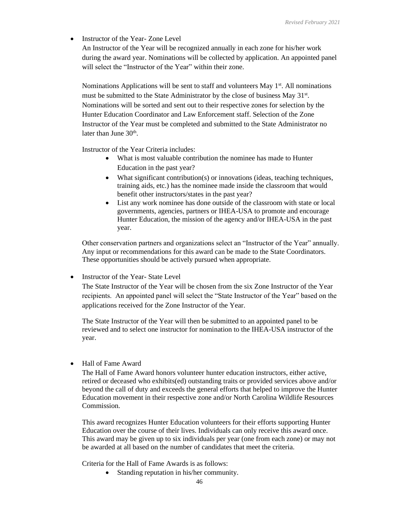• Instructor of the Year-Zone Level

An Instructor of the Year will be recognized annually in each zone for his/her work during the award year. Nominations will be collected by application. An appointed panel will select the "Instructor of the Year" within their zone.

Nominations Applications will be sent to staff and volunteers May  $1<sup>st</sup>$ . All nominations must be submitted to the State Administrator by the close of business May 31<sup>st</sup>. Nominations will be sorted and sent out to their respective zones for selection by the Hunter Education Coordinator and Law Enforcement staff. Selection of the Zone Instructor of the Year must be completed and submitted to the State Administrator no later than June 30<sup>th</sup>.

Instructor of the Year Criteria includes:

- What is most valuable contribution the nominee has made to Hunter Education in the past year?
- What significant contribution(s) or innovations (ideas, teaching techniques, training aids, etc.) has the nominee made inside the classroom that would benefit other instructors/states in the past year?
- List any work nominee has done outside of the classroom with state or local governments, agencies, partners or IHEA-USA to promote and encourage Hunter Education, the mission of the agency and/or IHEA-USA in the past year.

Other conservation partners and organizations select an "Instructor of the Year" annually. Any input or recommendations for this award can be made to the State Coordinators. These opportunities should be actively pursued when appropriate.

• Instructor of the Year-State Level

The State Instructor of the Year will be chosen from the six Zone Instructor of the Year recipients. An appointed panel will select the "State Instructor of the Year" based on the applications received for the Zone Instructor of the Year.

The State Instructor of the Year will then be submitted to an appointed panel to be reviewed and to select one instructor for nomination to the IHEA-USA instructor of the year.

• Hall of Fame Award

The Hall of Fame Award honors volunteer hunter education instructors, either active, retired or deceased who exhibits(ed) outstanding traits or provided services above and/or beyond the call of duty and exceeds the general efforts that helped to improve the Hunter Education movement in their respective zone and/or North Carolina Wildlife Resources Commission.

This award recognizes Hunter Education volunteers for their efforts supporting Hunter Education over the course of their lives. Individuals can only receive this award once. This award may be given up to six individuals per year (one from each zone) or may not be awarded at all based on the number of candidates that meet the criteria.

Criteria for the Hall of Fame Awards is as follows:

• Standing reputation in his/her community.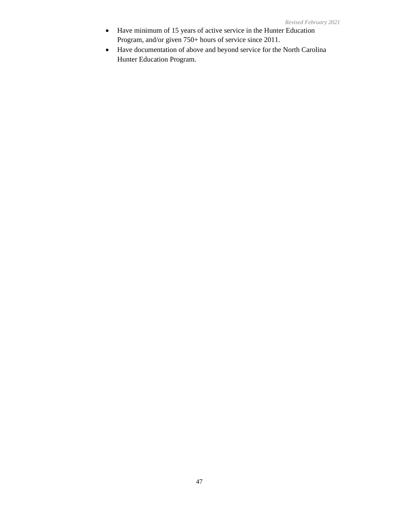- Have minimum of 15 years of active service in the Hunter Education Program, and/or given 750+ hours of service since 2011.
- Have documentation of above and beyond service for the North Carolina Hunter Education Program.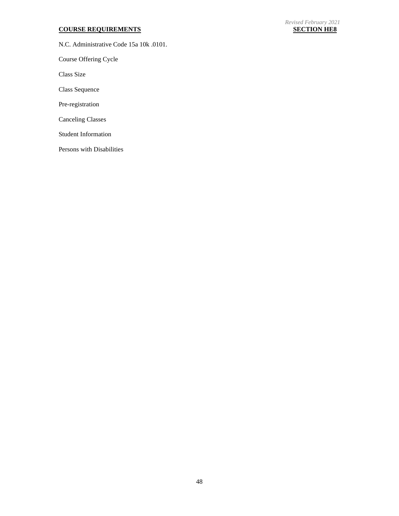### **COURSE REQUIREMENTS SECTION HE8**

N.C. Administrative Code 15a 10k .0101.

Course Offering Cycle

Class Size

Class Sequence

Pre-registration

Canceling Classes

Student Information

Persons with Disabilities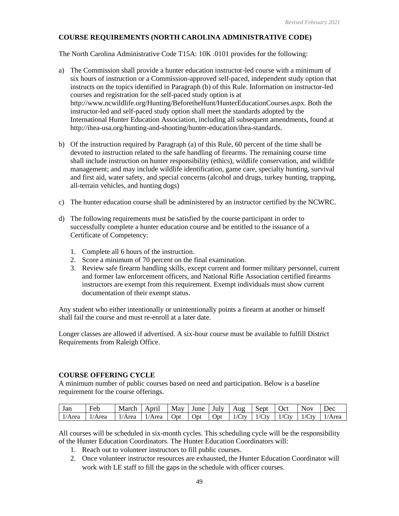# **COURSE REQUIREMENTS (NORTH CAROLINA ADMINISTRATIVE CODE)**

The North Carolina Administrative Code T15A: 10K .0101 provides for the following:

- a) The Commission shall provide a hunter education instructor-led course with a minimum of six hours of instruction or a Commission-approved self-paced, independent study option that instructs on the topics identified in Paragraph (b) of this Rule. Information on instructor-led courses and registration for the self-paced study option is at http://www.ncwildlife.org/Hunting/BeforetheHunt/HunterEducationCourses.aspx. Both the instructor-led and self-paced study option shall meet the standards adopted by the International Hunter Education Association, including all subsequent amendments, found at http://ihea-usa.org/hunting-and-shooting/hunter-education/ihea-standards.
- b) Of the instruction required by Paragraph (a) of this Rule, 60 percent of the time shall be devoted to instruction related to the safe handling of firearms. The remaining course time shall include instruction on hunter responsibility (ethics), wildlife conservation, and wildlife management; and may include wildlife identification, game care, specialty hunting, survival and first aid, water safety, and special concerns (alcohol and drugs, turkey hunting, trapping, all-terrain vehicles, and hunting dogs)
- c) The hunter education course shall be administered by an instructor certified by the NCWRC.
- d) The following requirements must be satisfied by the course participant in order to successfully complete a hunter education course and be entitled to the issuance of a Certificate of Competency:
	- 1. Complete all 6 hours of the instruction.
	- 2. Score a minimum of 70 percent on the final examination.
	- 3. Review safe firearm handling skills, except current and former military personnel, current and former law enforcement officers, and National Rifle Association certified firearms instructors are exempt from this requirement. Exempt individuals must show current documentation of their exempt status.

Any student who either intentionally or unintentionally points a firearm at another or himself shall fail the course and must re-enroll at a later date.

Longer classes are allowed if advertised. A six-hour course must be available to fulfill District Requirements from Raleigh Office.

#### **COURSE OFFERING CYCLE**

A minimum number of public courses based on need and participation. Below is a baseline requirement for the course offerings.

| Jan    | $\blacksquare$<br>Feb | March | April  | May | June       | July        | Aug        | Sept    | Oct   | <b>Nov</b>       | Dec    |
|--------|-----------------------|-------|--------|-----|------------|-------------|------------|---------|-------|------------------|--------|
| 1/Area | 1/Area                | Area  | 1/Area | Opt | <b>Opt</b> | <b>J</b> pt | 1/6<br>`tv | $/C$ tv | 1/Ctv | $\mathcal{C}$ tv | ⊥/Area |

All courses will be scheduled in six-month cycles. This scheduling cycle will be the responsibility of the Hunter Education Coordinators. The Hunter Education Coordinators will:

- 1. Reach out to volunteer instructors to fill public courses.
- 2. Once volunteer instructor resources are exhausted, the Hunter Education Coordinator will work with LE staff to fill the gaps in the schedule with officer courses.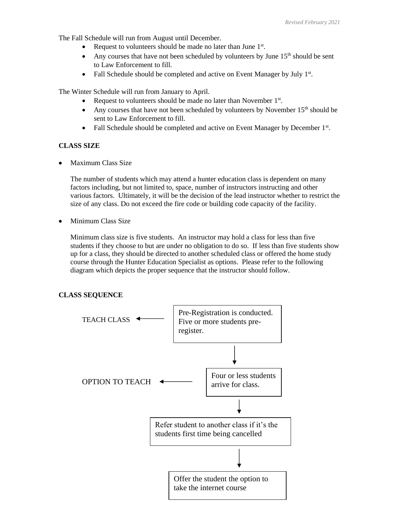The Fall Schedule will run from August until December.

- Request to volunteers should be made no later than June 1<sup>st</sup>.
- Any courses that have not been scheduled by volunteers by June  $15<sup>th</sup>$  should be sent to Law Enforcement to fill.
- Fall Schedule should be completed and active on Event Manager by July 1<sup>st</sup>.

The Winter Schedule will run from January to April.

- Request to volunteers should be made no later than November 1<sup>st</sup>.
- Any courses that have not been scheduled by volunteers by November  $15<sup>th</sup>$  should be sent to Law Enforcement to fill.
- Fall Schedule should be completed and active on Event Manager by December 1<sup>st</sup>.

# **CLASS SIZE**

• Maximum Class Size

The number of students which may attend a hunter education class is dependent on many factors including, but not limited to, space, number of instructors instructing and other various factors. Ultimately, it will be the decision of the lead instructor whether to restrict the size of any class. Do not exceed the fire code or building code capacity of the facility.

• Minimum Class Size

Minimum class size is five students. An instructor may hold a class for less than five students if they choose to but are under no obligation to do so. If less than five students show up for a class, they should be directed to another scheduled class or offered the home study course through the Hunter Education Specialist as options. Please refer to the following diagram which depicts the proper sequence that the instructor should follow.

# **CLASS SEQUENCE**

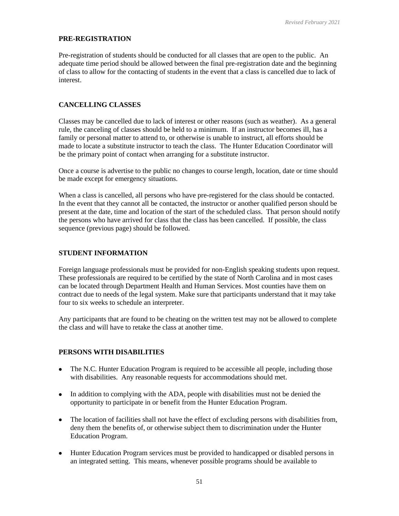### **PRE-REGISTRATION**

Pre-registration of students should be conducted for all classes that are open to the public. An adequate time period should be allowed between the final pre-registration date and the beginning of class to allow for the contacting of students in the event that a class is cancelled due to lack of interest.

# **CANCELLING CLASSES**

Classes may be cancelled due to lack of interest or other reasons (such as weather). As a general rule, the canceling of classes should be held to a minimum. If an instructor becomes ill, has a family or personal matter to attend to, or otherwise is unable to instruct, all efforts should be made to locate a substitute instructor to teach the class. The Hunter Education Coordinator will be the primary point of contact when arranging for a substitute instructor.

Once a course is advertise to the public no changes to course length, location, date or time should be made except for emergency situations.

When a class is cancelled, all persons who have pre-registered for the class should be contacted. In the event that they cannot all be contacted, the instructor or another qualified person should be present at the date, time and location of the start of the scheduled class. That person should notify the persons who have arrived for class that the class has been cancelled. If possible, the class sequence (previous page) should be followed.

# **STUDENT INFORMATION**

Foreign language professionals must be provided for non-English speaking students upon request. These professionals are required to be certified by the state of North Carolina and in most cases can be located through Department Health and Human Services. Most counties have them on contract due to needs of the legal system. Make sure that participants understand that it may take four to six weeks to schedule an interpreter.

Any participants that are found to be cheating on the written test may not be allowed to complete the class and will have to retake the class at another time.

# **PERSONS WITH DISABILITIES**

- The N.C. Hunter Education Program is required to be accessible all people, including those with disabilities. Any reasonable requests for accommodations should met.
- In addition to complying with the ADA, people with disabilities must not be denied the opportunity to participate in or benefit from the Hunter Education Program.
- The location of facilities shall not have the effect of excluding persons with disabilities from, deny them the benefits of, or otherwise subject them to discrimination under the Hunter Education Program.
- Hunter Education Program services must be provided to handicapped or disabled persons in an integrated setting. This means, whenever possible programs should be available to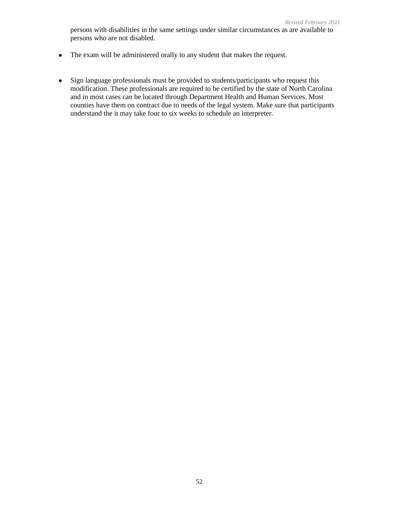- The exam will be administered orally to any student that makes the request.
- Sign language professionals must be provided to students/participants who request this modification. These professionals are required to be certified by the state of North Carolina and in most cases can be located through Department Health and Human Services. Most counties have them on contract due to needs of the legal system. Make sure that participants understand the it may take four to six weeks to schedule an interpreter.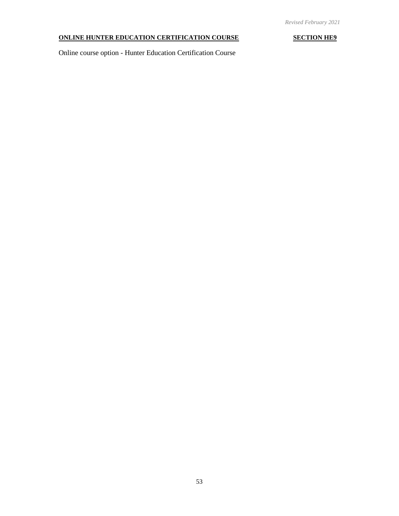# **ONLINE HUNTER EDUCATION CERTIFICATION COURSE SECTION HE9**

Online course option - Hunter Education Certification Course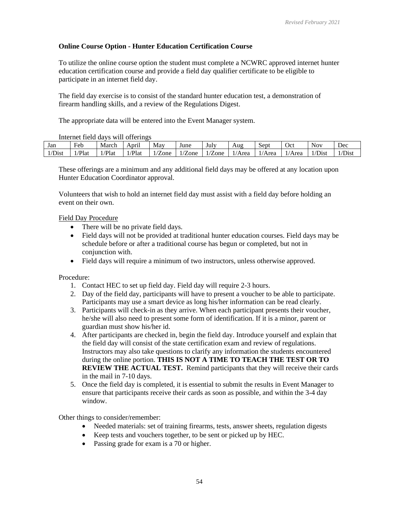# **Online Course Option - Hunter Education Certification Course**

To utilize the online course option the student must complete a NCWRC approved internet hunter education certification course and provide a field day qualifier certificate to be eligible to participate in an internet field day.

The field day exercise is to consist of the standard hunter education test, a demonstration of firearm handling skills, and a review of the Regulations Digest.

The appropriate data will be entered into the Event Manager system.

### Internet field days will offerings

|        | $\frac{1}{2}$ |       | $\cdots$                   |      |                     |      |        |        |      |                       |             |
|--------|---------------|-------|----------------------------|------|---------------------|------|--------|--------|------|-----------------------|-------------|
| Jan    | Feb           | March | $^{\bullet}$<br>April      | May  | June                | July | Aug    | Sept   | Oct  | Nov                   | Dec         |
| 1/Dist | Plau          | /Plat | Plat <sup>-</sup><br>1 / L | Zone | $\sqrt{2}$<br>/Zone | Zone | 1/Area | 1/Area | Area | $\mathbf{r}$<br>'Dıst | <i>Dist</i> |

These offerings are a minimum and any additional field days may be offered at any location upon Hunter Education Coordinator approval.

Volunteers that wish to hold an internet field day must assist with a field day before holding an event on their own.

# Field Day Procedure

- There will be no private field days.
- Field days will not be provided at traditional hunter education courses. Field days may be schedule before or after a traditional course has begun or completed, but not in conjunction with.
- Field days will require a minimum of two instructors, unless otherwise approved.

# Procedure:

- 1. Contact HEC to set up field day. Field day will require 2-3 hours.
- 2. Day of the field day, participants will have to present a voucher to be able to participate. Participants may use a smart device as long his/her information can be read clearly.
- 3. Participants will check-in as they arrive. When each participant presents their voucher, he/she will also need to present some form of identification. If it is a minor, parent or guardian must show his/her id.
- 4. After participants are checked in, begin the field day. Introduce yourself and explain that the field day will consist of the state certification exam and review of regulations. Instructors may also take questions to clarify any information the students encountered during the online portion. **THIS IS NOT A TIME TO TEACH THE TEST OR TO REVIEW THE ACTUAL TEST.** Remind participants that they will receive their cards in the mail in 7-10 days.
- 5. Once the field day is completed, it is essential to submit the results in Event Manager to ensure that participants receive their cards as soon as possible, and within the 3-4 day window.

Other things to consider/remember:

- Needed materials: set of training firearms, tests, answer sheets, regulation digests
- Keep tests and vouchers together, to be sent or picked up by HEC.
- Passing grade for exam is a 70 or higher.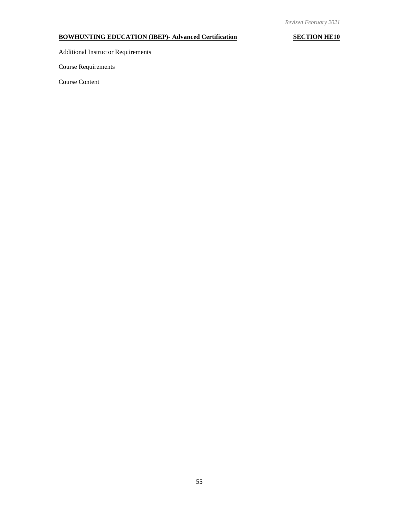# **BOWHUNTING EDUCATION (IBEP)- Advanced Certification SECTION HE10**

Additional Instructor Requirements

Course Requirements

Course Content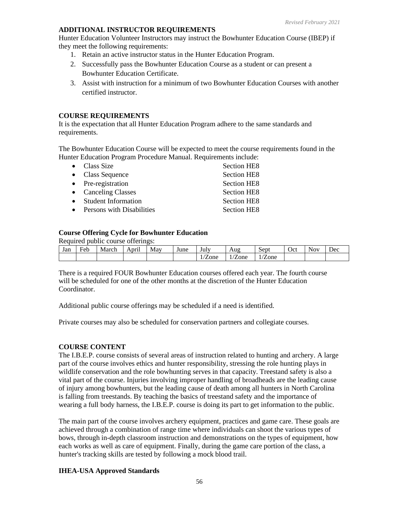# **ADDITIONAL INSTRUCTOR REQUIREMENTS**

Hunter Education Volunteer Instructors may instruct the Bowhunter Education Course (IBEP) if they meet the following requirements:

- 1. Retain an active instructor status in the Hunter Education Program.
- 2. Successfully pass the Bowhunter Education Course as a student or can present a Bowhunter Education Certificate.
- 3. Assist with instruction for a minimum of two Bowhunter Education Courses with another certified instructor.

# **COURSE REQUIREMENTS**

It is the expectation that all Hunter Education Program adhere to the same standards and requirements.

The Bowhunter Education Course will be expected to meet the course requirements found in the Hunter Education Program Procedure Manual. Requirements include:

| $\bullet$ Class Size       | Section HE8        |
|----------------------------|--------------------|
| • Class Sequence           | <b>Section HE8</b> |
| • Pre-registration         | <b>Section HE8</b> |
| • Canceling Classes        | <b>Section HE8</b> |
| <b>Student Information</b> | <b>Section HE8</b> |
| Persons with Disabilities  | <b>Section HE8</b> |
|                            |                    |

# **Course Offering Cycle for Bowhunter Education**

Required public course offerings:

| Jan | Ē<br>Feb | March | $\bullet$ $\bullet$<br>April | May | June | July  | Aug  | Sept                   | $\mathcal{C}$ ct | Nov. | Dec |
|-----|----------|-------|------------------------------|-----|------|-------|------|------------------------|------------------|------|-----|
|     |          |       |                              |     |      | /Zone | ∠one | $\overline{r}$<br>Zone |                  |      |     |

There is a required FOUR Bowhunter Education courses offered each year. The fourth course will be scheduled for one of the other months at the discretion of the Hunter Education Coordinator.

Additional public course offerings may be scheduled if a need is identified.

Private courses may also be scheduled for conservation partners and collegiate courses.

# **COURSE CONTENT**

The I.B.E.P. course consists of several areas of instruction related to hunting and archery. A large part of the course involves ethics and hunter responsibility, stressing the role hunting plays in wildlife conservation and the role bowhunting serves in that capacity. Treestand safety is also a vital part of the course. Injuries involving improper handling of broadheads are the leading cause of injury among bowhunters, but the leading cause of death among all hunters in North Carolina is falling from treestands. By teaching the basics of treestand safety and the importance of wearing a full body harness, the I.B.E.P. course is doing its part to get information to the public.

The main part of the course involves archery equipment, practices and game care. These goals are achieved through a combination of range time where individuals can shoot the various types of bows, through in-depth classroom instruction and demonstrations on the types of equipment, how each works as well as care of equipment. Finally, during the game care portion of the class, a hunter's tracking skills are tested by following a mock blood trail.

# **IHEA-USA Approved Standards**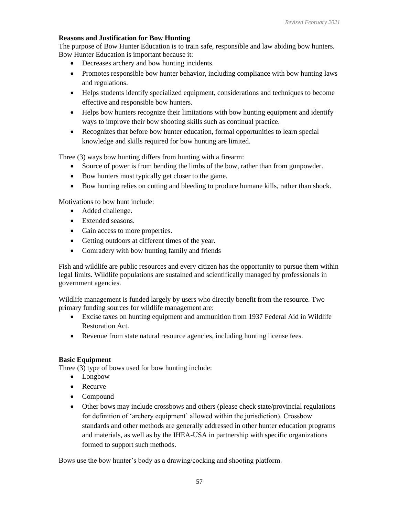# **Reasons and Justification for Bow Hunting**

The purpose of Bow Hunter Education is to train safe, responsible and law abiding bow hunters. Bow Hunter Education is important because it:

- Decreases archery and bow hunting incidents.
- Promotes responsible bow hunter behavior, including compliance with bow hunting laws and regulations.
- Helps students identify specialized equipment, considerations and techniques to become effective and responsible bow hunters.
- Helps bow hunters recognize their limitations with bow hunting equipment and identify ways to improve their bow shooting skills such as continual practice.
- Recognizes that before bow hunter education, formal opportunities to learn special knowledge and skills required for bow hunting are limited.

Three (3) ways bow hunting differs from hunting with a firearm:

- Source of power is from bending the limbs of the bow, rather than from gunpowder.
- Bow hunters must typically get closer to the game.
- Bow hunting relies on cutting and bleeding to produce humane kills, rather than shock.

Motivations to bow hunt include:

- Added challenge.
- Extended seasons
- Gain access to more properties.
- Getting outdoors at different times of the year.
- Comradery with bow hunting family and friends

Fish and wildlife are public resources and every citizen has the opportunity to pursue them within legal limits. Wildlife populations are sustained and scientifically managed by professionals in government agencies.

Wildlife management is funded largely by users who directly benefit from the resource. Two primary funding sources for wildlife management are:

- Excise taxes on hunting equipment and ammunition from 1937 Federal Aid in Wildlife Restoration Act.
- Revenue from state natural resource agencies, including hunting license fees.

# **Basic Equipment**

Three (3) type of bows used for bow hunting include:

- Longbow
- Recurve
- Compound
- Other bows may include crossbows and others (please check state/provincial regulations for definition of 'archery equipment' allowed within the jurisdiction). Crossbow standards and other methods are generally addressed in other hunter education programs and materials, as well as by the IHEA-USA in partnership with specific organizations formed to support such methods.

Bows use the bow hunter's body as a drawing/cocking and shooting platform.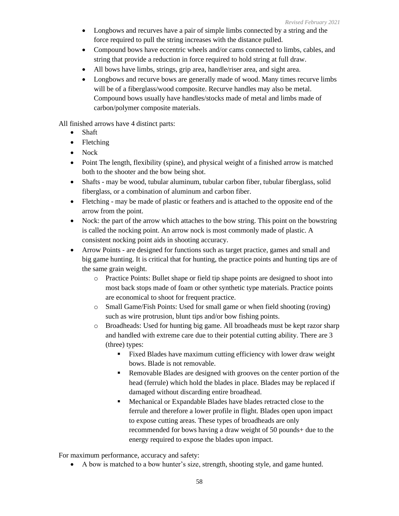- Longbows and recurves have a pair of simple limbs connected by a string and the force required to pull the string increases with the distance pulled.
- Compound bows have eccentric wheels and/or cams connected to limbs, cables, and string that provide a reduction in force required to hold string at full draw.
- All bows have limbs, strings, grip area, handle/riser area, and sight area.
- Longbows and recurve bows are generally made of wood. Many times recurve limbs will be of a fiberglass/wood composite. Recurve handles may also be metal. Compound bows usually have handles/stocks made of metal and limbs made of carbon/polymer composite materials.

All finished arrows have 4 distinct parts:

- Shaft
- Fletching
- Nock
- Point The length, flexibility (spine), and physical weight of a finished arrow is matched both to the shooter and the bow being shot.
- Shafts may be wood, tubular aluminum, tubular carbon fiber, tubular fiberglass, solid fiberglass, or a combination of aluminum and carbon fiber.
- Fletching may be made of plastic or feathers and is attached to the opposite end of the arrow from the point.
- Nock: the part of the arrow which attaches to the bow string. This point on the bowstring is called the nocking point. An arrow nock is most commonly made of plastic. A consistent nocking point aids in shooting accuracy.
- Arrow Points are designed for functions such as target practice, games and small and big game hunting. It is critical that for hunting, the practice points and hunting tips are of the same grain weight.
	- o Practice Points: Bullet shape or field tip shape points are designed to shoot into most back stops made of foam or other synthetic type materials. Practice points are economical to shoot for frequent practice.
	- o Small Game/Fish Points: Used for small game or when field shooting (roving) such as wire protrusion, blunt tips and/or bow fishing points.
	- o Broadheads: Used for hunting big game. All broadheads must be kept razor sharp and handled with extreme care due to their potential cutting ability. There are 3 (three) types:
		- **Example 1** Fixed Blades have maximum cutting efficiency with lower draw weight bows. Blade is not removable.
		- Removable Blades are designed with grooves on the center portion of the head (ferrule) which hold the blades in place. Blades may be replaced if damaged without discarding entire broadhead.
		- Mechanical or Expandable Blades have blades retracted close to the ferrule and therefore a lower profile in flight. Blades open upon impact to expose cutting areas. These types of broadheads are only recommended for bows having a draw weight of 50 pounds+ due to the energy required to expose the blades upon impact.

For maximum performance, accuracy and safety:

• A bow is matched to a bow hunter's size, strength, shooting style, and game hunted.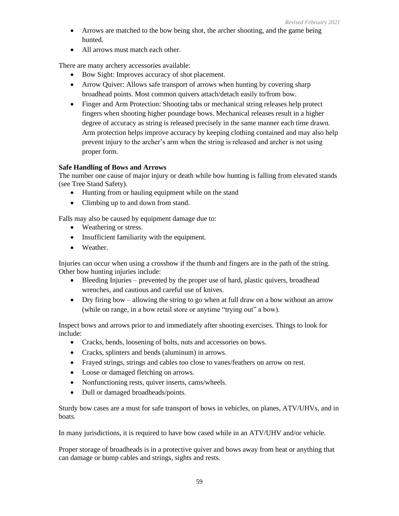- Arrows are matched to the bow being shot, the archer shooting, and the game being hunted.
- All arrows must match each other.

There are many archery accessories available:

- Bow Sight: Improves accuracy of shot placement.
- Arrow Quiver: Allows safe transport of arrows when hunting by covering sharp broadhead points. Most common quivers attach/detach easily to/from bow.
- Finger and Arm Protection: Shooting tabs or mechanical string releases help protect fingers when shooting higher poundage bows. Mechanical releases result in a higher degree of accuracy as string is released precisely in the same manner each time drawn. Arm protection helps improve accuracy by keeping clothing contained and may also help prevent injury to the archer's arm when the string is released and archer is not using proper form.

# **Safe Handling of Bows and Arrows**

The number one cause of major injury or death while bow hunting is falling from elevated stands (see Tree Stand Safety).

- Hunting from or hauling equipment while on the stand
- Climbing up to and down from stand.

Falls may also be caused by equipment damage due to:

- Weathering or stress.
- Insufficient familiarity with the equipment.
- Weather.

Injuries can occur when using a crossbow if the thumb and fingers are in the path of the string. Other bow hunting injuries include:

- Bleeding Injuries prevented by the proper use of hard, plastic quivers, broadhead wrenches, and cautious and careful use of knives.
- Dry firing bow allowing the string to go when at full draw on a bow without an arrow (while on range, in a bow retail store or anytime "trying out" a bow).

Inspect bows and arrows prior to and immediately after shooting exercises. Things to look for include:

- Cracks, bends, loosening of bolts, nuts and accessories on bows.
- Cracks, splinters and bends (aluminum) in arrows.
- Frayed strings, strings and cables too close to vanes/feathers on arrow on rest.
- Loose or damaged fletching on arrows.
- Nonfunctioning rests, quiver inserts, cams/wheels.
- Dull or damaged broadheads/points.

Sturdy bow cases are a must for safe transport of bows in vehicles, on planes, ATV/UHVs, and in boats.

In many jurisdictions, it is required to have bow cased while in an ATV/UHV and/or vehicle.

Proper storage of broadheads is in a protective quiver and bows away from heat or anything that can damage or bump cables and strings, sights and rests.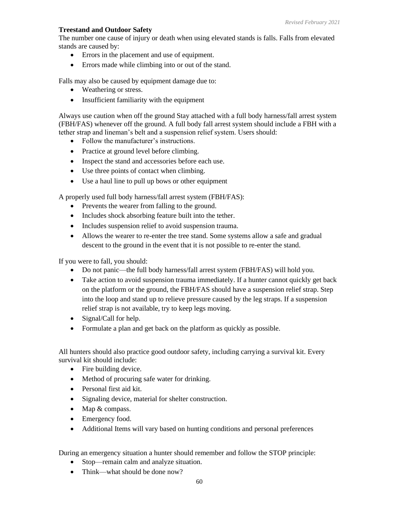# **Treestand and Outdoor Safety**

The number one cause of injury or death when using elevated stands is falls. Falls from elevated stands are caused by:

- Errors in the placement and use of equipment.
- Errors made while climbing into or out of the stand.

Falls may also be caused by equipment damage due to:

- Weathering or stress.
- Insufficient familiarity with the equipment

Always use caution when off the ground Stay attached with a full body harness/fall arrest system (FBH/FAS) whenever off the ground. A full body fall arrest system should include a FBH with a tether strap and lineman's belt and a suspension relief system. Users should:

- Follow the manufacturer's instructions.
- Practice at ground level before climbing.
- Inspect the stand and accessories before each use.
- Use three points of contact when climbing.
- Use a haul line to pull up bows or other equipment

A properly used full body harness/fall arrest system (FBH/FAS):

- Prevents the wearer from falling to the ground.
- Includes shock absorbing feature built into the tether.
- Includes suspension relief to avoid suspension trauma.
- Allows the wearer to re-enter the tree stand. Some systems allow a safe and gradual descent to the ground in the event that it is not possible to re-enter the stand.

If you were to fall, you should:

- Do not panic—the full body harness/fall arrest system (FBH/FAS) will hold you.
- Take action to avoid suspension trauma immediately. If a hunter cannot quickly get back on the platform or the ground, the FBH/FAS should have a suspension relief strap. Step into the loop and stand up to relieve pressure caused by the leg straps. If a suspension relief strap is not available, try to keep legs moving.
- Signal/Call for help.
- Formulate a plan and get back on the platform as quickly as possible.

All hunters should also practice good outdoor safety, including carrying a survival kit. Every survival kit should include:

- Fire building device.
- Method of procuring safe water for drinking.
- Personal first aid kit.
- Signaling device, material for shelter construction.
- Map & compass.
- Emergency food.
- Additional Items will vary based on hunting conditions and personal preferences

During an emergency situation a hunter should remember and follow the STOP principle:

- Stop—remain calm and analyze situation.
- Think—what should be done now?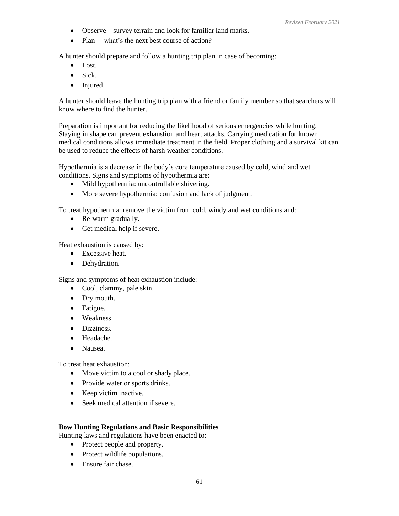- Observe—survey terrain and look for familiar land marks.
- Plan— what's the next best course of action?

A hunter should prepare and follow a hunting trip plan in case of becoming:

- Lost.
- Sick.
- Injured.

A hunter should leave the hunting trip plan with a friend or family member so that searchers will know where to find the hunter.

Preparation is important for reducing the likelihood of serious emergencies while hunting. Staying in shape can prevent exhaustion and heart attacks. Carrying medication for known medical conditions allows immediate treatment in the field. Proper clothing and a survival kit can be used to reduce the effects of harsh weather conditions.

Hypothermia is a decrease in the body's core temperature caused by cold, wind and wet conditions. Signs and symptoms of hypothermia are:

- Mild hypothermia: uncontrollable shivering.
- More severe hypothermia: confusion and lack of judgment.

To treat hypothermia: remove the victim from cold, windy and wet conditions and:

- Re-warm gradually.
- Get medical help if severe.

Heat exhaustion is caused by:

- Excessive heat.
- Dehydration.

Signs and symptoms of heat exhaustion include:

- Cool, clammy, pale skin.
- Dry mouth.
- Fatigue.
- Weakness.
- Dizziness.
- Headache.
- Nausea.

To treat heat exhaustion:

- Move victim to a cool or shady place.
- Provide water or sports drinks.
- Keep victim inactive.
- Seek medical attention if severe.

# **Bow Hunting Regulations and Basic Responsibilities**

Hunting laws and regulations have been enacted to:

- Protect people and property.
- Protect wildlife populations.
- Ensure fair chase.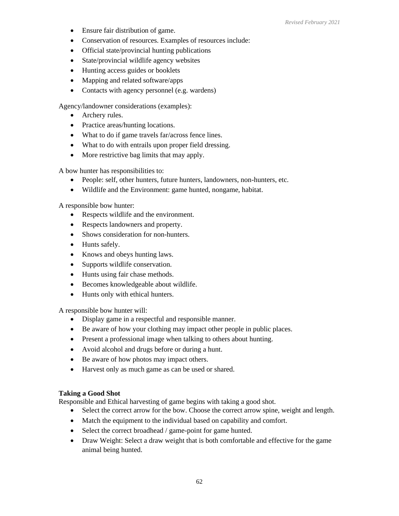- Ensure fair distribution of game.
- Conservation of resources. Examples of resources include:
- Official state/provincial hunting publications
- State/provincial wildlife agency websites
- Hunting access guides or booklets
- Mapping and related software/apps
- Contacts with agency personnel (e.g. wardens)

Agency/landowner considerations (examples):

- Archery rules.
- Practice areas/hunting locations.
- What to do if game travels far/across fence lines.
- What to do with entrails upon proper field dressing.
- More restrictive bag limits that may apply.

A bow hunter has responsibilities to:

- People: self, other hunters, future hunters, landowners, non-hunters, etc.
- Wildlife and the Environment: game hunted, nongame, habitat.

A responsible bow hunter:

- Respects wildlife and the environment.
- Respects landowners and property.
- Shows consideration for non-hunters.
- Hunts safely.
- Knows and obeys hunting laws.
- Supports wildlife conservation.
- Hunts using fair chase methods.
- Becomes knowledgeable about wildlife.
- Hunts only with ethical hunters.

A responsible bow hunter will:

- Display game in a respectful and responsible manner.
- Be aware of how your clothing may impact other people in public places.
- Present a professional image when talking to others about hunting.
- Avoid alcohol and drugs before or during a hunt.
- Be aware of how photos may impact others.
- Harvest only as much game as can be used or shared.

# **Taking a Good Shot**

Responsible and Ethical harvesting of game begins with taking a good shot.

- Select the correct arrow for the bow. Choose the correct arrow spine, weight and length.
- Match the equipment to the individual based on capability and comfort.
- Select the correct broadhead / game-point for game hunted.
- Draw Weight: Select a draw weight that is both comfortable and effective for the game animal being hunted.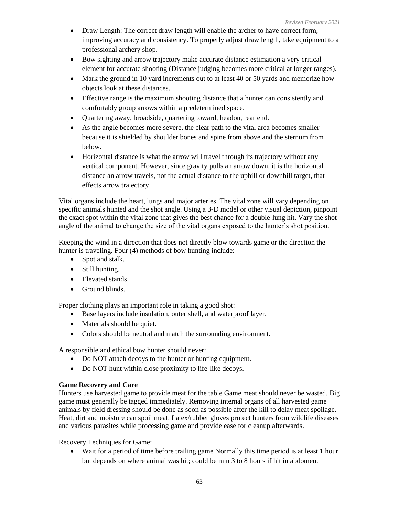- Draw Length: The correct draw length will enable the archer to have correct form, improving accuracy and consistency. To properly adjust draw length, take equipment to a professional archery shop.
- Bow sighting and arrow trajectory make accurate distance estimation a very critical element for accurate shooting (Distance judging becomes more critical at longer ranges).
- Mark the ground in 10 yard increments out to at least 40 or 50 yards and memorize how objects look at these distances.
- Effective range is the maximum shooting distance that a hunter can consistently and comfortably group arrows within a predetermined space.
- Quartering away, broadside, quartering toward, headon, rear end.
- As the angle becomes more severe, the clear path to the vital area becomes smaller because it is shielded by shoulder bones and spine from above and the sternum from below.
- Horizontal distance is what the arrow will travel through its trajectory without any vertical component. However, since gravity pulls an arrow down, it is the horizontal distance an arrow travels, not the actual distance to the uphill or downhill target, that effects arrow trajectory.

Vital organs include the heart, lungs and major arteries. The vital zone will vary depending on specific animals hunted and the shot angle. Using a 3-D model or other visual depiction, pinpoint the exact spot within the vital zone that gives the best chance for a double-lung hit. Vary the shot angle of the animal to change the size of the vital organs exposed to the hunter's shot position.

Keeping the wind in a direction that does not directly blow towards game or the direction the hunter is traveling. Four (4) methods of bow hunting include:

- Spot and stalk.
- Still hunting.
- Elevated stands.
- Ground blinds.

Proper clothing plays an important role in taking a good shot:

- Base layers include insulation, outer shell, and waterproof layer.
- Materials should be quiet.
- Colors should be neutral and match the surrounding environment.

A responsible and ethical bow hunter should never:

- Do NOT attach decoys to the hunter or hunting equipment.
- Do NOT hunt within close proximity to life-like decoys.

# **Game Recovery and Care**

Hunters use harvested game to provide meat for the table Game meat should never be wasted. Big game must generally be tagged immediately. Removing internal organs of all harvested game animals by field dressing should be done as soon as possible after the kill to delay meat spoilage. Heat, dirt and moisture can spoil meat. Latex/rubber gloves protect hunters from wildlife diseases and various parasites while processing game and provide ease for cleanup afterwards.

Recovery Techniques for Game:

• Wait for a period of time before trailing game Normally this time period is at least 1 hour but depends on where animal was hit; could be min 3 to 8 hours if hit in abdomen.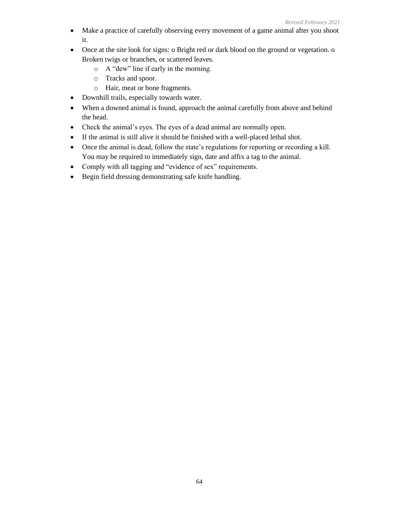- Make a practice of carefully observing every movement of a game animal after you shoot it.
- Once at the site look for signs: o Bright red or dark blood on the ground or vegetation. o Broken twigs or branches, or scattered leaves.
	- o A "dew" line if early in the morning.
	- o Tracks and spoor.
	- o Hair, meat or bone fragments.
- Downhill trails, especially towards water.
- When a downed animal is found, approach the animal carefully from above and behind the head.
- Check the animal's eyes. The eyes of a dead animal are normally open.
- If the animal is still alive it should be finished with a well-placed lethal shot.
- Once the animal is dead, follow the state's regulations for reporting or recording a kill. You may be required to immediately sign, date and affix a tag to the animal.
- Comply with all tagging and "evidence of sex" requirements.
- Begin field dressing demonstrating safe knife handling.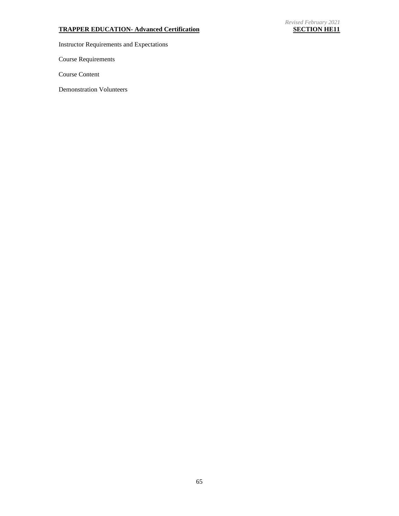# **TRAPPER EDUCATION- Advanced Certification SECTION HE11**

Instructor Requirements and Expectations

Course Requirements

Course Content

Demonstration Volunteers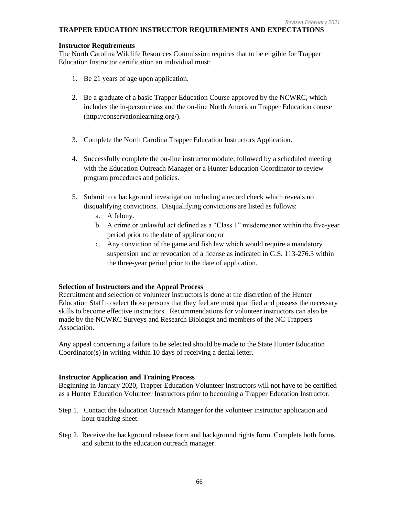# **TRAPPER EDUCATION INSTRUCTOR REQUIREMENTS AND EXPECTATIONS**

### **Instructor Requirements**

The North Carolina Wildlife Resources Commission requires that to be eligible for Trapper Education Instructor certification an individual must:

- 1. Be 21 years of age upon application.
- 2. Be a graduate of a basic Trapper Education Course approved by the NCWRC, which includes the in-person class and the on-line North American Trapper Education course (http://conservationlearning.org/).
- 3. Complete the North Carolina Trapper Education Instructors Application.
- 4. Successfully complete the on-line instructor module, followed by a scheduled meeting with the Education Outreach Manager or a Hunter Education Coordinator to review program procedures and policies.
- 5. Submit to a background investigation including a record check which reveals no disqualifying convictions. Disqualifying convictions are listed as follows:
	- a. A felony.
	- b. A crime or unlawful act defined as a "Class 1" misdemeanor within the five-year period prior to the date of application; or
	- c. Any conviction of the game and fish law which would require a mandatory suspension and or revocation of a license as indicated in G.S. 113-276.3 within the three-year period prior to the date of application.

# **Selection of Instructors and the Appeal Process**

Recruitment and selection of volunteer instructors is done at the discretion of the Hunter Education Staff to select those persons that they feel are most qualified and possess the necessary skills to become effective instructors. Recommendations for volunteer instructors can also be made by the NCWRC Surveys and Research Biologist and members of the NC Trappers Association.

Any appeal concerning a failure to be selected should be made to the State Hunter Education Coordinator(s) in writing within 10 days of receiving a denial letter.

# **Instructor Application and Training Process**

Beginning in January 2020, Trapper Education Volunteer Instructors will not have to be certified as a Hunter Education Volunteer Instructors prior to becoming a Trapper Education Instructor.

- Step 1. Contact the Education Outreach Manager for the volunteer instructor application and hour tracking sheet.
- Step 2. Receive the background release form and background rights form. Complete both forms and submit to the education outreach manager.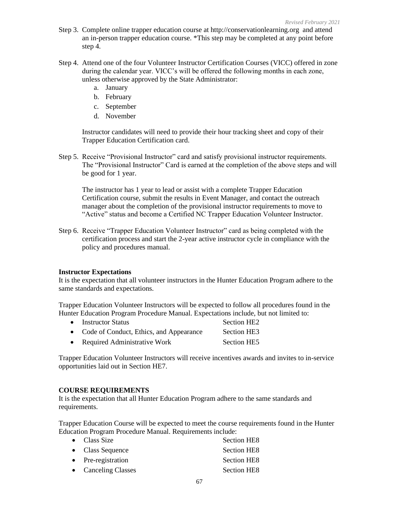- Step 3. Complete online trapper education course at http://conservationlearning.org and attend an in-person trapper education course. \*This step may be completed at any point before step 4.
- Step 4. Attend one of the four Volunteer Instructor Certification Courses (VICC) offered in zone during the calendar year. VICC's will be offered the following months in each zone, unless otherwise approved by the State Administrator:
	- a. January
	- b. February
	- c. September
	- d. November

Instructor candidates will need to provide their hour tracking sheet and copy of their Trapper Education Certification card.

Step 5. Receive "Provisional Instructor" card and satisfy provisional instructor requirements. The "Provisional Instructor" Card is earned at the completion of the above steps and will be good for 1 year.

The instructor has 1 year to lead or assist with a complete Trapper Education Certification course, submit the results in Event Manager, and contact the outreach manager about the completion of the provisional instructor requirements to move to "Active" status and become a Certified NC Trapper Education Volunteer Instructor.

Step 6. Receive "Trapper Education Volunteer Instructor" card as being completed with the certification process and start the 2-year active instructor cycle in compliance with the policy and procedures manual.

#### **Instructor Expectations**

It is the expectation that all volunteer instructors in the Hunter Education Program adhere to the same standards and expectations.

Trapper Education Volunteer Instructors will be expected to follow all procedures found in the Hunter Education Program Procedure Manual. Expectations include, but not limited to:

| • Instructor Status                       | Section HE <sub>2</sub> |
|-------------------------------------------|-------------------------|
| • Code of Conduct, Ethics, and Appearance | Section HE3             |
| • Required Administrative Work            | Section HE5             |

Trapper Education Volunteer Instructors will receive incentives awards and invites to in-service opportunities laid out in Section HE7.

#### **COURSE REQUIREMENTS**

It is the expectation that all Hunter Education Program adhere to the same standards and requirements.

Trapper Education Course will be expected to meet the course requirements found in the Hunter Education Program Procedure Manual. Requirements include:

| $\bullet$ Class Size | <b>Section HE8</b> |
|----------------------|--------------------|
| • Class Sequence     | <b>Section HE8</b> |
| • Pre-registration   | <b>Section HE8</b> |
| • Canceling Classes  | <b>Section HE8</b> |
|                      |                    |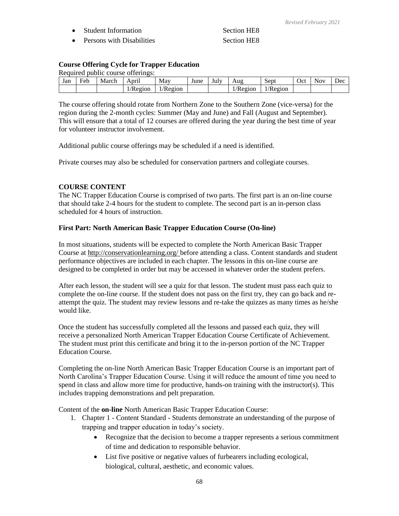- *Revised February 2021*
- Student Information Section HE8 • Persons with Disabilities Section HE8
- 

# **Course Offering Cycle for Trapper Education**

Required public course offerings:

| Jan | ∽<br>Feb | March | April   | May     | June | July | Aug                   | Sept                  | Oct | Nov | Dec |
|-----|----------|-------|---------|---------|------|------|-----------------------|-----------------------|-----|-----|-----|
|     |          |       | /Region | /Region |      |      | $\sqrt{ }$<br>/Kegion | $\sqrt{ }$<br>/Region |     |     |     |

The course offering should rotate from Northern Zone to the Southern Zone (vice-versa) for the region during the 2-month cycles: Summer (May and June) and Fall (August and September). This will ensure that a total of 12 courses are offered during the year during the best time of year for volunteer instructor involvement.

Additional public course offerings may be scheduled if a need is identified.

Private courses may also be scheduled for conservation partners and collegiate courses.

# **COURSE CONTENT**

The NC Trapper Education Course is comprised of two parts. The first part is an on-line course that should take 2-4 hours for the student to complete. The second part is an in-person class scheduled for 4 hours of instruction.

# **First Part: North American Basic Trapper Education Course (On-line)**

In most situations, students will be expected to complete the North American Basic Trapper Course at<http://conservationlearning.org/> before attending a class. Content standards and student performance objectives are included in each chapter. The lessons in this on-line course are designed to be completed in order but may be accessed in whatever order the student prefers.

After each lesson, the student will see a quiz for that lesson. The student must pass each quiz to complete the on-line course. If the student does not pass on the first try, they can go back and reattempt the quiz. The student may review lessons and re-take the quizzes as many times as he/she would like.

Once the student has successfully completed all the lessons and passed each quiz, they will receive a personalized North American Trapper Education Course Certificate of Achievement. The student must print this certificate and bring it to the in-person portion of the NC Trapper Education Course.

Completing the on-line North American Basic Trapper Education Course is an important part of North Carolina's Trapper Education Course. Using it will reduce the amount of time you need to spend in class and allow more time for productive, hands-on training with the instructor(s). This includes trapping demonstrations and pelt preparation.

Content of the **on-line** North American Basic Trapper Education Course:

- 1. Chapter 1 Content Standard Students demonstrate an understanding of the purpose of trapping and trapper education in today's society.
	- Recognize that the decision to become a trapper represents a serious commitment of time and dedication to responsible behavior.
	- List five positive or negative values of furbearers including ecological, biological, cultural, aesthetic, and economic values.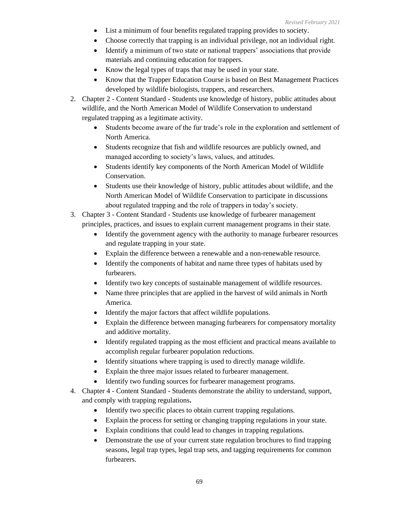- List a minimum of four benefits regulated trapping provides to society.
- Choose correctly that trapping is an individual privilege, not an individual right.
- Identify a minimum of two state or national trappers' associations that provide materials and continuing education for trappers.
- Know the legal types of traps that may be used in your state.
- Know that the Trapper Education Course is based on Best Management Practices developed by wildlife biologists, trappers, and researchers.
- 2. Chapter 2 Content Standard Students use knowledge of history, public attitudes about wildlife, and the North American Model of Wildlife Conservation to understand regulated trapping as a legitimate activity.
	- Students become aware of the fur trade's role in the exploration and settlement of North America.
	- Students recognize that fish and wildlife resources are publicly owned, and managed according to society's laws, values, and attitudes.
	- Students identify key components of the North American Model of Wildlife Conservation.
	- Students use their knowledge of history, public attitudes about wildlife, and the North American Model of Wildlife Conservation to participate in discussions about regulated trapping and the role of trappers in today's society.
- 3. Chapter 3 Content Standard Students use knowledge of furbearer management principles, practices, and issues to explain current management programs in their state.
	- Identify the government agency with the authority to manage furbearer resources and regulate trapping in your state.
	- Explain the difference between a renewable and a non-renewable resource.
	- Identify the components of habitat and name three types of habitats used by furbearers.
	- Identify two key concepts of sustainable management of wildlife resources.
	- Name three principles that are applied in the harvest of wild animals in North America.
	- Identify the major factors that affect wildlife populations.
	- Explain the difference between managing furbearers for compensatory mortality and additive mortality.
	- Identify regulated trapping as the most efficient and practical means available to accomplish regular furbearer population reductions.
	- Identify situations where trapping is used to directly manage wildlife.
	- Explain the three major issues related to furbearer management.
	- Identify two funding sources for furbearer management programs.
- 4. Chapter 4 Content Standard Students demonstrate the ability to understand, support, and comply with trapping regulations**.**
	- Identify two specific places to obtain current trapping regulations.
	- Explain the process for setting or changing trapping regulations in your state.
	- Explain conditions that could lead to changes in trapping regulations.
	- Demonstrate the use of your current state regulation brochures to find trapping seasons, legal trap types, legal trap sets, and tagging requirements for common furbearers.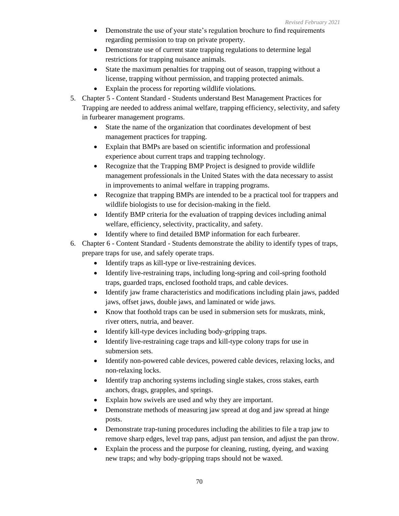- Demonstrate the use of your state's regulation brochure to find requirements regarding permission to trap on private property.
- Demonstrate use of current state trapping regulations to determine legal restrictions for trapping nuisance animals.
- State the maximum penalties for trapping out of season, trapping without a license, trapping without permission, and trapping protected animals.
- Explain the process for reporting wildlife violations.
- 5. Chapter 5 Content Standard Students understand Best Management Practices for Trapping are needed to address animal welfare, trapping efficiency, selectivity, and safety in furbearer management programs.
	- State the name of the organization that coordinates development of best management practices for trapping.
	- Explain that BMPs are based on scientific information and professional experience about current traps and trapping technology.
	- Recognize that the Trapping BMP Project is designed to provide wildlife management professionals in the United States with the data necessary to assist in improvements to animal welfare in trapping programs.
	- Recognize that trapping BMPs are intended to be a practical tool for trappers and wildlife biologists to use for decision-making in the field.
	- Identify BMP criteria for the evaluation of trapping devices including animal welfare, efficiency, selectivity, practicality, and safety.
	- Identify where to find detailed BMP information for each furbearer.
- 6. Chapter 6 Content Standard Students demonstrate the ability to identify types of traps, prepare traps for use, and safely operate traps.
	- Identify traps as kill-type or live-restraining devices.
	- Identify live-restraining traps, including long-spring and coil-spring foothold traps, guarded traps, enclosed foothold traps, and cable devices.
	- Identify jaw frame characteristics and modifications including plain jaws, padded jaws, offset jaws, double jaws, and laminated or wide jaws.
	- Know that foothold traps can be used in submersion sets for muskrats, mink, river otters, nutria, and beaver.
	- Identify kill-type devices including body-gripping traps.
	- Identify live-restraining cage traps and kill-type colony traps for use in submersion sets.
	- Identify non-powered cable devices, powered cable devices, relaxing locks, and non-relaxing locks.
	- Identify trap anchoring systems including single stakes, cross stakes, earth anchors, drags, grapples, and springs.
	- Explain how swivels are used and why they are important.
	- Demonstrate methods of measuring jaw spread at dog and jaw spread at hinge posts.
	- Demonstrate trap-tuning procedures including the abilities to file a trap jaw to remove sharp edges, level trap pans, adjust pan tension, and adjust the pan throw.
	- Explain the process and the purpose for cleaning, rusting, dyeing, and waxing new traps; and why body-gripping traps should not be waxed.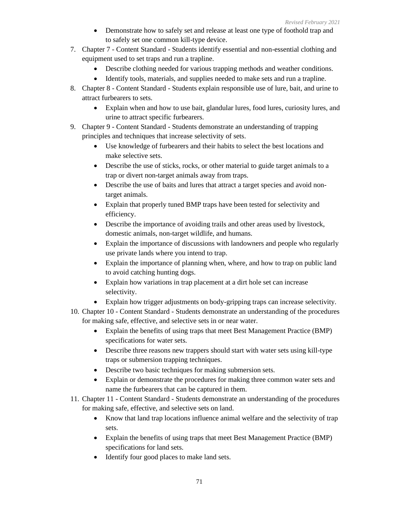- Demonstrate how to safely set and release at least one type of foothold trap and to safely set one common kill-type device.
- 7. Chapter 7 Content Standard Students identify essential and non-essential clothing and equipment used to set traps and run a trapline.
	- Describe clothing needed for various trapping methods and weather conditions.
	- Identify tools, materials, and supplies needed to make sets and run a trapline.
- 8. Chapter 8 Content Standard Students explain responsible use of lure, bait, and urine to attract furbearers to sets.
	- Explain when and how to use bait, glandular lures, food lures, curiosity lures, and urine to attract specific furbearers.
- 9. Chapter 9 Content Standard Students demonstrate an understanding of trapping principles and techniques that increase selectivity of sets.
	- Use knowledge of furbearers and their habits to select the best locations and make selective sets.
	- Describe the use of sticks, rocks, or other material to guide target animals to a trap or divert non-target animals away from traps.
	- Describe the use of baits and lures that attract a target species and avoid nontarget animals.
	- Explain that properly tuned BMP traps have been tested for selectivity and efficiency.
	- Describe the importance of avoiding trails and other areas used by livestock, domestic animals, non-target wildlife, and humans.
	- Explain the importance of discussions with landowners and people who regularly use private lands where you intend to trap.
	- Explain the importance of planning when, where, and how to trap on public land to avoid catching hunting dogs.
	- Explain how variations in trap placement at a dirt hole set can increase selectivity.
	- Explain how trigger adjustments on body-gripping traps can increase selectivity.
- 10. Chapter 10 Content Standard Students demonstrate an understanding of the procedures for making safe, effective, and selective sets in or near water.
	- Explain the benefits of using traps that meet Best Management Practice (BMP) specifications for water sets.
	- Describe three reasons new trappers should start with water sets using kill-type traps or submersion trapping techniques.
	- Describe two basic techniques for making submersion sets.
	- Explain or demonstrate the procedures for making three common water sets and name the furbearers that can be captured in them.
- 11. Chapter 11 Content Standard Students demonstrate an understanding of the procedures for making safe, effective, and selective sets on land.
	- Know that land trap locations influence animal welfare and the selectivity of trap sets.
	- Explain the benefits of using traps that meet Best Management Practice (BMP) specifications for land sets.
	- Identify four good places to make land sets.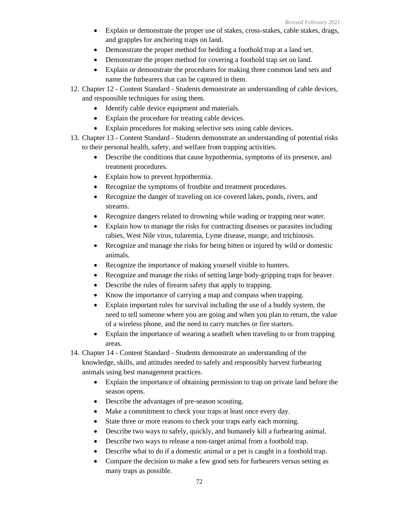- Explain or demonstrate the proper use of stakes, cross-stakes, cable stakes, drags, and grapples for anchoring traps on land.
- Demonstrate the proper method for bedding a foothold trap at a land set.
- Demonstrate the proper method for covering a foothold trap set on land.
- Explain or demonstrate the procedures for making three common land sets and name the furbearers that can be captured in them.
- 12. Chapter 12 Content Standard Students demonstrate an understanding of cable devices, and responsible techniques for using them.
	- Identify cable device equipment and materials.
	- Explain the procedure for treating cable devices.
	- Explain procedures for making selective sets using cable devices.
- 13. Chapter 13 Content Standard Students demonstrate an understanding of potential risks to their personal health, safety, and welfare from trapping activities.
	- Describe the conditions that cause hypothermia, symptoms of its presence, and treatment procedures.
	- Explain how to prevent hypothermia.
	- Recognize the symptoms of frostbite and treatment procedures.
	- Recognize the danger of traveling on ice covered lakes, ponds, rivers, and streams.
	- Recognize dangers related to drowning while wading or trapping near water.
	- Explain how to manage the risks for contracting diseases or parasites including rabies, West Nile virus, tularemia, Lyme disease, mange, and trichinosis.
	- Recognize and manage the risks for being bitten or injured by wild or domestic animals.
	- Recognize the importance of making yourself visible to hunters.
	- Recognize and manage the risks of setting large body-gripping traps for beaver.
	- Describe the rules of firearm safety that apply to trapping.
	- Know the importance of carrying a map and compass when trapping.
	- Explain important rules for survival including the use of a buddy system, the need to tell someone where you are going and when you plan to return, the value of a wireless phone, and the need to carry matches or fire starters.
	- Explain the importance of wearing a seatbelt when traveling to or from trapping areas.
- 14. Chapter 14 Content Standard Students demonstrate an understanding of the knowledge, skills, and attitudes needed to safely and responsibly harvest furbearing animals using best management practices.
	- Explain the importance of obtaining permission to trap on private land before the season opens.
	- Describe the advantages of pre-season scouting.
	- Make a commitment to check your traps at least once every day.
	- State three or more reasons to check your traps early each morning.
	- Describe two ways to safely, quickly, and humanely kill a furbearing animal.
	- Describe two ways to release a non-target animal from a foothold trap.
	- Describe what to do if a domestic animal or a pet is caught in a foothold trap.
	- Compare the decision to make a few good sets for furbearers versus setting as many traps as possible.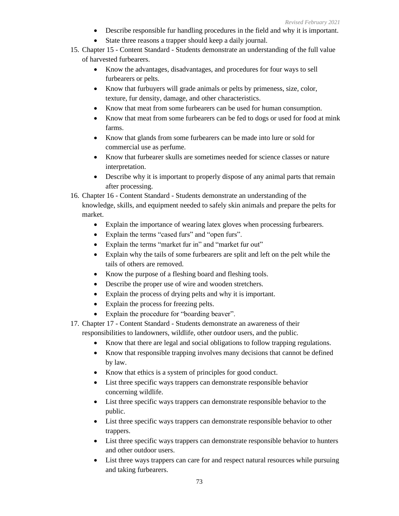- Describe responsible fur handling procedures in the field and why it is important.
- State three reasons a trapper should keep a daily journal.
- 15. Chapter 15 Content Standard Students demonstrate an understanding of the full value of harvested furbearers.
	- Know the advantages, disadvantages, and procedures for four ways to sell furbearers or pelts.
	- Know that furbuyers will grade animals or pelts by primeness, size, color, texture, fur density, damage, and other characteristics.
	- Know that meat from some furbearers can be used for human consumption.
	- Know that meat from some furbearers can be fed to dogs or used for food at mink farms.
	- Know that glands from some furbearers can be made into lure or sold for commercial use as perfume.
	- Know that furbearer skulls are sometimes needed for science classes or nature interpretation.
	- Describe why it is important to properly dispose of any animal parts that remain after processing.
- 16. Chapter 16 Content Standard Students demonstrate an understanding of the knowledge, skills, and equipment needed to safely skin animals and prepare the pelts for market.
	- Explain the importance of wearing latex gloves when processing furbearers.
	- Explain the terms "cased furs" and "open furs".
	- Explain the terms "market fur in" and "market fur out"
	- Explain why the tails of some furbearers are split and left on the pelt while the tails of others are removed.
	- Know the purpose of a fleshing board and fleshing tools.
	- Describe the proper use of wire and wooden stretchers.
	- Explain the process of drying pelts and why it is important.
	- Explain the process for freezing pelts.
	- Explain the procedure for "boarding beaver".
- 17. Chapter 17 Content Standard Students demonstrate an awareness of their

responsibilities to landowners, wildlife, other outdoor users, and the public.

- Know that there are legal and social obligations to follow trapping regulations.
- Know that responsible trapping involves many decisions that cannot be defined by law.
- Know that ethics is a system of principles for good conduct.
- List three specific ways trappers can demonstrate responsible behavior concerning wildlife.
- List three specific ways trappers can demonstrate responsible behavior to the public.
- List three specific ways trappers can demonstrate responsible behavior to other trappers.
- List three specific ways trappers can demonstrate responsible behavior to hunters and other outdoor users.
- List three ways trappers can care for and respect natural resources while pursuing and taking furbearers.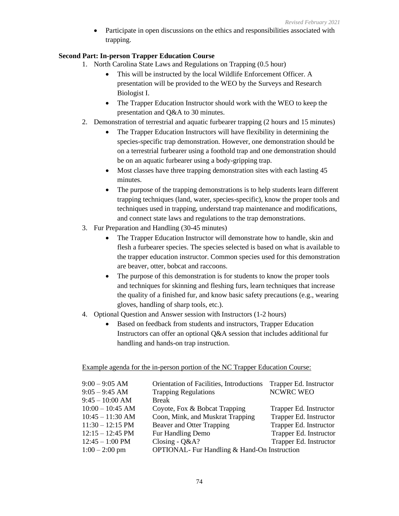Participate in open discussions on the ethics and responsibilities associated with trapping.

#### **Second Part: In-person Trapper Education Course**

- 1. North Carolina State Laws and Regulations on Trapping (0.5 hour)
	- This will be instructed by the local Wildlife Enforcement Officer. A presentation will be provided to the WEO by the Surveys and Research Biologist I.
	- The Trapper Education Instructor should work with the WEO to keep the presentation and Q&A to 30 minutes.
- 2. Demonstration of terrestrial and aquatic furbearer trapping (2 hours and 15 minutes)
	- The Trapper Education Instructors will have flexibility in determining the species-specific trap demonstration. However, one demonstration should be on a terrestrial furbearer using a foothold trap and one demonstration should be on an aquatic furbearer using a body-gripping trap.
	- Most classes have three trapping demonstration sites with each lasting 45 minutes.
	- The purpose of the trapping demonstrations is to help students learn different trapping techniques (land, water, species-specific), know the proper tools and techniques used in trapping, understand trap maintenance and modifications, and connect state laws and regulations to the trap demonstrations.
- 3. Fur Preparation and Handling (30-45 minutes)
	- The Trapper Education Instructor will demonstrate how to handle, skin and flesh a furbearer species. The species selected is based on what is available to the trapper education instructor. Common species used for this demonstration are beaver, otter, bobcat and raccoons.
	- The purpose of this demonstration is for students to know the proper tools and techniques for skinning and fleshing furs, learn techniques that increase the quality of a finished fur, and know basic safety precautions (e.g., wearing gloves, handling of sharp tools, etc.).
- 4. Optional Question and Answer session with Instructors (1-2 hours)
	- Based on feedback from students and instructors, Trapper Education Instructors can offer an optional Q&A session that includes additional fur handling and hands-on trap instruction.

Example agenda for the in-person portion of the NC Trapper Education Course:

| $9:00 - 9:05$ AM           | Orientation of Facilities, Introductions            | Trapper Ed. Instructor |
|----------------------------|-----------------------------------------------------|------------------------|
| $9:05 - 9:45$ AM           | <b>Trapping Regulations</b>                         | NCWRC WEO              |
| $9:45 - 10:00$ AM          | <b>Break</b>                                        |                        |
| $10:00 - 10:45$ AM         | Coyote, Fox & Bobcat Trapping                       | Trapper Ed. Instructor |
| $10:45 - 11:30$ AM         | Coon, Mink, and Muskrat Trapping                    | Trapper Ed. Instructor |
| $11:30 - 12:15 \text{ PM}$ | <b>Beaver and Otter Trapping</b>                    | Trapper Ed. Instructor |
| $12:15 - 12:45 \text{ PM}$ | Fur Handling Demo                                   | Trapper Ed. Instructor |
| $12:45 - 1:00$ PM          | Closing - $Q&A$ ?                                   | Trapper Ed. Instructor |
| $1:00 - 2:00$ pm           | <b>OPTIONAL-</b> Fur Handling & Hand-On Instruction |                        |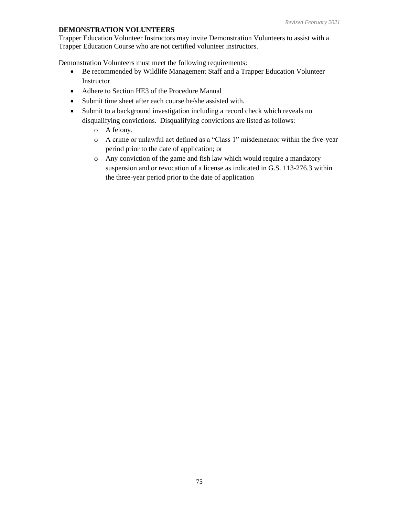#### **DEMONSTRATION VOLUNTEERS**

Trapper Education Volunteer Instructors may invite Demonstration Volunteers to assist with a Trapper Education Course who are not certified volunteer instructors.

Demonstration Volunteers must meet the following requirements:

- Be recommended by Wildlife Management Staff and a Trapper Education Volunteer Instructor
- Adhere to Section HE3 of the Procedure Manual
- Submit time sheet after each course he/she assisted with.
- Submit to a background investigation including a record check which reveals no disqualifying convictions. Disqualifying convictions are listed as follows:
	- o A felony.
	- o A crime or unlawful act defined as a "Class 1" misdemeanor within the five-year period prior to the date of application; or
	- o Any conviction of the game and fish law which would require a mandatory suspension and or revocation of a license as indicated in G.S. 113-276.3 within the three-year period prior to the date of application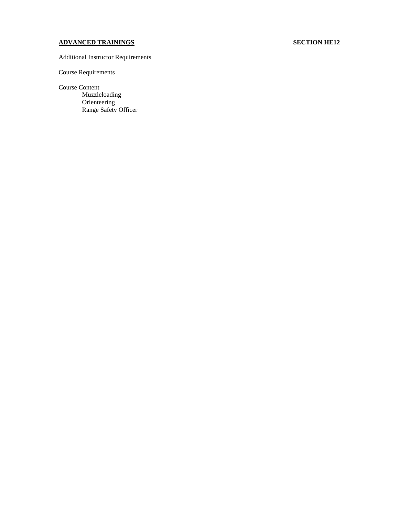### **ADVANCED TRAININGS SECTION HE12**

#### Additional Instructor Requirements

#### Course Requirements

#### Course Content

Muzzleloading Orienteering Range Safety Officer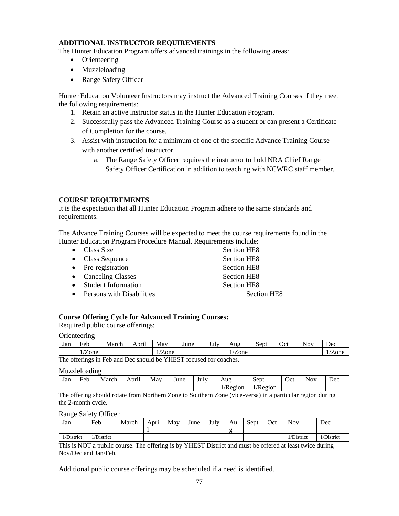#### **ADDITIONAL INSTRUCTOR REQUIREMENTS**

The Hunter Education Program offers advanced trainings in the following areas:

- Orienteering
- Muzzleloading
- Range Safety Officer

Hunter Education Volunteer Instructors may instruct the Advanced Training Courses if they meet the following requirements:

- 1. Retain an active instructor status in the Hunter Education Program.
- 2. Successfully pass the Advanced Training Course as a student or can present a Certificate of Completion for the course.
- 3. Assist with instruction for a minimum of one of the specific Advance Training Course with another certified instructor.
	- a. The Range Safety Officer requires the instructor to hold NRA Chief Range Safety Officer Certification in addition to teaching with NCWRC staff member.

#### **COURSE REQUIREMENTS**

It is the expectation that all Hunter Education Program adhere to the same standards and requirements.

The Advance Training Courses will be expected to meet the course requirements found in the Hunter Education Program Procedure Manual. Requirements include:

- Class Size Section HE8 • Class Sequence Section HE8 • Pre-registration Section HE8 • Canceling Classes Section HE8 • Student Information Section HE8
- Persons with Disabilities Section HE8

#### **Course Offering Cycle for Advanced Training Courses:**

Required public course offerings:

**Orienteering** 

| Jan                                                                                                 | $\mathbf{r}$ 1<br>Feb | March | $\cdot$ $\cdot$<br>April | May  | June | July | Aug       | $\sim$<br>sept | Oct | $\sim$ $\sim$<br><b>Nov</b> | Dec          |
|-----------------------------------------------------------------------------------------------------|-----------------------|-------|--------------------------|------|------|------|-----------|----------------|-----|-----------------------------|--------------|
|                                                                                                     | $\sim$<br>/Zone       |       |                          | Zone |      |      | $1/Z$ one |                |     |                             | <i>L</i> one |
| $\sim$<br>--<br>$\sim$<br>$\sim$ $\sim$ $\sim$ $\sim$ $\sim$ $\sim$ $\sim$<br>$\sim$<br>.<br>$\sim$ |                       |       |                          |      |      |      |           |                |     |                             |              |

The offerings in Feb and Dec should be YHEST focused for coaches.

Muzzleloading

| Jan | ᠇<br>Feb | March | . .<br>April | May | June | July | Aug     | Sept    | Oct | Nov | ∽<br>Dec |
|-----|----------|-------|--------------|-----|------|------|---------|---------|-----|-----|----------|
|     |          |       |              |     |      |      | /Region | /Region |     |     |          |

The offering should rotate from Northern Zone to Southern Zone (vice-versa) in a particular region during the 2-month cycle.

Range Safety Officer

| Jan        | Feb        | March | Aprı | May | June | July | Au | Sept | Oct | <b>Nov</b> | Dec       |
|------------|------------|-------|------|-----|------|------|----|------|-----|------------|-----------|
|            |            |       |      |     |      |      |    |      |     |            |           |
| 1/District | 1/District |       |      |     |      |      |    |      |     | 1/District | /District |

This is NOT a public course. The offering is by YHEST District and must be offered at least twice during Nov/Dec and Jan/Feb.

Additional public course offerings may be scheduled if a need is identified.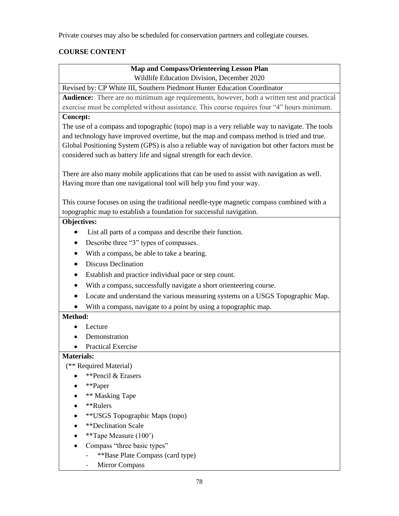Private courses may also be scheduled for conservation partners and collegiate courses.

### **COURSE CONTENT**

### **Map and Compass/Orienteering Lesson Plan** Wildlife Education Division, December 2020

Revised by: CP White III, Southern Piedmont Hunter Education Coordinator

**Audience:** There are no minimum age requirements, however, both a written test and practical exercise must be completed without assistance. This course requires four "4" hours minimum.

#### **Concept:**

The use of a compass and topographic (topo) map is a very reliable way to navigate. The tools and technology have improved overtime, but the map and compass method is tried and true. Global Positioning System (GPS) is also a reliable way of navigation but other factors must be considered such as battery life and signal strength for each device.

There are also many mobile applications that can be used to assist with navigation as well. Having more than one navigational tool will help you find your way.

This course focuses on using the traditional needle-type magnetic compass combined with a topographic map to establish a foundation for successful navigation.

#### **Objectives:**

- List all parts of a compass and describe their function.
- Describe three "3" types of compasses.
- With a compass, be able to take a bearing.
- Discuss Declination
- Establish and practice individual pace or step count.
- With a compass, successfully navigate a short orienteering course.
- Locate and understand the various measuring systems on a USGS Topographic Map.
- With a compass, navigate to a point by using a topographic map.

#### **Method:**

- Lecture
- **Demonstration**
- Practical Exercise

#### **Materials:**

(\*\* Required Material)

- \*\*Pencil & Erasers
- \*\*Paper
- \*\* Masking Tape
- \*\*Rulers
- \*\*USGS Topographic Maps (topo)
- **\*\*Declination Scale**
- \*\*Tape Measure (100')
- Compass "three basic types"
	- \*\*Base Plate Compass (card type)
	- Mirror Compass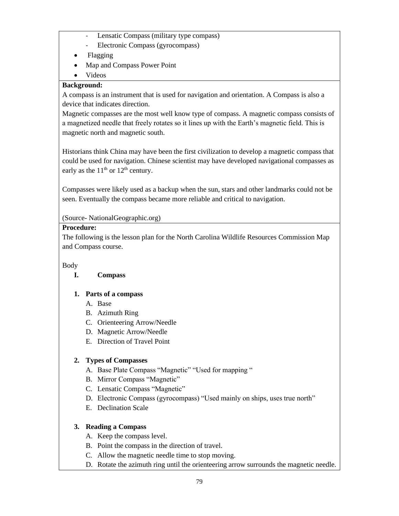- Lensatic Compass (military type compass)
- Electronic Compass (gyrocompass)
- Flagging
- Map and Compass Power Point
- Videos

### **Background:**

A compass is an instrument that is used for navigation and orientation. A Compass is also a device that indicates direction.

Magnetic compasses are the most well know type of compass. A magnetic compass consists of a magnetized needle that freely rotates so it lines up with the Earth's magnetic field. This is magnetic north and magnetic south.

Historians think China may have been the first civilization to develop a magnetic compass that could be used for navigation. Chinese scientist may have developed navigational compasses as early as the  $11<sup>th</sup>$  or  $12<sup>th</sup>$  century.

Compasses were likely used as a backup when the sun, stars and other landmarks could not be seen. Eventually the compass became more reliable and critical to navigation.

### (Source- NationalGeographic.org)

### **Procedure:**

The following is the lesson plan for the North Carolina Wildlife Resources Commission Map and Compass course.

### Body

### **I. Compass**

### **1. Parts of a compass**

- A. Base
- B. Azimuth Ring
- C. Orienteering Arrow/Needle
- D. Magnetic Arrow/Needle
- E. Direction of Travel Point

### **2. Types of Compasses**

- A. Base Plate Compass "Magnetic" "Used for mapping "
- B. Mirror Compass "Magnetic"
- C. Lensatic Compass "Magnetic"
- D. Electronic Compass (gyrocompass) "Used mainly on ships, uses true north"
- E. Declination Scale

### **3. Reading a Compass**

- A. Keep the compass level.
- B. Point the compass in the direction of travel.
- C. Allow the magnetic needle time to stop moving.
- D. Rotate the azimuth ring until the orienteering arrow surrounds the magnetic needle.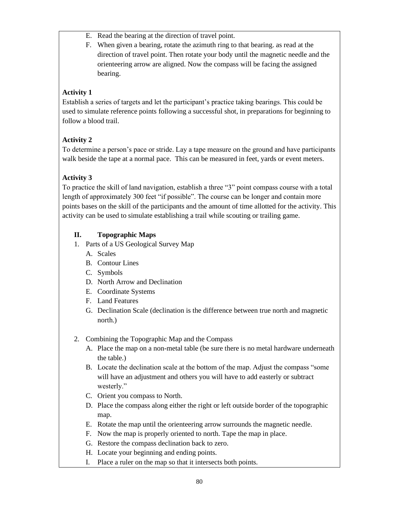- E. Read the bearing at the direction of travel point.
- F. When given a bearing, rotate the azimuth ring to that bearing. as read at the direction of travel point. Then rotate your body until the magnetic needle and the orienteering arrow are aligned. Now the compass will be facing the assigned bearing.

### **Activity 1**

Establish a series of targets and let the participant's practice taking bearings. This could be used to simulate reference points following a successful shot, in preparations for beginning to follow a blood trail.

### **Activity 2**

To determine a person's pace or stride. Lay a tape measure on the ground and have participants walk beside the tape at a normal pace. This can be measured in feet, yards or event meters.

### **Activity 3**

To practice the skill of land navigation, establish a three "3" point compass course with a total length of approximately 300 feet "if possible". The course can be longer and contain more points bases on the skill of the participants and the amount of time allotted for the activity. This activity can be used to simulate establishing a trail while scouting or trailing game.

### **II. Topographic Maps**

- 1. Parts of a US Geological Survey Map
	- A. Scales
	- B. Contour Lines
	- C. Symbols
	- D. North Arrow and Declination
	- E. Coordinate Systems
	- F. Land Features
	- G. Declination Scale (declination is the difference between true north and magnetic north.)
- 2. Combining the Topographic Map and the Compass
	- A. Place the map on a non-metal table (be sure there is no metal hardware underneath the table.)
	- B. Locate the declination scale at the bottom of the map. Adjust the compass "some will have an adjustment and others you will have to add easterly or subtract westerly."
	- C. Orient you compass to North.
	- D. Place the compass along either the right or left outside border of the topographic map.
	- E. Rotate the map until the orienteering arrow surrounds the magnetic needle.
	- F. Now the map is properly oriented to north. Tape the map in place.
	- G. Restore the compass declination back to zero.
	- H. Locate your beginning and ending points.
	- I. Place a ruler on the map so that it intersects both points.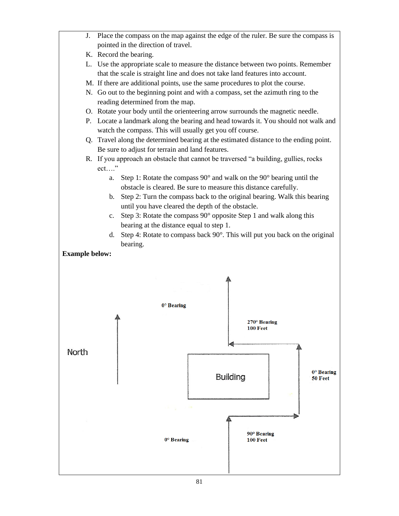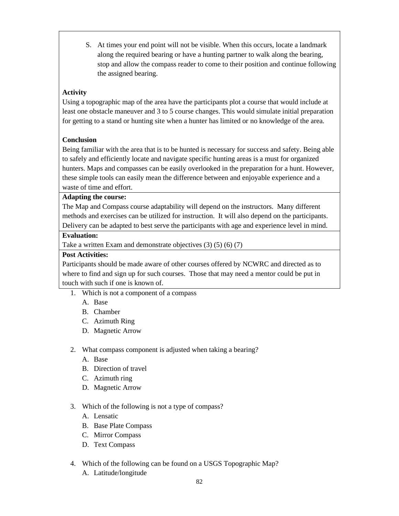S. At times your end point will not be visible. When this occurs, locate a landmark along the required bearing or have a hunting partner to walk along the bearing, stop and allow the compass reader to come to their position and continue following the assigned bearing.

### **Activity**

Using a topographic map of the area have the participants plot a course that would include at least one obstacle maneuver and 3 to 5 course changes. This would simulate initial preparation for getting to a stand or hunting site when a hunter has limited or no knowledge of the area.

### **Conclusion**

Being familiar with the area that is to be hunted is necessary for success and safety. Being able to safely and efficiently locate and navigate specific hunting areas is a must for organized hunters. Maps and compasses can be easily overlooked in the preparation for a hunt. However, these simple tools can easily mean the difference between and enjoyable experience and a waste of time and effort.

#### **Adapting the course:**

The Map and Compass course adaptability will depend on the instructors. Many different methods and exercises can be utilized for instruction. It will also depend on the participants. Delivery can be adapted to best serve the participants with age and experience level in mind.

#### **Evaluation:**

Take a written Exam and demonstrate objectives (3) (5) (6) (7)

#### **Post Activities:**

Participants should be made aware of other courses offered by NCWRC and directed as to where to find and sign up for such courses. Those that may need a mentor could be put in touch with such if one is known of.

- 1. Which is not a component of a compass
	- A. Base
	- B. Chamber
	- C. Azimuth Ring
	- D. Magnetic Arrow
- 2. What compass component is adjusted when taking a bearing?
	- A. Base
	- B. Direction of travel
	- C. Azimuth ring
	- D. Magnetic Arrow
- 3. Which of the following is not a type of compass?
	- A. Lensatic
	- B. Base Plate Compass
	- C. Mirror Compass
	- D. Text Compass
- 4. Which of the following can be found on a USGS Topographic Map?
	- A. Latitude/longitude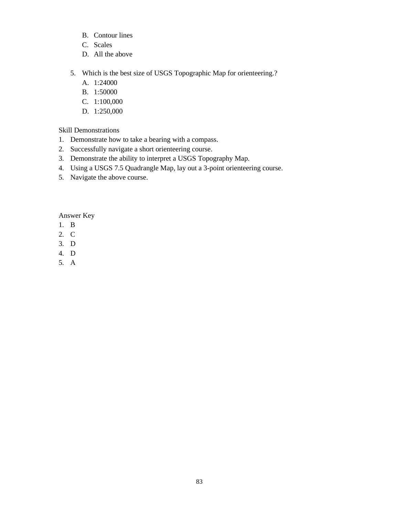- B. Contour lines
- C. Scales
- D. All the above
- 5. Which is the best size of USGS Topographic Map for orienteering.?
	- A. 1:24000
	- B. 1:50000
	- C. 1:100,000
	- D. 1:250,000

Skill Demonstrations

- 1. Demonstrate how to take a bearing with a compass.
- 2. Successfully navigate a short orienteering course.
- 3. Demonstrate the ability to interpret a USGS Topography Map.
- 4. Using a USGS 7.5 Quadrangle Map, lay out a 3-point orienteering course.
- 5. Navigate the above course.

Answer Key

- 1. B
- 2. C
- 3. D
- 4. D
- 5. A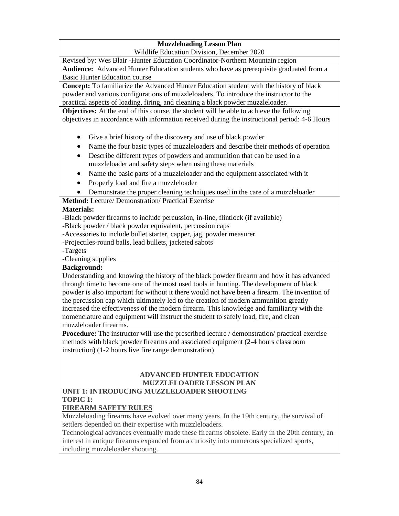### **Muzzleloading Lesson Plan**

Wildlife Education Division, December 2020

Revised by: Wes Blair -Hunter Education Coordinator-Northern Mountain region

**Audience:** Advanced Hunter Education students who have as prerequisite graduated from a Basic Hunter Education course

**Concept:** To familiarize the Advanced Hunter Education student with the history of black powder and various configurations of muzzleloaders. To introduce the instructor to the practical aspects of loading, firing, and cleaning a black powder muzzleloader.

**Objectives:** At the end of this course, the student will be able to achieve the following objectives in accordance with information received during the instructional period: 4-6 Hours

- Give a brief history of the discovery and use of black powder
- Name the four basic types of muzzleloaders and describe their methods of operation
- Describe different types of powders and ammunition that can be used in a muzzleloader and safety steps when using these materials
- Name the basic parts of a muzzleloader and the equipment associated with it
- Properly load and fire a muzzleloader
- Demonstrate the proper cleaning techniques used in the care of a muzzleloader

**Method:** Lecture/ Demonstration/ Practical Exercise

#### **Materials:**

**-**Black powder firearms to include percussion, in-line, flintlock (if available)

-Black powder / black powder equivalent, percussion caps

-Accessories to include bullet starter, capper, jag, powder measurer

-Projectiles-round balls, lead bullets, jacketed sabots

-Targets

-Cleaning supplies

#### **Background:**

Understanding and knowing the history of the black powder firearm and how it has advanced through time to become one of the most used tools in hunting. The development of black powder is also important for without it there would not have been a firearm. The invention of the percussion cap which ultimately led to the creation of modern ammunition greatly increased the effectiveness of the modern firearm. This knowledge and familiarity with the nomenclature and equipment will instruct the student to safely load, fire, and clean muzzleloader firearms.

**Procedure:** The instructor will use the prescribed lecture / demonstration/ practical exercise methods with black powder firearms and associated equipment (2-4 hours classroom instruction) (1-2 hours live fire range demonstration)

#### **ADVANCED HUNTER EDUCATION MUZZLELOADER LESSON PLAN UNIT 1: INTRODUCING MUZZLELOADER SHOOTING**

#### **TOPIC 1:**

### **FIREARM SAFETY RULES**

Muzzleloading firearms have evolved over many years. In the 19th century, the survival of settlers depended on their expertise with muzzleloaders.

Technological advances eventually made these firearms obsolete. Early in the 20th century, an interest in antique firearms expanded from a curiosity into numerous specialized sports, including muzzleloader shooting.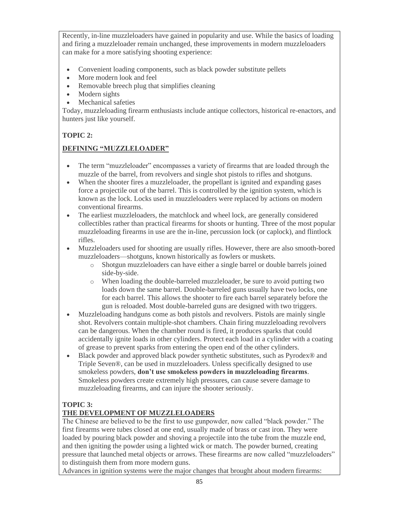Recently, in-line muzzleloaders have gained in popularity and use. While the basics of loading and firing a muzzleloader remain unchanged, these improvements in modern muzzleloaders can make for a more satisfying shooting experience:

- Convenient loading components, such as black powder substitute pellets
- More modern look and feel
- Removable breech plug that simplifies cleaning
- Modern sights
- Mechanical safeties

Today, muzzleloading firearm enthusiasts include antique collectors, historical re-enactors, and hunters just like yourself.

### **TOPIC 2:**

### **DEFINING "MUZZLELOADER"**

- The term "muzzleloader" encompasses a variety of firearms that are loaded through the muzzle of the barrel, from revolvers and single shot pistols to rifles and shotguns.
- When the shooter fires a muzzleloader, the propellant is ignited and expanding gases force a projectile out of the barrel. This is controlled by the ignition system, which is known as the lock. Locks used in muzzleloaders were replaced by actions on modern conventional firearms.
- The earliest muzzleloaders, the matchlock and wheel lock, are generally considered collectibles rather than practical firearms for shoots or hunting. Three of the most popular muzzleloading firearms in use are the in-line, percussion lock (or caplock), and flintlock rifles.
- Muzzleloaders used for shooting are usually rifles. However, there are also smooth-bored muzzleloaders—shotguns, known historically as fowlers or muskets.
	- o Shotgun muzzleloaders can have either a single barrel or double barrels joined side-by-side.
	- o When loading the double-barreled muzzleloader, be sure to avoid putting two loads down the same barrel. Double-barreled guns usually have two locks, one for each barrel. This allows the shooter to fire each barrel separately before the gun is reloaded. Most double-barreled guns are designed with two triggers.
- Muzzleloading handguns come as both pistols and revolvers. Pistols are mainly single shot. Revolvers contain multiple-shot chambers. Chain firing muzzleloading revolvers can be dangerous. When the chamber round is fired, it produces sparks that could accidentally ignite loads in other cylinders. Protect each load in a cylinder with a coating of grease to prevent sparks from entering the open end of the other cylinders.
- Black powder and approved black powder synthetic substitutes, such as Pyrodex<sup>®</sup> and Triple Seven®, can be used in muzzleloaders. Unless specifically designed to use smokeless powders, **don't use smokeless powders in muzzleloading firearms**. Smokeless powders create extremely high pressures, can cause severe damage to muzzleloading firearms, and can injure the shooter seriously.

### **TOPIC 3:**

### **THE DEVELOPMENT OF MUZZLELOADERS**

The Chinese are believed to be the first to use gunpowder, now called "black powder." The first firearms were tubes closed at one end, usually made of brass or cast iron. They were loaded by pouring black powder and shoving a projectile into the tube from the muzzle end, and then igniting the powder using a lighted wick or match. The powder burned, creating pressure that launched metal objects or arrows. These firearms are now called "muzzleloaders" to distinguish them from more modern guns.

Advances in ignition systems were the major changes that brought about modern firearms: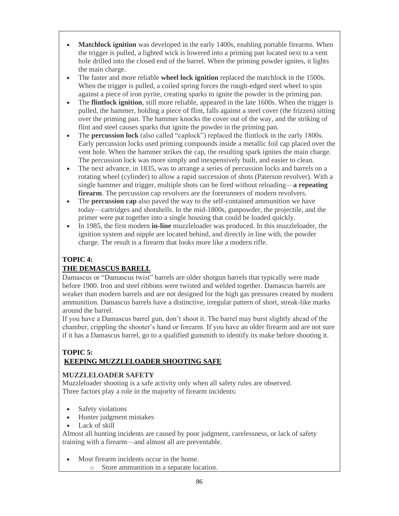- **Matchlock ignition** was developed in the early 1400s, enabling portable firearms. When the trigger is pulled, a lighted wick is lowered into a priming pan located next to a vent hole drilled into the closed end of the barrel. When the priming powder ignites, it lights the main charge.
- The faster and more reliable **wheel lock ignition** replaced the matchlock in the 1500s. When the trigger is pulled, a coiled spring forces the rough-edged steel wheel to spin against a piece of iron pyrite, creating sparks to ignite the powder in the priming pan.
- The **flintlock ignition**, still more reliable, appeared in the late 1600s. When the trigger is pulled, the hammer, holding a piece of flint, falls against a steel cover (the frizzen) sitting over the priming pan. The hammer knocks the cover out of the way, and the striking of flint and steel causes sparks that ignite the powder in the priming pan.
- The **percussion lock** (also called "caplock") replaced the flintlock in the early 1800s. Early percussion locks used priming compounds inside a metallic foil cap placed over the vent hole. When the hammer strikes the cap, the resulting spark ignites the main charge. The percussion lock was more simply and inexpensively built, and easier to clean.
- The next advance, in 1835, was to arrange a series of percussion locks and barrels on a rotating wheel (cylinder) to allow a rapid succession of shots (Paterson revolver). With a single hammer and trigger, multiple shots can be fired without reloading—**a repeating firearm**. The percussion cap revolvers are the forerunners of modern revolvers.
- The **percussion cap** also paved the way to the self-contained ammunition we have today—cartridges and shotshells. In the mid-1800s, gunpowder, the projectile, and the primer were put together into a single housing that could be loaded quickly.
- In 1985, the first modern **in-line** muzzleloader was produced. In this muzzleloader, the ignition system and nipple are located behind, and directly in line with, the powder charge. The result is a firearm that looks more like a modern rifle.

### **TOPIC 4:**

### **THE DEMASCUS BARELL**

Damascus or "Damascus twist" barrels are older shotgun barrels that typically were made before 1900. Iron and steel ribbons were twisted and welded together. Damascus barrels are weaker than modern barrels and are not designed for the high gas pressures created by modern ammunition. Damascus barrels have a distinctive, irregular pattern of short, streak-like marks around the barrel.

If you have a Damascus barrel gun, don't shoot it. The barrel may burst slightly ahead of the chamber, crippling the shooter's hand or forearm. If you have an older firearm and are not sure if it has a Damascus barrel, go to a qualified gunsmith to identify its make before shooting it.

### **TOPIC 5: KEEPING MUZZLELOADER SHOOTING SAFE**

### **MUZZLELOADER SAFETY**

Muzzleloader shooting is a safe activity only when all safety rules are observed. Three factors play a role in the majority of firearm incidents:

- Safety violations
- Hunter judgment mistakes
- Lack of skill

Almost all hunting incidents are caused by poor judgment, carelessness, or lack of safety training with a firearm—and almost all are preventable.

- Most firearm incidents occur in the home.
	- o Store ammunition in a separate location.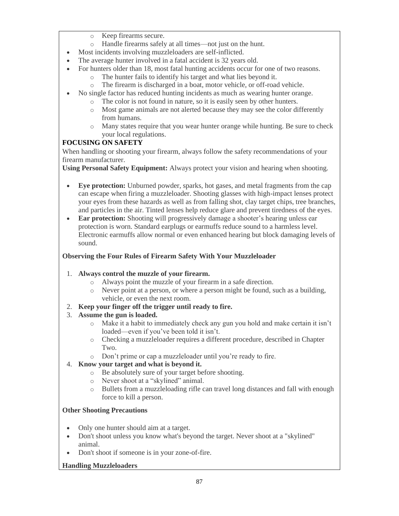- o Keep firearms secure.
- o Handle firearms safely at all times—not just on the hunt.
- Most incidents involving muzzleloaders are self-inflicted.
- The average hunter involved in a fatal accident is 32 years old.
- For hunters older than 18, most fatal hunting accidents occur for one of two reasons.
	- o The hunter fails to identify his target and what lies beyond it.
	- o The firearm is discharged in a boat, motor vehicle, or off-road vehicle.
- No single factor has reduced hunting incidents as much as wearing hunter orange.
	- o The color is not found in nature, so it is easily seen by other hunters.
		- o Most game animals are not alerted because they may see the color differently from humans.
	- o Many states require that you wear hunter orange while hunting. Be sure to check your local regulations.

### **FOCUSING ON SAFETY**

When handling or shooting your firearm, always follow the safety recommendations of your firearm manufacturer.

**Using Personal Safety Equipment:** Always protect your vision and hearing when shooting.

- **Eye protection:** Unburned powder, sparks, hot gases, and metal fragments from the cap can escape when firing a muzzleloader. Shooting glasses with high-impact lenses protect your eyes from these hazards as well as from falling shot, clay target chips, tree branches, and particles in the air. Tinted lenses help reduce glare and prevent tiredness of the eyes.
- **Ear protection:** Shooting will progressively damage a shooter's hearing unless ear protection is worn. Standard earplugs or earmuffs reduce sound to a harmless level. Electronic earmuffs allow normal or even enhanced hearing but block damaging levels of sound.

### **Observing the Four Rules of Firearm Safety With Your Muzzleloader**

#### 1. **Always control the muzzle of your firearm.**

- o Always point the muzzle of your firearm in a safe direction.
- o Never point at a person, or where a person might be found, such as a building, vehicle, or even the next room.
- 2. **Keep your finger off the trigger until ready to fire.**

### 3. **Assume the gun is loaded.**

- o Make it a habit to immediately check any gun you hold and make certain it isn't loaded—even if you've been told it isn't.
- o Checking a muzzleloader requires a different procedure, described in Chapter Two.
- o Don't prime or cap a muzzleloader until you're ready to fire.
- 4. **Know your target and what is beyond it.**
	- o Be absolutely sure of your target before shooting.
	- o Never shoot at a "skylined" animal.
	- o Bullets from a muzzleloading rifle can travel long distances and fall with enough force to kill a person.

#### **Other Shooting Precautions**

- Only one hunter should aim at a target.
- Don't shoot unless you know what's beyond the target. Never shoot at a "skylined" animal.
- Don't shoot if someone is in your zone-of-fire.

#### **Handling Muzzleloaders**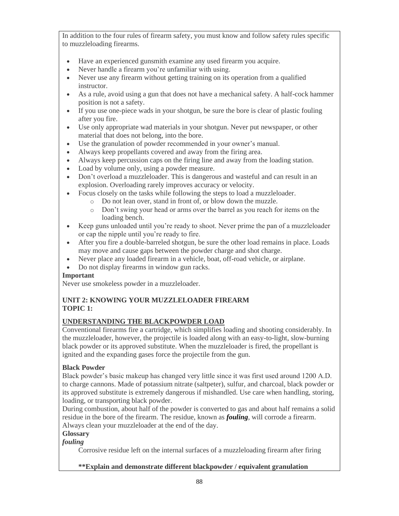In addition to the four rules of firearm safety, you must know and follow safety rules specific to muzzleloading firearms.

- Have an experienced gunsmith examine any used firearm you acquire.
- Never handle a firearm you're unfamiliar with using.
- Never use any firearm without getting training on its operation from a qualified instructor.
- As a rule, avoid using a gun that does not have a mechanical safety. A half-cock hammer position is not a safety.
- If you use one-piece wads in your shotgun, be sure the bore is clear of plastic fouling after you fire.
- Use only appropriate wad materials in your shotgun. Never put newspaper, or other material that does not belong, into the bore.
- Use the granulation of powder recommended in your owner's manual.
- Always keep propellants covered and away from the firing area.
- Always keep percussion caps on the firing line and away from the loading station.
- Load by volume only, using a powder measure.
- Don't overload a muzzleloader. This is dangerous and wasteful and can result in an explosion. Overloading rarely improves accuracy or velocity.
- Focus closely on the tasks while following the steps to load a muzzleloader.
	- o Do not lean over, stand in front of, or blow down the muzzle.
	- o Don't swing your head or arms over the barrel as you reach for items on the loading bench.
- Keep guns unloaded until you're ready to shoot. Never prime the pan of a muzzleloader or cap the nipple until you're ready to fire.
- After you fire a double-barreled shotgun, be sure the other load remains in place. Loads may move and cause gaps between the powder charge and shot charge.
- Never place any loaded firearm in a vehicle, boat, off-road vehicle, or airplane.
- Do not display firearms in window gun racks.

#### **Important**

Never use smokeless powder in a muzzleloader.

#### **UNIT 2: KNOWING YOUR MUZZLELOADER FIREARM TOPIC 1:**

#### **UNDERSTANDING THE BLACKPOWDER LOAD**

Conventional firearms fire a cartridge, which simplifies loading and shooting considerably. In the muzzleloader, however, the projectile is loaded along with an easy-to-light, slow-burning black powder or its approved substitute. When the muzzleloader is fired, the propellant is ignited and the expanding gases force the projectile from the gun.

#### **Black Powder**

Black powder's basic makeup has changed very little since it was first used around 1200 A.D. to charge cannons. Made of potassium nitrate (saltpeter), sulfur, and charcoal, black powder or its approved substitute is extremely dangerous if mishandled. Use care when handling, storing, loading, or transporting black powder.

During combustion, about half of the powder is converted to gas and about half remains a solid residue in the bore of the firearm. The residue, known as *[fouling](https://www.hunter-ed.com/muzzleloader/studyGuide/Introduction-to-Black-Powder/222099_88834/#glossary)*, will corrode a firearm. Always clean your muzzleloader at the end of the day.

#### **Glossary**

#### *fouling*

Corrosive residue left on the internal surfaces of a muzzleloading firearm after firing

#### **\*\*Explain and demonstrate different blackpowder / equivalent granulation**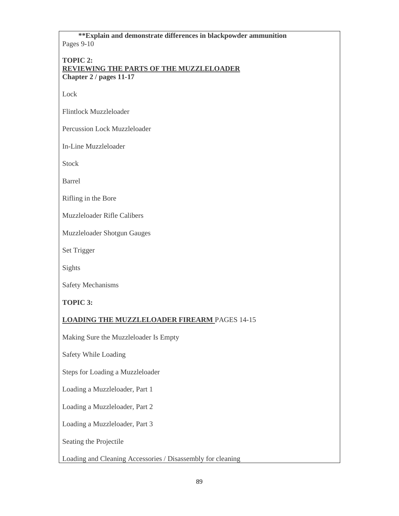**\*\*Explain and demonstrate differences in blackpowder ammunition** Pages 9-10

**TOPIC 2:**

**REVIEWING THE PARTS OF THE MUZZLELOADER Chapter 2 / pages 11-17**

Lock

Flintlock Muzzleloader

Percussion Lock Muzzleloader

In-Line Muzzleloader

Stock

Barrel

Rifling in the Bore

Muzzleloader Rifle Calibers

Muzzleloader Shotgun Gauges

Set Trigger

Sights

Safety Mechanisms

**TOPIC 3:**

#### **LOADING THE MUZZLELOADER FIREARM** PAGES 14-15

Making Sure the Muzzleloader Is Empty

Safety While Loading

Steps for Loading a Muzzleloader

Loading a Muzzleloader, Part 1

Loading a Muzzleloader, Part 2

Loading a Muzzleloader, Part 3

Seating the Projectile

Loading and Cleaning Accessories / Disassembly for cleaning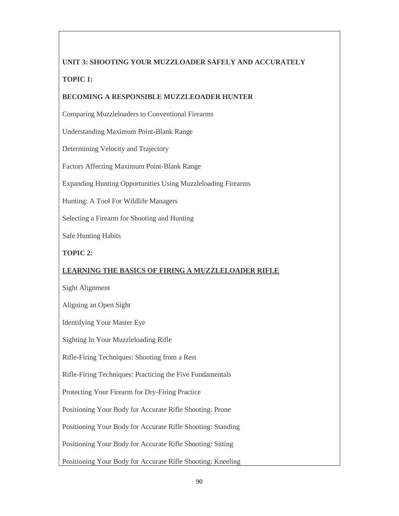# **UNIT 3: SHOOTING YOUR MUZZLOADER SAFELY AND ACCURATELY TOPIC 1:**

### **BECOMING A RESPONSIBLE MUZZLEOADER HUNTER**

Comparing Muzzleloaders to Conventional Firearms

Understanding Maximum Point-Blank Range

Determining Velocity and Trajectory

Factors Affecting Maximum Point-Blank Range

Expanding Hunting Opportunities Using Muzzleloading Firearms

Hunting: A Tool For Wildlife Managers

Selecting a Firearm for Shooting and Hunting

Safe Hunting Habits

### **TOPIC 2:**

### **LEARNING THE BASICS OF FIRING A MUZZLELOADER RIFLE**

Sight Alignment

Aligning an Open Sight

Identifying Your Master Eye

Sighting In Your Muzzleloading Rifle

Rifle-Firing Techniques: Shooting from a Rest

Rifle-Firing Techniques: Practicing the Five Fundamentals

Protecting Your Firearm for Dry-Firing Practice

Positioning Your Body for Accurate Rifle Shooting: Prone

Positioning Your Body for Accurate Rifle Shooting: Standing

Positioning Your Body for Accurate Rifle Shooting: Sitting

Positioning Your Body for Accurate Rifle Shooting: Kneeling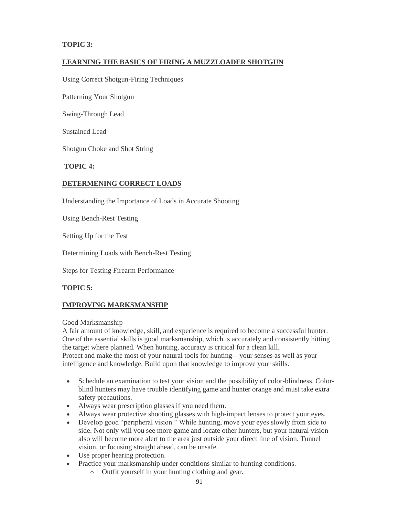### **TOPIC 3:**

### **LEARNING THE BASICS OF FIRING A MUZZLOADER SHOTGUN**

Using Correct Shotgun-Firing Techniques

Patterning Your Shotgun

Swing-Through Lead

Sustained Lead

Shotgun Choke and Shot String

**TOPIC 4:**

### **DETERMENING CORRECT LOADS**

Understanding the Importance of Loads in Accurate Shooting

Using Bench-Rest Testing

Setting Up for the Test

Determining Loads with Bench-Rest Testing

Steps for Testing Firearm Performance

**TOPIC 5:**

### **IMPROVING MARKSMANSHIP**

Good Marksmanship

A fair amount of knowledge, skill, and experience is required to become a successful hunter. One of the essential skills is good marksmanship, which is accurately and consistently hitting the target where planned. When hunting, accuracy is critical for a clean kill. Protect and make the most of your natural tools for hunting—your senses as well as your intelligence and knowledge. Build upon that knowledge to improve your skills.

- Schedule an examination to test your vision and the possibility of color-blindness. Colorblind hunters may have trouble identifying game and hunter orange and must take extra safety precautions.
- Always wear prescription glasses if you need them.
- Always wear protective shooting glasses with high-impact lenses to protect your eyes.
- Develop good "peripheral vision." While hunting, move your eyes slowly from side to side. Not only will you see more game and locate other hunters, but your natural vision also will become more alert to the area just outside your direct line of vision. Tunnel vision, or focusing straight ahead, can be unsafe.
- Use proper hearing protection.
- Practice your marksmanship under conditions similar to hunting conditions. o Outfit yourself in your hunting clothing and gear.
	-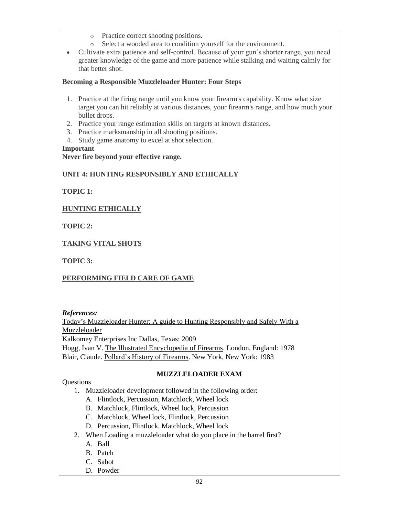- o Practice correct shooting positions.
- o Select a wooded area to condition yourself for the environment.
- Cultivate extra patience and self-control. Because of your gun's shorter range, you need greater knowledge of the game and more patience while stalking and waiting calmly for that better shot.

#### **Becoming a Responsible Muzzleloader Hunter: Four Steps**

- 1. Practice at the firing range until you know your firearm's capability. Know what size target you can hit reliably at various distances, your firearm's range, and how much your bullet drops.
- 2. Practice your range estimation skills on targets at known distances.
- 3. Practice marksmanship in all shooting positions.
- 4. Study game anatomy to excel at shot selection.

#### **Important**

#### **Never fire beyond your effective range.**

### **UNIT 4: HUNTING RESPONSIBLY AND ETHICALLY**

**TOPIC 1:**

### **HUNTING ETHICALLY**

**TOPIC 2:**

### **TAKING VITAL SHOTS**

**TOPIC 3:**

### **PERFORMING FIELD CARE OF GAME**

*References:* 

Today's Muzzleloader Hunter: A guide to Hunting Responsibly and Safely With a Muzzleloader

Kalkomey Enterprises Inc Dallas, Texas: 2009

Hogg, Ivan V. The Illustrated Encyclopedia of Firearms. London, England: 1978 Blair, Claude. Pollard's History of Firearms. New York, New York: 1983

#### **MUZZLELOADER EXAM**

#### **Ouestions**

- 1. Muzzleloader development followed in the following order:
	- A. Flintlock, Percussion, Matchlock, Wheel lock
	- B. Matchlock, Flintlock, Wheel lock, Percussion
	- C. Matchlock, Wheel lock, Flintlock, Percussion
	- D. Percussion, Flintlock, Matchlock, Wheel lock
- 2. When Loading a muzzleloader what do you place in the barrel first?
	- A. Ball
	- B. Patch
	- C. Sabot
	- D. Powder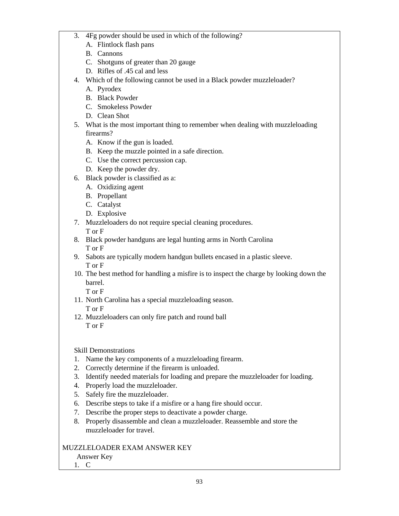- 3. 4Fg powder should be used in which of the following?
	- A. Flintlock flash pans
	- B. Cannons
	- C. Shotguns of greater than 20 gauge
	- D. Rifles of .45 cal and less
- 4. Which of the following cannot be used in a Black powder muzzleloader?
	- A. Pyrodex
	- B. Black Powder
	- C. Smokeless Powder
	- D. Clean Shot
- 5. What is the most important thing to remember when dealing with muzzleloading firearms?
	- A. Know if the gun is loaded.
	- B. Keep the muzzle pointed in a safe direction.
	- C. Use the correct percussion cap.
	- D. Keep the powder dry.
- 6. Black powder is classified as a:
	- A. Oxidizing agent
	- B. Propellant
	- C. Catalyst
	- D. Explosive
- 7. Muzzleloaders do not require special cleaning procedures. T or F
- 8. Black powder handguns are legal hunting arms in North Carolina T or F
- 9. Sabots are typically modern handgun bullets encased in a plastic sleeve. T or F
- 10. The best method for handling a misfire is to inspect the charge by looking down the barrel.

T or F

- 11. North Carolina has a special muzzleloading season. T or F
- 12. Muzzleloaders can only fire patch and round ball T or F

Skill Demonstrations

- 1. Name the key components of a muzzleloading firearm.
- 2. Correctly determine if the firearm is unloaded.
- 3. Identify needed materials for loading and prepare the muzzleloader for loading.
- 4. Properly load the muzzleloader.
- 5. Safely fire the muzzleloader.
- 6. Describe steps to take if a misfire or a hang fire should occur.
- 7. Describe the proper steps to deactivate a powder charge.
- 8. Properly disassemble and clean a muzzleloader. Reassemble and store the muzzleloader for travel.

### MUZZLELOADER EXAM ANSWER KEY

### Answer Key

1. C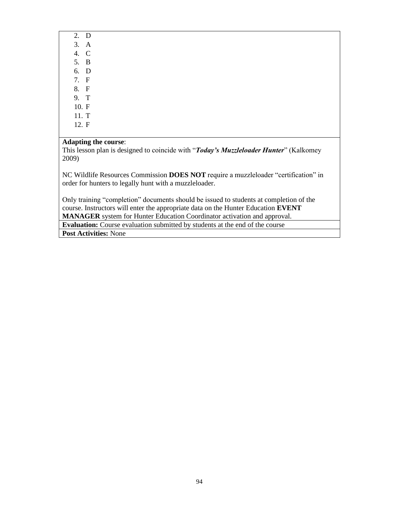| 2.    | D           |
|-------|-------------|
| 3.    | A           |
| 4.    | C           |
| 5.    | В           |
| 6.    | D           |
| 7.    | F           |
| 8.    | F           |
| 9.    | $\mathbf T$ |
| 10. F |             |
| 11. T |             |
| 10T   |             |

12. F

#### **Adapting the course**:

This lesson plan is designed to coincide with "*Today's Muzzleloader Hunter*" (Kalkomey 2009)

NC Wildlife Resources Commission **DOES NOT** require a muzzleloader "certification" in order for hunters to legally hunt with a muzzleloader.

Only training "completion" documents should be issued to students at completion of the course. Instructors will enter the appropriate data on the Hunter Education **EVENT MANAGER** system for Hunter Education Coordinator activation and approval.

**Evaluation:** Course evaluation submitted by students at the end of the course **Post Activities:** None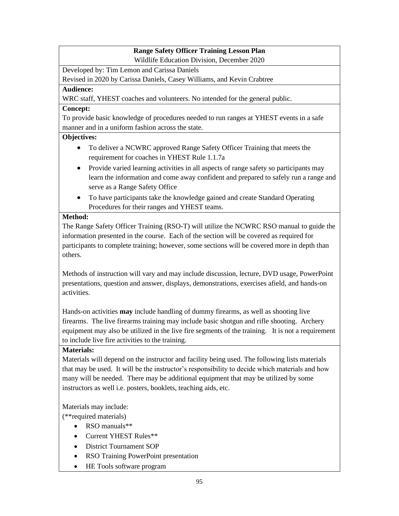### **Range Safety Officer Training Lesson Plan**

Wildlife Education Division, December 2020

Developed by: Tim Lemon and Carissa Daniels

Revised in 2020 by Carissa Daniels, Casey Williams, and Kevin Crabtree

### **Audience:**

WRC staff, YHEST coaches and volunteers. No intended for the general public.

### **Concept:**

To provide basic knowledge of procedures needed to run ranges at YHEST events in a safe manner and in a uniform fashion across the state.

### **Objectives:**

- To deliver a NCWRC approved Range Safety Officer Training that meets the requirement for coaches in YHEST Rule 1.1.7a
- Provide varied learning activities in all aspects of range safety so participants may learn the information and come away confident and prepared to safely run a range and serve as a Range Safety Office
- To have participants take the knowledge gained and create Standard Operating Procedures for their ranges and YHEST teams.

### **Method:**

The Range Safety Officer Training (RSO-T) will utilize the NCWRC RSO manual to guide the information presented in the course. Each of the section will be covered as required for participants to complete training; however, some sections will be covered more in depth than others.

Methods of instruction will vary and may include discussion, lecture, DVD usage, PowerPoint presentations, question and answer, displays, demonstrations, exercises afield, and hands-on activities.

Hands-on activities **may** include handling of dummy firearms, as well as shooting live firearms. The live firearms training may include basic shotgun and rifle shooting. Archery equipment may also be utilized in the live fire segments of the training. It is not a requirement to include live fire activities to the training.

### **Materials:**

Materials will depend on the instructor and facility being used. The following lists materials that may be used. It will be the instructor's responsibility to decide which materials and how many will be needed. There may be additional equipment that may be utilized by some instructors as well i.e. posters, booklets, teaching aids, etc.

Materials may include:

(\*\*required materials)

- RSO manuals\*\*
- Current YHEST Rules\*\*
- District Tournament SOP
- RSO Training PowerPoint presentation
- HE Tools software program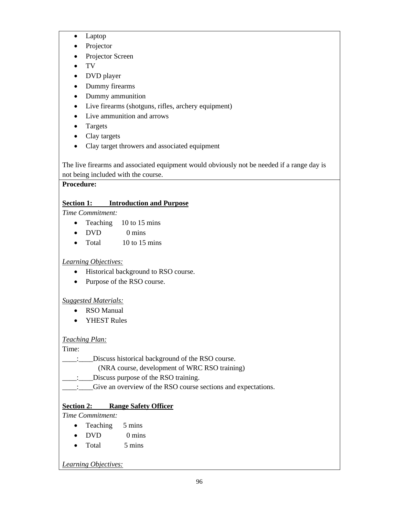- Laptop
- Projector
- Projector Screen
- TV
- DVD player
- Dummy firearms
- Dummy ammunition
- Live firearms (shotguns, rifles, archery equipment)
- Live ammunition and arrows
- Targets
- Clay targets
- Clay target throwers and associated equipment

The live firearms and associated equipment would obviously not be needed if a range day is not being included with the course.

### **Procedure:**

### **Section 1: Introduction and Purpose**

*Time Commitment:*

- Teaching 10 to 15 mins
- DVD 0 mins
- Total  $10$  to 15 mins

### *Learning Objectives:*

- Historical background to RSO course.
- Purpose of the RSO course.

### *Suggested Materials:*

- RSO Manual
- YHEST Rules

### *Teaching Plan:*

Time:

- \_\_\_\_:\_\_\_\_Discuss historical background of the RSO course.
	- (NRA course, development of WRC RSO training)
- \_\_\_\_:\_\_\_\_Discuss purpose of the RSO training.
- \_\_\_\_:\_\_\_\_Give an overview of the RSO course sections and expectations.

### **Section 2: Range Safety Officer**

*Time Commitment:*

- Teaching 5 mins
- $\bullet$  DVD 0 mins
- Total 5 mins

*Learning Objectives:*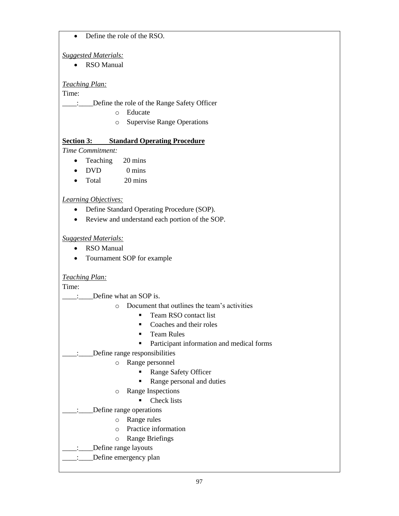#### • Define the role of the RSO.

### *Suggested Materials:*

• RSO Manual

### *Teaching Plan:*

Time:

\_\_\_\_:\_\_\_\_Define the role of the Range Safety Officer

- o Educate
- o Supervise Range Operations

### **Section 3: Standard Operating Procedure**

*Time Commitment:*

- Teaching 20 mins
- DVD 0 mins
- Total 20 mins

### *Learning Objectives:*

- Define Standard Operating Procedure (SOP).
- Review and understand each portion of the SOP.

### *Suggested Materials:*

- RSO Manual
- Tournament SOP for example

### *Teaching Plan:*

Time:

\_\_\_\_:\_\_\_\_Define what an SOP is.

- o Document that outlines the team's activities
	- Team RSO contact list
	- Coaches and their roles
	- **Team Rules**
	- Participant information and medical forms

### \_\_\_\_:\_\_\_\_Define range responsibilities

- o Range personnel
	- Range Safety Officer
	- Range personal and duties
- o Range Inspections
	- Check lists
- \_\_\_\_:\_\_\_\_Define range operations
	- o Range rules
	- o Practice information
	- o Range Briefings
	- \_\_\_\_:\_\_\_\_Define range layouts

### Define emergency plan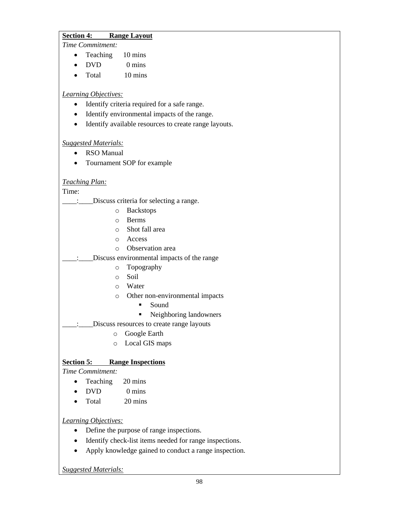#### **Section 4: Range Layout**

*Time Commitment:*

- Teaching 10 mins
- DVD 0 mins
- Total 10 mins

### *Learning Objectives:*

- Identify criteria required for a safe range.
- Identify environmental impacts of the range.
- Identify available resources to create range layouts.

#### *Suggested Materials:*

- RSO Manual
- Tournament SOP for example

### *Teaching Plan:*

Time:

|          | Discuss criteria for selecting a range.    |
|----------|--------------------------------------------|
| O        | <b>Backstops</b>                           |
| ∩        | <b>Berms</b>                               |
| $\circ$  | Shot fall area                             |
|          | o Access                                   |
| $\Omega$ | <b>Observation</b> area                    |
|          | Discuss environmental impacts of the range |
| O        | Topography                                 |
| $\Omega$ | Soil                                       |
|          | ○ Water                                    |
| $\circ$  | Other non-environmental impacts            |
|          | Sound<br>■                                 |
|          | Neighboring landowners                     |
|          | Discuss resources to create range layouts  |
| O        | Google Earth                               |
| $\circ$  | Local GIS maps                             |
|          |                                            |

### **Section 5: Range Inspections**

*Time Commitment:*

- Teaching 20 mins
- DVD 0 mins
- Total 20 mins

*Learning Objectives:*

- Define the purpose of range inspections.
- Identify check-list items needed for range inspections.
- Apply knowledge gained to conduct a range inspection.

*Suggested Materials:*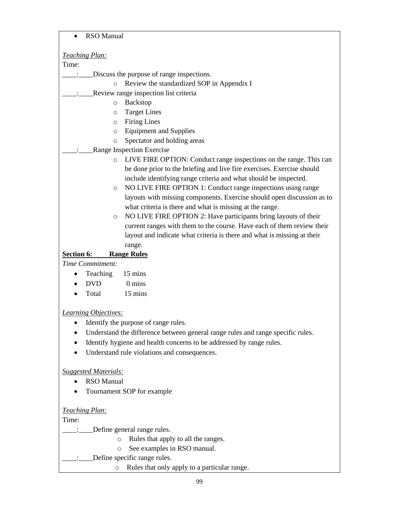• RSO Manual

 $\overline{\phantom{a}}$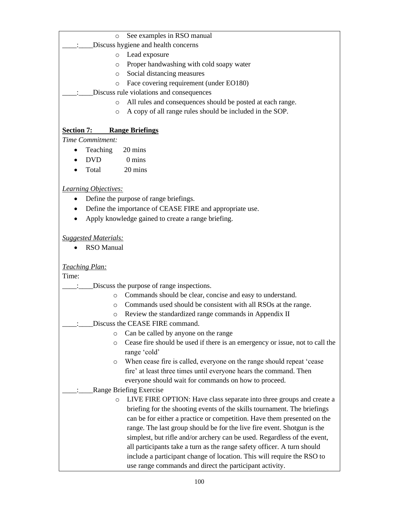o See examples in RSO manual

Discuss hygiene and health concerns

- o Lead exposure
- o Proper handwashing with cold soapy water
- o Social distancing measures
- o Face covering requirement (under EO180)
- Discuss rule violations and consequences
	- o All rules and consequences should be posted at each range.
	- o A copy of all range rules should be included in the SOP.

### **Section 7: Range Briefings**

*Time Commitment:*

- Teaching 20 mins
- DVD 0 mins
- Total 20 mins

### *Learning Objectives:*

- Define the purpose of range briefings.
- Define the importance of CEASE FIRE and appropriate use.
- Apply knowledge gained to create a range briefing.

#### *Suggested Materials:*

• RSO Manual

#### *Teaching Plan:*

Time:

- \_\_\_\_:\_\_\_\_Discuss the purpose of range inspections.
	- o Commands should be clear, concise and easy to understand.
	- o Commands used should be consistent with all RSOs at the range.
	- o Review the standardized range commands in Appendix II
- \_\_\_\_:\_\_\_\_Discuss the CEASE FIRE command.
	- o Can be called by anyone on the range
	- o Cease fire should be used if there is an emergency or issue, not to call the range 'cold'
	- o When cease fire is called, everyone on the range should repeat 'cease fire' at least three times until everyone hears the command. Then everyone should wait for commands on how to proceed.

### \_\_\_\_:\_\_\_\_Range Briefing Exercise

o LIVE FIRE OPTION: Have class separate into three groups and create a briefing for the shooting events of the skills tournament. The briefings can be for either a practice or competition. Have them presented on the range. The last group should be for the live fire event. Shotgun is the simplest, but rifle and/or archery can be used. Regardless of the event, all participants take a turn as the range safety officer. A turn should include a participant change of location. This will require the RSO to use range commands and direct the participant activity.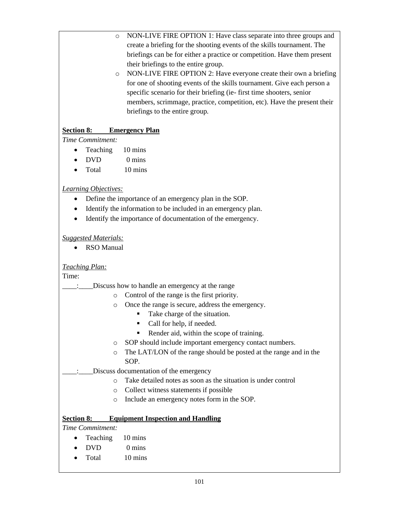- o NON-LIVE FIRE OPTION 1: Have class separate into three groups and create a briefing for the shooting events of the skills tournament. The briefings can be for either a practice or competition. Have them present their briefings to the entire group.
- o NON-LIVE FIRE OPTION 2: Have everyone create their own a briefing for one of shooting events of the skills tournament. Give each person a specific scenario for their briefing (ie- first time shooters, senior members, scrimmage, practice, competition, etc). Have the present their briefings to the entire group.

### **Section 8: Emergency Plan**

*Time Commitment:*

- Teaching 10 mins
- DVD 0 mins
- Total 10 mins

### *Learning Objectives:*

- Define the importance of an emergency plan in the SOP.
- Identify the information to be included in an emergency plan.
- Identify the importance of documentation of the emergency.

#### *Suggested Materials:*

• RSO Manual

#### *Teaching Plan:*

Time:

- \_\_\_\_:\_\_\_\_Discuss how to handle an emergency at the range
	- o Control of the range is the first priority.
	- o Once the range is secure, address the emergency.
		- Take charge of the situation.
		- Call for help, if needed.
		- Render aid, within the scope of training.
	- o SOP should include important emergency contact numbers.
	- o The LAT/LON of the range should be posted at the range and in the SOP.
- Discuss documentation of the emergency
	- o Take detailed notes as soon as the situation is under control
	- o Collect witness statements if possible
	- o Include an emergency notes form in the SOP.

#### **Section 8: Equipment Inspection and Handling**

*Time Commitment:*

- Teaching 10 mins
- DVD 0 mins
- Total 10 mins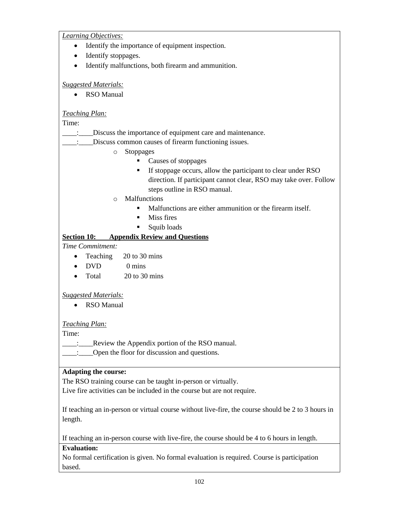*Learning Objectives:*

- Identify the importance of equipment inspection.
- Identify stoppages.
- Identify malfunctions, both firearm and ammunition.

*Suggested Materials:*

• RSO Manual

#### *Teaching Plan:*

Time:

\_\_\_\_:\_\_\_\_Discuss the importance of equipment care and maintenance.

\_\_\_\_:\_\_\_\_Discuss common causes of firearm functioning issues.

- o Stoppages
	- Causes of stoppages
	- **EXECUTE:** If stoppage occurs, allow the participant to clear under RSO direction. If participant cannot clear, RSO may take over. Follow steps outline in RSO manual.
- o Malfunctions
	- Malfunctions are either ammunition or the firearm itself.
	- $\blacksquare$  Miss fires
	- Squib loads

### **Section 10: Appendix Review and Questions**

*Time Commitment:*

- Teaching 20 to 30 mins
- DVD 0 mins
- Total 20 to 30 mins

#### *Suggested Materials:*

• RSO Manual

#### *Teaching Plan:*

Time:

- \_\_\_\_:\_\_\_\_\_\_\_\_\_Review the Appendix portion of the RSO manual.
- $\Box$ : Open the floor for discussion and questions.

#### **Adapting the course:**

The RSO training course can be taught in-person or virtually.

Live fire activities can be included in the course but are not require.

If teaching an in-person or virtual course without live-fire, the course should be 2 to 3 hours in length.

If teaching an in-person course with live-fire, the course should be 4 to 6 hours in length.

### **Evaluation:**

No formal certification is given. No formal evaluation is required. Course is participation based.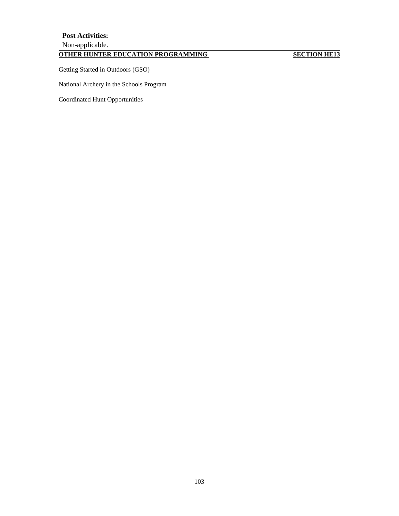### **Post Activities:** Non-applicable.

## **OTHER HUNTER EDUCATION PROGRAMMING SECTION HE13**

Getting Started in Outdoors (GSO)

National Archery in the Schools Program

Coordinated Hunt Opportunities